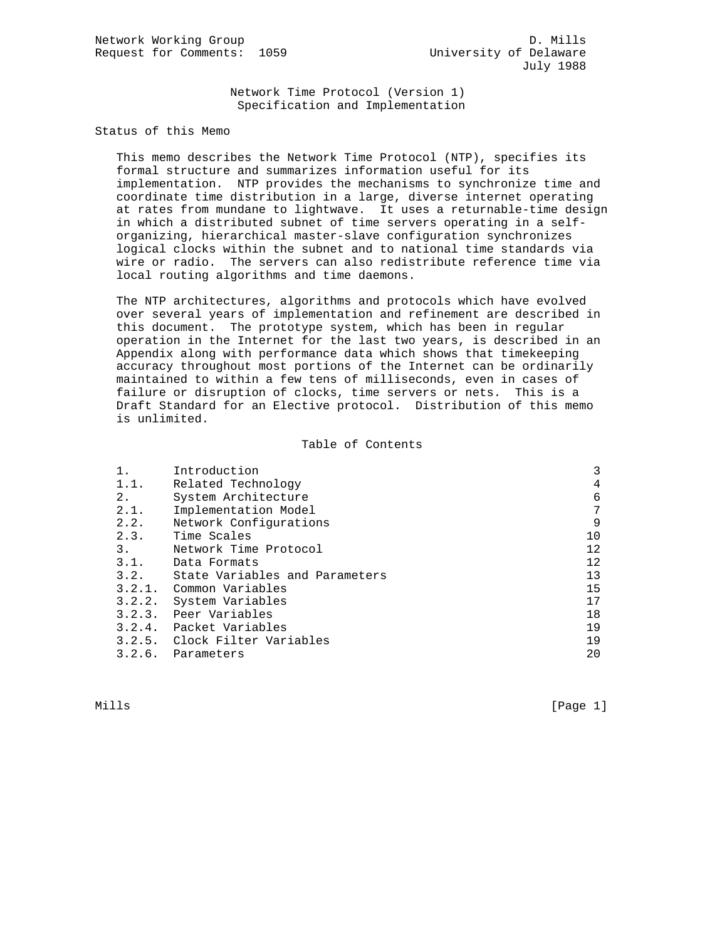Network Time Protocol (Version 1) Specification and Implementation

Status of this Memo

 This memo describes the Network Time Protocol (NTP), specifies its formal structure and summarizes information useful for its implementation. NTP provides the mechanisms to synchronize time and coordinate time distribution in a large, diverse internet operating at rates from mundane to lightwave. It uses a returnable-time design in which a distributed subnet of time servers operating in a self organizing, hierarchical master-slave configuration synchronizes logical clocks within the subnet and to national time standards via wire or radio. The servers can also redistribute reference time via local routing algorithms and time daemons.

 The NTP architectures, algorithms and protocols which have evolved over several years of implementation and refinement are described in this document. The prototype system, which has been in regular operation in the Internet for the last two years, is described in an Appendix along with performance data which shows that timekeeping accuracy throughout most portions of the Internet can be ordinarily maintained to within a few tens of milliseconds, even in cases of failure or disruption of clocks, time servers or nets. This is a Draft Standard for an Elective protocol. Distribution of this memo is unlimited.

#### Table of Contents

|      | Introduction                   | 3  |
|------|--------------------------------|----|
| 1.1. | Related Technology             | 4  |
| 2.   | System Architecture            | 6  |
| 2.1. | Implementation Model           | 7  |
| 2.2. | Network Configurations         | 9  |
| 2.3. | Time Scales                    | 10 |
| 3.   | Network Time Protocol          | 12 |
| 3.1. | Data Formats                   | 12 |
| 3.2. | State Variables and Parameters | 13 |
|      | 3.2.1. Common Variables        | 15 |
|      | 3.2.2. System Variables        | 17 |
|      | 3.2.3. Peer Variables          | 18 |
|      | 3.2.4. Packet Variables        | 19 |
|      | 3.2.5. Clock Filter Variables  | 19 |
|      | 3.2.6. Parameters              | 20 |

Mills [Page 1]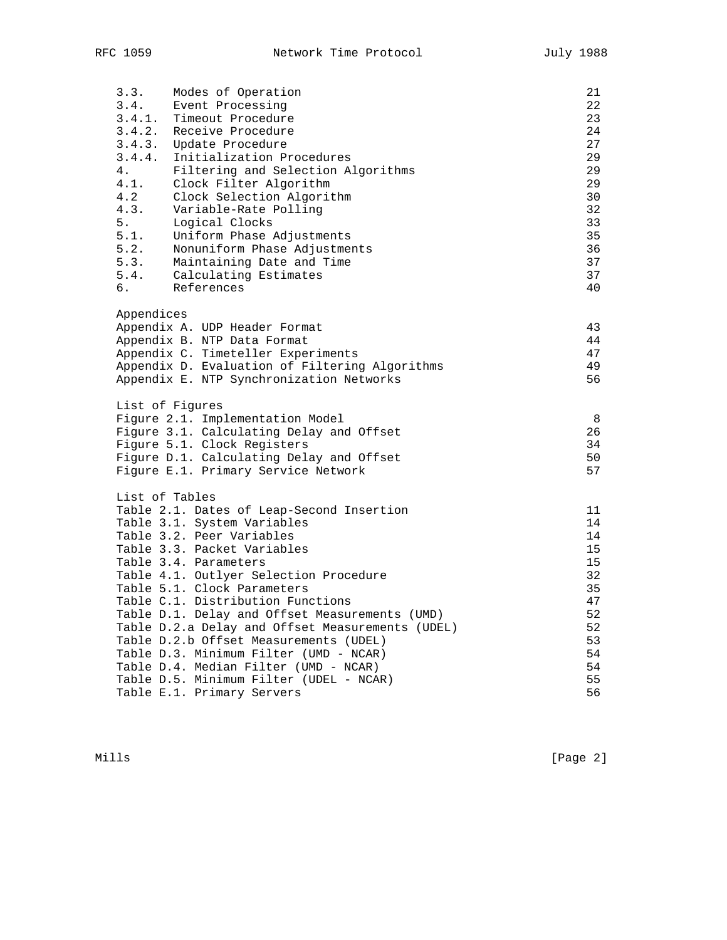| 3.3.                    | Modes of Operation                               | 21 |
|-------------------------|--------------------------------------------------|----|
|                         | 3.4. Event Processing                            | 22 |
|                         | 3.4.1. Timeout Procedure                         | 23 |
|                         | 3.4.2. Receive Procedure                         | 24 |
|                         | 3.4.3. Update Procedure                          | 27 |
|                         | 3.4.4. Initialization Procedures                 | 29 |
| 4.                      | Filtering and Selection Algorithms               | 29 |
|                         | 4.1. Clock Filter Algorithm                      | 29 |
| 4.2                     | Clock Selection Algorithm                        | 30 |
| 4.3.                    | Variable-Rate Polling                            | 32 |
| 5.                      | Logical Clocks                                   | 33 |
| 5.1.                    | Uniform Phase Adjustments                        | 35 |
| 5.2.                    | Nonuniform Phase Adjustments                     | 36 |
| $\frac{1}{5 \cdot 3}$ . | Maintaining Date and Time                        | 37 |
|                         | 5.4. Calculating Estimates                       | 37 |
| б.                      | References                                       | 40 |
|                         |                                                  |    |
| Appendices              |                                                  |    |
|                         | Appendix A. UDP Header Format                    | 43 |
|                         | Appendix B. NTP Data Format                      | 44 |
|                         | Appendix C. Timeteller Experiments               | 47 |
|                         | Appendix D. Evaluation of Filtering Algorithms   | 49 |
|                         | Appendix E. NTP Synchronization Networks         | 56 |
|                         |                                                  |    |
|                         | List of Figures                                  |    |
|                         | Figure 2.1. Implementation Model                 | 8  |
|                         | Figure 3.1. Calculating Delay and Offset         | 26 |
|                         | Figure 5.1. Clock Registers                      | 34 |
|                         | Figure D.1. Calculating Delay and Offset         | 50 |
|                         | Figure E.1. Primary Service Network              | 57 |
|                         |                                                  |    |
| List of Tables          |                                                  |    |
|                         | Table 2.1. Dates of Leap-Second Insertion        | 11 |
|                         | Table 3.1. System Variables                      | 14 |
|                         | Table 3.2. Peer Variables                        | 14 |
|                         |                                                  |    |
|                         | Table 3.3. Packet Variables                      | 15 |
|                         | Table 3.4. Parameters                            | 15 |
|                         | Table 4.1. Outlyer Selection Procedure           | 32 |
|                         | Table 5.1. Clock Parameters                      | 35 |
|                         | Table C.1. Distribution Functions                | 47 |
|                         | Table D.1. Delay and Offset Measurements (UMD)   | 52 |
|                         | Table D.2.a Delay and Offset Measurements (UDEL) | 52 |
|                         | Table D.2.b Offset Measurements (UDEL)           | 53 |
|                         | Table D.3. Minimum Filter (UMD - NCAR)           | 54 |
|                         | Table D.4. Median Filter (UMD - NCAR)            | 54 |
|                         | Table D.5. Minimum Filter (UDEL - NCAR)          | 55 |
|                         | Table E.1. Primary Servers                       | 56 |
|                         |                                                  |    |

Mills [Page 2]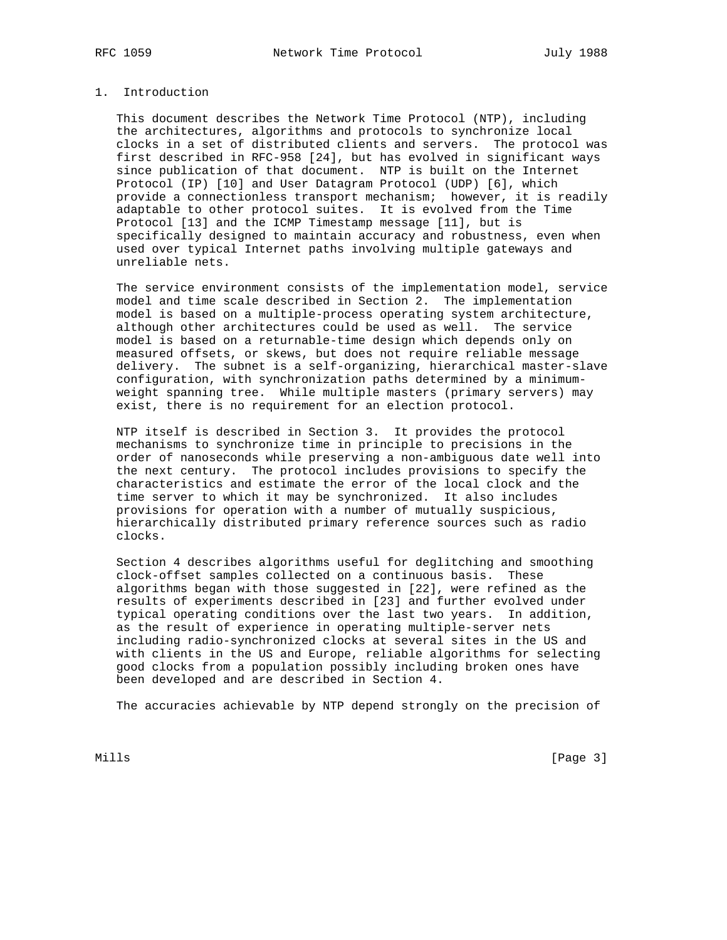#### 1. Introduction

 This document describes the Network Time Protocol (NTP), including the architectures, algorithms and protocols to synchronize local clocks in a set of distributed clients and servers. The protocol was first described in RFC-958 [24], but has evolved in significant ways since publication of that document. NTP is built on the Internet Protocol (IP) [10] and User Datagram Protocol (UDP) [6], which provide a connectionless transport mechanism; however, it is readily adaptable to other protocol suites. It is evolved from the Time Protocol [13] and the ICMP Timestamp message [11], but is specifically designed to maintain accuracy and robustness, even when used over typical Internet paths involving multiple gateways and unreliable nets.

 The service environment consists of the implementation model, service model and time scale described in Section 2. The implementation model is based on a multiple-process operating system architecture, although other architectures could be used as well. The service model is based on a returnable-time design which depends only on measured offsets, or skews, but does not require reliable message delivery. The subnet is a self-organizing, hierarchical master-slave configuration, with synchronization paths determined by a minimum weight spanning tree. While multiple masters (primary servers) may exist, there is no requirement for an election protocol.

 NTP itself is described in Section 3. It provides the protocol mechanisms to synchronize time in principle to precisions in the order of nanoseconds while preserving a non-ambiguous date well into the next century. The protocol includes provisions to specify the characteristics and estimate the error of the local clock and the time server to which it may be synchronized. It also includes provisions for operation with a number of mutually suspicious, hierarchically distributed primary reference sources such as radio clocks.

 Section 4 describes algorithms useful for deglitching and smoothing clock-offset samples collected on a continuous basis. These algorithms began with those suggested in [22], were refined as the results of experiments described in [23] and further evolved under typical operating conditions over the last two years. In addition, as the result of experience in operating multiple-server nets including radio-synchronized clocks at several sites in the US and with clients in the US and Europe, reliable algorithms for selecting good clocks from a population possibly including broken ones have been developed and are described in Section 4.

The accuracies achievable by NTP depend strongly on the precision of

Mills **Example 20** (Page 3)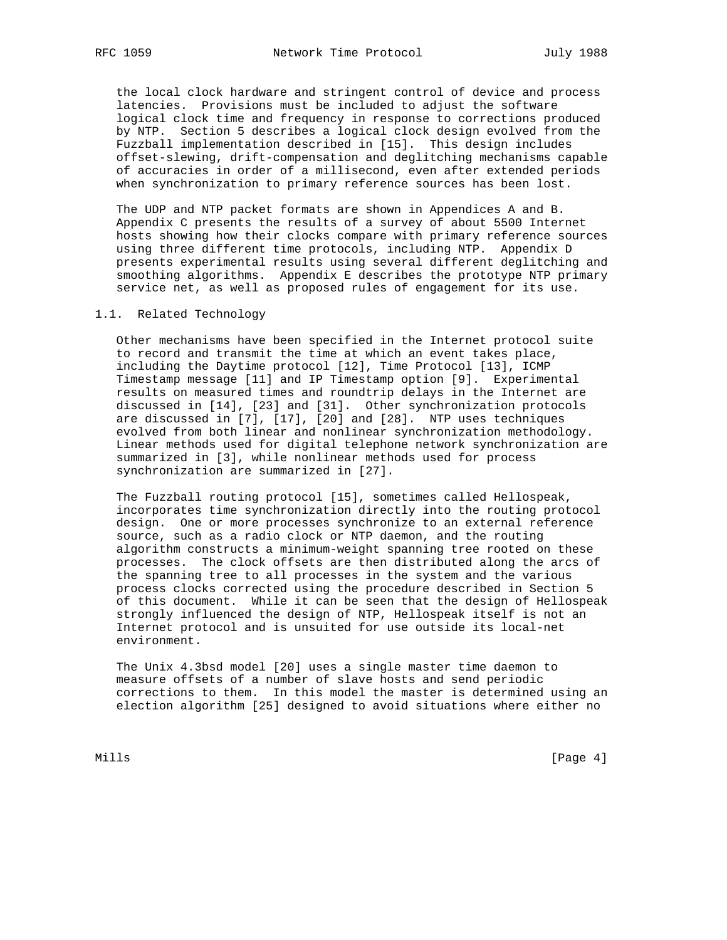the local clock hardware and stringent control of device and process latencies. Provisions must be included to adjust the software logical clock time and frequency in response to corrections produced by NTP. Section 5 describes a logical clock design evolved from the Fuzzball implementation described in [15]. This design includes offset-slewing, drift-compensation and deglitching mechanisms capable of accuracies in order of a millisecond, even after extended periods when synchronization to primary reference sources has been lost.

 The UDP and NTP packet formats are shown in Appendices A and B. Appendix C presents the results of a survey of about 5500 Internet hosts showing how their clocks compare with primary reference sources using three different time protocols, including NTP. Appendix D presents experimental results using several different deglitching and smoothing algorithms. Appendix E describes the prototype NTP primary service net, as well as proposed rules of engagement for its use.

## 1.1. Related Technology

 Other mechanisms have been specified in the Internet protocol suite to record and transmit the time at which an event takes place, including the Daytime protocol [12], Time Protocol [13], ICMP Timestamp message [11] and IP Timestamp option [9]. Experimental results on measured times and roundtrip delays in the Internet are discussed in [14], [23] and [31]. Other synchronization protocols are discussed in [7], [17], [20] and [28]. NTP uses techniques evolved from both linear and nonlinear synchronization methodology. Linear methods used for digital telephone network synchronization are summarized in [3], while nonlinear methods used for process synchronization are summarized in [27].

 The Fuzzball routing protocol [15], sometimes called Hellospeak, incorporates time synchronization directly into the routing protocol design. One or more processes synchronize to an external reference source, such as a radio clock or NTP daemon, and the routing algorithm constructs a minimum-weight spanning tree rooted on these processes. The clock offsets are then distributed along the arcs of the spanning tree to all processes in the system and the various process clocks corrected using the procedure described in Section 5 of this document. While it can be seen that the design of Hellospeak strongly influenced the design of NTP, Hellospeak itself is not an Internet protocol and is unsuited for use outside its local-net environment.

 The Unix 4.3bsd model [20] uses a single master time daemon to measure offsets of a number of slave hosts and send periodic corrections to them. In this model the master is determined using an election algorithm [25] designed to avoid situations where either no

Mills [Page 4] [Page 4] [Page 4] [Page 4] [Page 4] [Page 4] [Page 4] [Page 4] [Page 4] [Page 4] [Page 4] [Page 4] [Page 4] [Page 4] [Page 4] [Page 4] [Page 4] [Page 4] [Page 4] [Page 4] [Page 4] [Page 4] [Page 4] [Page 4]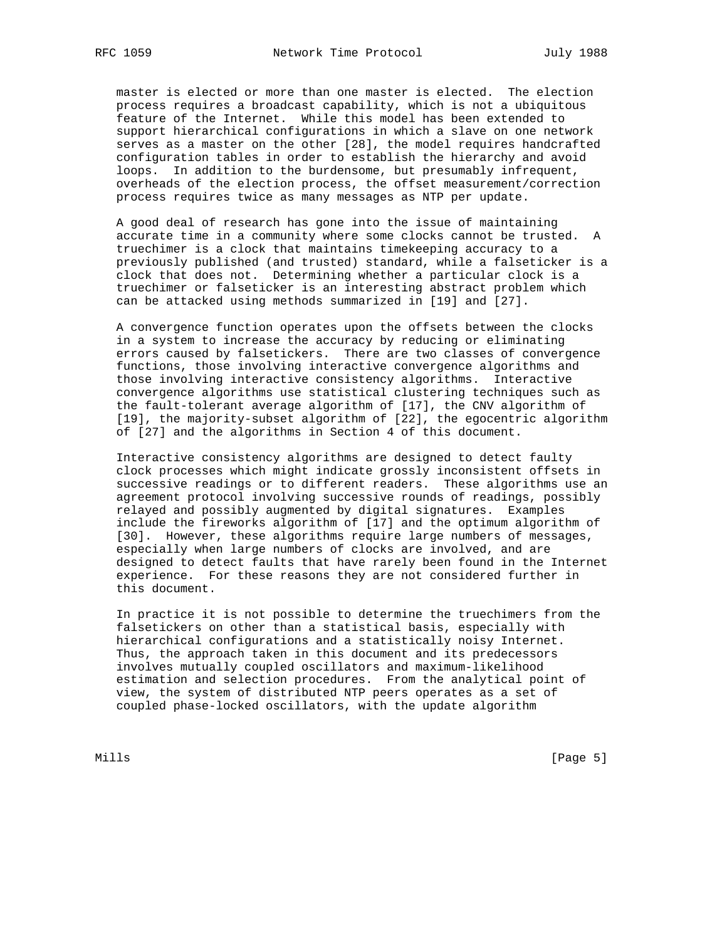master is elected or more than one master is elected. The election process requires a broadcast capability, which is not a ubiquitous feature of the Internet. While this model has been extended to support hierarchical configurations in which a slave on one network serves as a master on the other [28], the model requires handcrafted configuration tables in order to establish the hierarchy and avoid loops. In addition to the burdensome, but presumably infrequent, overheads of the election process, the offset measurement/correction process requires twice as many messages as NTP per update.

 A good deal of research has gone into the issue of maintaining accurate time in a community where some clocks cannot be trusted. A truechimer is a clock that maintains timekeeping accuracy to a previously published (and trusted) standard, while a falseticker is a clock that does not. Determining whether a particular clock is a truechimer or falseticker is an interesting abstract problem which can be attacked using methods summarized in [19] and [27].

 A convergence function operates upon the offsets between the clocks in a system to increase the accuracy by reducing or eliminating errors caused by falsetickers. There are two classes of convergence functions, those involving interactive convergence algorithms and those involving interactive consistency algorithms. Interactive convergence algorithms use statistical clustering techniques such as the fault-tolerant average algorithm of [17], the CNV algorithm of [19], the majority-subset algorithm of [22], the egocentric algorithm of [27] and the algorithms in Section 4 of this document.

 Interactive consistency algorithms are designed to detect faulty clock processes which might indicate grossly inconsistent offsets in successive readings or to different readers. These algorithms use an agreement protocol involving successive rounds of readings, possibly relayed and possibly augmented by digital signatures. Examples include the fireworks algorithm of [17] and the optimum algorithm of [30]. However, these algorithms require large numbers of messages, especially when large numbers of clocks are involved, and are designed to detect faults that have rarely been found in the Internet experience. For these reasons they are not considered further in this document.

 In practice it is not possible to determine the truechimers from the falsetickers on other than a statistical basis, especially with hierarchical configurations and a statistically noisy Internet. Thus, the approach taken in this document and its predecessors involves mutually coupled oscillators and maximum-likelihood estimation and selection procedures. From the analytical point of view, the system of distributed NTP peers operates as a set of coupled phase-locked oscillators, with the update algorithm

Mills [Page 5]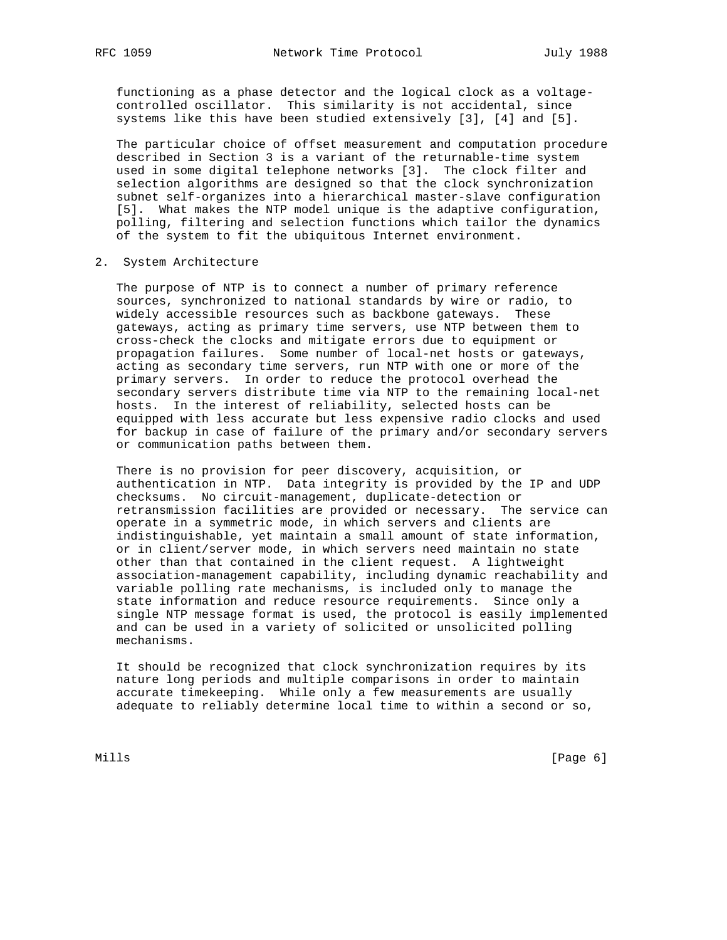functioning as a phase detector and the logical clock as a voltage controlled oscillator. This similarity is not accidental, since systems like this have been studied extensively [3], [4] and [5].

 The particular choice of offset measurement and computation procedure described in Section 3 is a variant of the returnable-time system used in some digital telephone networks [3]. The clock filter and selection algorithms are designed so that the clock synchronization subnet self-organizes into a hierarchical master-slave configuration [5]. What makes the NTP model unique is the adaptive configuration, polling, filtering and selection functions which tailor the dynamics of the system to fit the ubiquitous Internet environment.

2. System Architecture

 The purpose of NTP is to connect a number of primary reference sources, synchronized to national standards by wire or radio, to widely accessible resources such as backbone gateways. These gateways, acting as primary time servers, use NTP between them to cross-check the clocks and mitigate errors due to equipment or propagation failures. Some number of local-net hosts or gateways, acting as secondary time servers, run NTP with one or more of the primary servers. In order to reduce the protocol overhead the secondary servers distribute time via NTP to the remaining local-net hosts. In the interest of reliability, selected hosts can be equipped with less accurate but less expensive radio clocks and used for backup in case of failure of the primary and/or secondary servers or communication paths between them.

 There is no provision for peer discovery, acquisition, or authentication in NTP. Data integrity is provided by the IP and UDP checksums. No circuit-management, duplicate-detection or retransmission facilities are provided or necessary. The service can operate in a symmetric mode, in which servers and clients are indistinguishable, yet maintain a small amount of state information, or in client/server mode, in which servers need maintain no state other than that contained in the client request. A lightweight association-management capability, including dynamic reachability and variable polling rate mechanisms, is included only to manage the state information and reduce resource requirements. Since only a single NTP message format is used, the protocol is easily implemented and can be used in a variety of solicited or unsolicited polling mechanisms.

 It should be recognized that clock synchronization requires by its nature long periods and multiple comparisons in order to maintain accurate timekeeping. While only a few measurements are usually adequate to reliably determine local time to within a second or so,

Mills **Example 2** (Page 6) **Mills**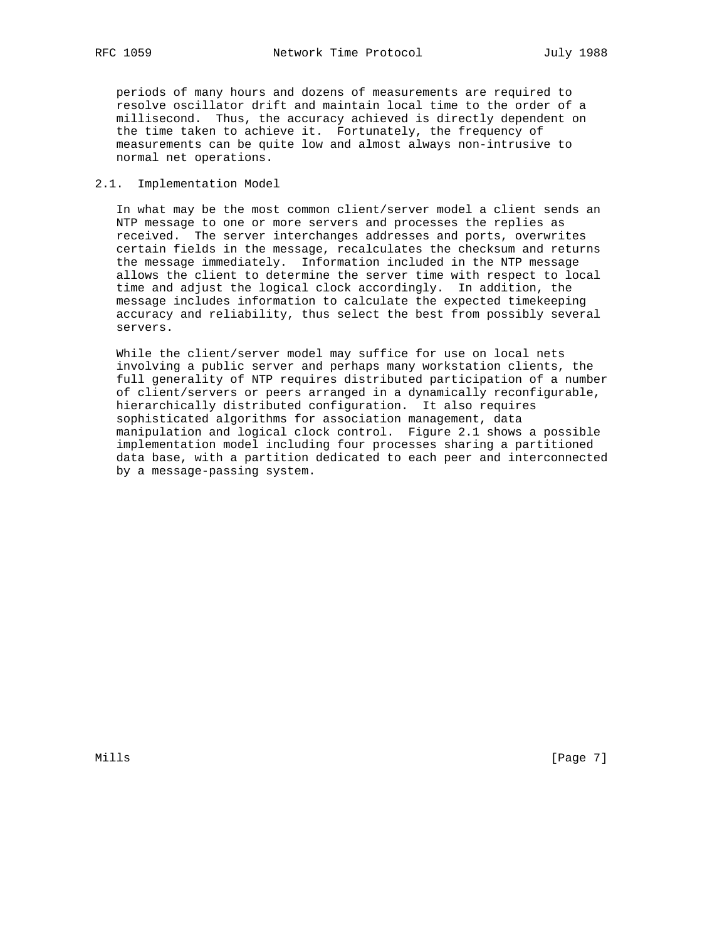periods of many hours and dozens of measurements are required to resolve oscillator drift and maintain local time to the order of a millisecond. Thus, the accuracy achieved is directly dependent on the time taken to achieve it. Fortunately, the frequency of measurements can be quite low and almost always non-intrusive to normal net operations.

#### 2.1. Implementation Model

 In what may be the most common client/server model a client sends an NTP message to one or more servers and processes the replies as received. The server interchanges addresses and ports, overwrites certain fields in the message, recalculates the checksum and returns the message immediately. Information included in the NTP message allows the client to determine the server time with respect to local time and adjust the logical clock accordingly. In addition, the message includes information to calculate the expected timekeeping accuracy and reliability, thus select the best from possibly several servers.

 While the client/server model may suffice for use on local nets involving a public server and perhaps many workstation clients, the full generality of NTP requires distributed participation of a number of client/servers or peers arranged in a dynamically reconfigurable, hierarchically distributed configuration. It also requires sophisticated algorithms for association management, data manipulation and logical clock control. Figure 2.1 shows a possible implementation model including four processes sharing a partitioned data base, with a partition dedicated to each peer and interconnected by a message-passing system.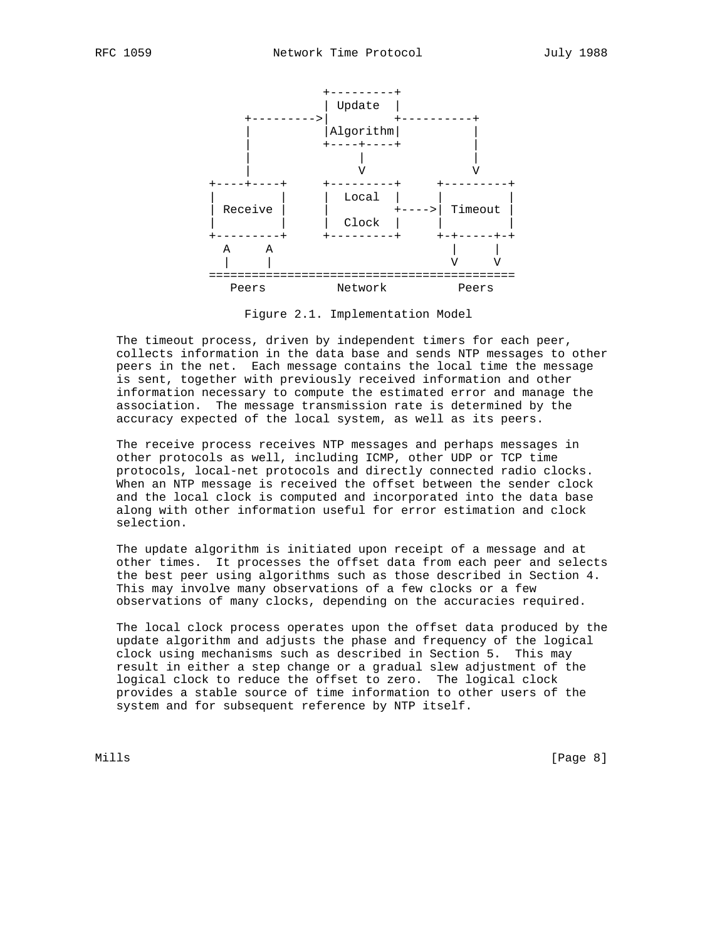

Figure 2.1. Implementation Model

 The timeout process, driven by independent timers for each peer, collects information in the data base and sends NTP messages to other peers in the net. Each message contains the local time the message is sent, together with previously received information and other information necessary to compute the estimated error and manage the association. The message transmission rate is determined by the accuracy expected of the local system, as well as its peers.

 The receive process receives NTP messages and perhaps messages in other protocols as well, including ICMP, other UDP or TCP time protocols, local-net protocols and directly connected radio clocks. When an NTP message is received the offset between the sender clock and the local clock is computed and incorporated into the data base along with other information useful for error estimation and clock selection.

 The update algorithm is initiated upon receipt of a message and at other times. It processes the offset data from each peer and selects the best peer using algorithms such as those described in Section 4. This may involve many observations of a few clocks or a few observations of many clocks, depending on the accuracies required.

 The local clock process operates upon the offset data produced by the update algorithm and adjusts the phase and frequency of the logical clock using mechanisms such as described in Section 5. This may result in either a step change or a gradual slew adjustment of the logical clock to reduce the offset to zero. The logical clock provides a stable source of time information to other users of the system and for subsequent reference by NTP itself.

Mills **Example 20** (Page 8)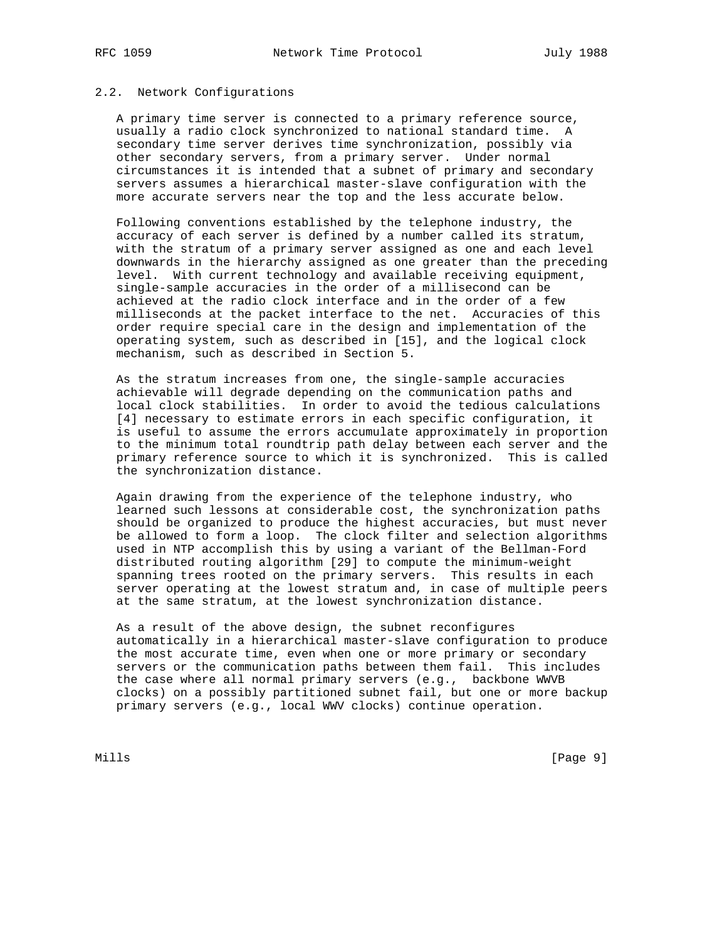# 2.2. Network Configurations

 A primary time server is connected to a primary reference source, usually a radio clock synchronized to national standard time. A secondary time server derives time synchronization, possibly via other secondary servers, from a primary server. Under normal circumstances it is intended that a subnet of primary and secondary servers assumes a hierarchical master-slave configuration with the more accurate servers near the top and the less accurate below.

 Following conventions established by the telephone industry, the accuracy of each server is defined by a number called its stratum, with the stratum of a primary server assigned as one and each level downwards in the hierarchy assigned as one greater than the preceding level. With current technology and available receiving equipment, single-sample accuracies in the order of a millisecond can be achieved at the radio clock interface and in the order of a few milliseconds at the packet interface to the net. Accuracies of this order require special care in the design and implementation of the operating system, such as described in [15], and the logical clock mechanism, such as described in Section 5.

 As the stratum increases from one, the single-sample accuracies achievable will degrade depending on the communication paths and local clock stabilities. In order to avoid the tedious calculations [4] necessary to estimate errors in each specific configuration, it is useful to assume the errors accumulate approximately in proportion to the minimum total roundtrip path delay between each server and the primary reference source to which it is synchronized. This is called the synchronization distance.

 Again drawing from the experience of the telephone industry, who learned such lessons at considerable cost, the synchronization paths should be organized to produce the highest accuracies, but must never be allowed to form a loop. The clock filter and selection algorithms used in NTP accomplish this by using a variant of the Bellman-Ford distributed routing algorithm [29] to compute the minimum-weight spanning trees rooted on the primary servers. This results in each server operating at the lowest stratum and, in case of multiple peers at the same stratum, at the lowest synchronization distance.

 As a result of the above design, the subnet reconfigures automatically in a hierarchical master-slave configuration to produce the most accurate time, even when one or more primary or secondary servers or the communication paths between them fail. This includes the case where all normal primary servers (e.g., backbone WWVB clocks) on a possibly partitioned subnet fail, but one or more backup primary servers (e.g., local WWV clocks) continue operation.

Mills [Page 9]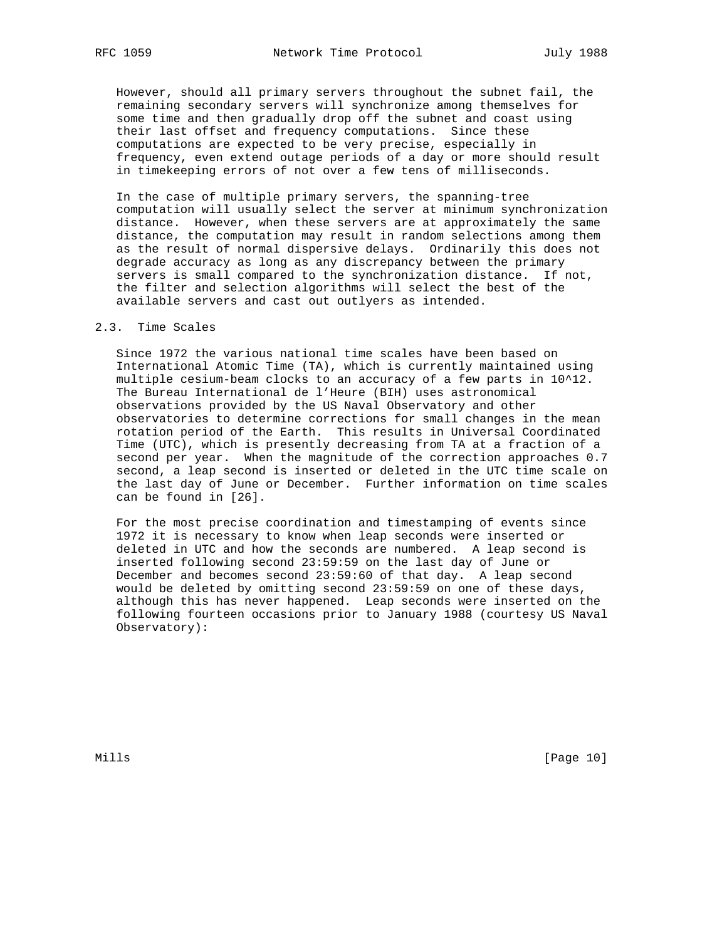However, should all primary servers throughout the subnet fail, the remaining secondary servers will synchronize among themselves for some time and then gradually drop off the subnet and coast using their last offset and frequency computations. Since these computations are expected to be very precise, especially in frequency, even extend outage periods of a day or more should result in timekeeping errors of not over a few tens of milliseconds.

 In the case of multiple primary servers, the spanning-tree computation will usually select the server at minimum synchronization distance. However, when these servers are at approximately the same distance, the computation may result in random selections among them as the result of normal dispersive delays. Ordinarily this does not degrade accuracy as long as any discrepancy between the primary servers is small compared to the synchronization distance. If not, the filter and selection algorithms will select the best of the available servers and cast out outlyers as intended.

## 2.3. Time Scales

 Since 1972 the various national time scales have been based on International Atomic Time (TA), which is currently maintained using multiple cesium-beam clocks to an accuracy of a few parts in 10^12. The Bureau International de l'Heure (BIH) uses astronomical observations provided by the US Naval Observatory and other observatories to determine corrections for small changes in the mean rotation period of the Earth. This results in Universal Coordinated Time (UTC), which is presently decreasing from TA at a fraction of a second per year. When the magnitude of the correction approaches 0.7 second, a leap second is inserted or deleted in the UTC time scale on the last day of June or December. Further information on time scales can be found in [26].

 For the most precise coordination and timestamping of events since 1972 it is necessary to know when leap seconds were inserted or deleted in UTC and how the seconds are numbered. A leap second is inserted following second 23:59:59 on the last day of June or December and becomes second 23:59:60 of that day. A leap second would be deleted by omitting second 23:59:59 on one of these days, although this has never happened. Leap seconds were inserted on the following fourteen occasions prior to January 1988 (courtesy US Naval Observatory):

Mills [Page 10]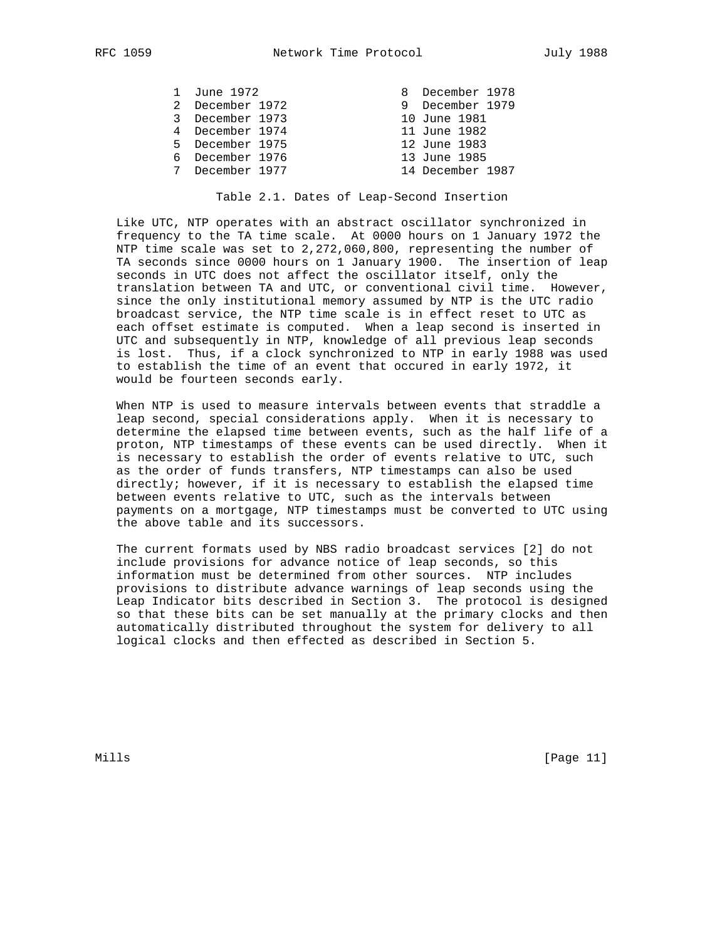| 1 June 1972     |  | 8 December 1978  |  |
|-----------------|--|------------------|--|
| 2 December 1972 |  | 9 December 1979  |  |
| 3 December 1973 |  | 10 June 1981     |  |
| 4 December 1974 |  | 11 June 1982     |  |
| 5 December 1975 |  | 12 June 1983     |  |
| 6 December 1976 |  | 13 June 1985     |  |
| 7 December 1977 |  | 14 December 1987 |  |

#### Table 2.1. Dates of Leap-Second Insertion

 Like UTC, NTP operates with an abstract oscillator synchronized in frequency to the TA time scale. At 0000 hours on 1 January 1972 the NTP time scale was set to 2,272,060,800, representing the number of TA seconds since 0000 hours on 1 January 1900. The insertion of leap seconds in UTC does not affect the oscillator itself, only the translation between TA and UTC, or conventional civil time. However, since the only institutional memory assumed by NTP is the UTC radio broadcast service, the NTP time scale is in effect reset to UTC as each offset estimate is computed. When a leap second is inserted in UTC and subsequently in NTP, knowledge of all previous leap seconds is lost. Thus, if a clock synchronized to NTP in early 1988 was used to establish the time of an event that occured in early 1972, it would be fourteen seconds early.

 When NTP is used to measure intervals between events that straddle a leap second, special considerations apply. When it is necessary to determine the elapsed time between events, such as the half life of a proton, NTP timestamps of these events can be used directly. When it is necessary to establish the order of events relative to UTC, such as the order of funds transfers, NTP timestamps can also be used directly; however, if it is necessary to establish the elapsed time between events relative to UTC, such as the intervals between payments on a mortgage, NTP timestamps must be converted to UTC using the above table and its successors.

 The current formats used by NBS radio broadcast services [2] do not include provisions for advance notice of leap seconds, so this information must be determined from other sources. NTP includes provisions to distribute advance warnings of leap seconds using the Leap Indicator bits described in Section 3. The protocol is designed so that these bits can be set manually at the primary clocks and then automatically distributed throughout the system for delivery to all logical clocks and then effected as described in Section 5.

Mills [Page 11]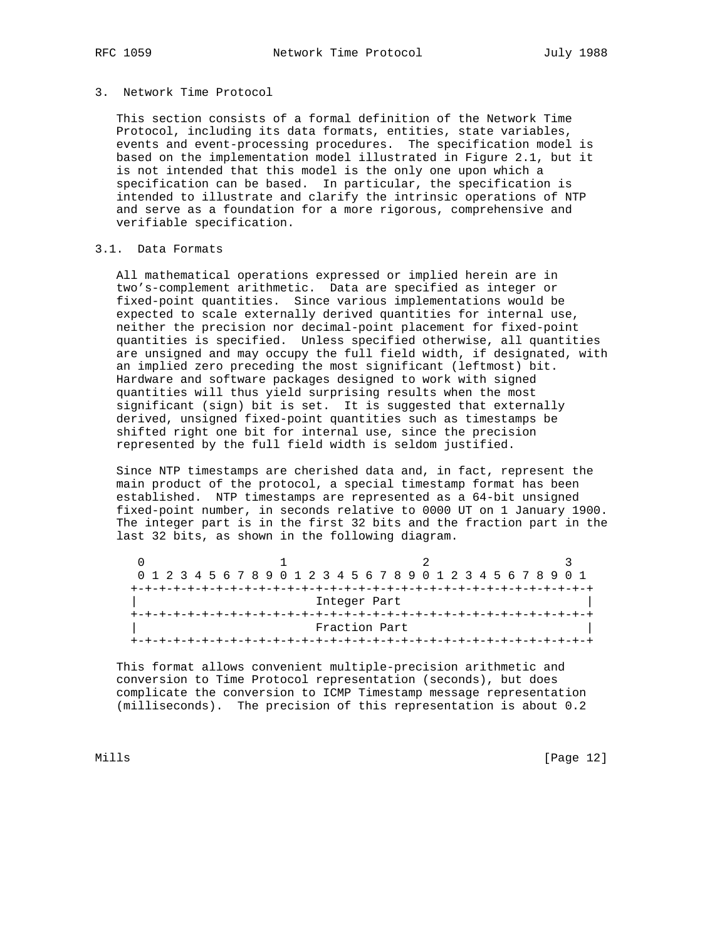# 3. Network Time Protocol

 This section consists of a formal definition of the Network Time Protocol, including its data formats, entities, state variables, events and event-processing procedures. The specification model is based on the implementation model illustrated in Figure 2.1, but it is not intended that this model is the only one upon which a specification can be based. In particular, the specification is intended to illustrate and clarify the intrinsic operations of NTP and serve as a foundation for a more rigorous, comprehensive and verifiable specification.

## 3.1. Data Formats

 All mathematical operations expressed or implied herein are in two's-complement arithmetic. Data are specified as integer or fixed-point quantities. Since various implementations would be expected to scale externally derived quantities for internal use, neither the precision nor decimal-point placement for fixed-point quantities is specified. Unless specified otherwise, all quantities are unsigned and may occupy the full field width, if designated, with an implied zero preceding the most significant (leftmost) bit. Hardware and software packages designed to work with signed quantities will thus yield surprising results when the most significant (sign) bit is set. It is suggested that externally derived, unsigned fixed-point quantities such as timestamps be shifted right one bit for internal use, since the precision represented by the full field width is seldom justified.

 Since NTP timestamps are cherished data and, in fact, represent the main product of the protocol, a special timestamp format has been established. NTP timestamps are represented as a 64-bit unsigned fixed-point number, in seconds relative to 0000 UT on 1 January 1900. The integer part is in the first 32 bits and the fraction part in the last 32 bits, as shown in the following diagram.

|              |  |  |  |  |  |  |  |  |  |  | 0 1 2 3 4 5 6 7 8 9 0 1 2 3 4 5 6 7 8 9 0 1 2 3 4 5 6 7 8 9 0 1 |  |  |  |  |  |  |  |  |
|--------------|--|--|--|--|--|--|--|--|--|--|-----------------------------------------------------------------|--|--|--|--|--|--|--|--|
|              |  |  |  |  |  |  |  |  |  |  |                                                                 |  |  |  |  |  |  |  |  |
| Integer Part |  |  |  |  |  |  |  |  |  |  |                                                                 |  |  |  |  |  |  |  |  |
|              |  |  |  |  |  |  |  |  |  |  |                                                                 |  |  |  |  |  |  |  |  |
|              |  |  |  |  |  |  |  |  |  |  | Fraction Part                                                   |  |  |  |  |  |  |  |  |
|              |  |  |  |  |  |  |  |  |  |  |                                                                 |  |  |  |  |  |  |  |  |

 This format allows convenient multiple-precision arithmetic and conversion to Time Protocol representation (seconds), but does complicate the conversion to ICMP Timestamp message representation (milliseconds). The precision of this representation is about 0.2

Mills [Page 12]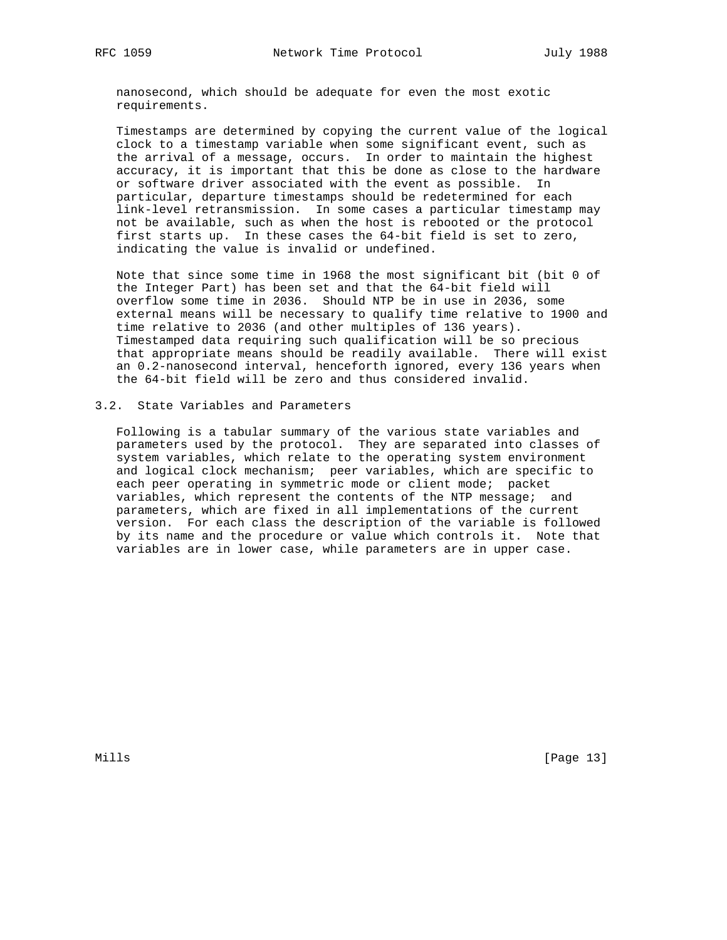nanosecond, which should be adequate for even the most exotic requirements.

 Timestamps are determined by copying the current value of the logical clock to a timestamp variable when some significant event, such as the arrival of a message, occurs. In order to maintain the highest accuracy, it is important that this be done as close to the hardware or software driver associated with the event as possible. In particular, departure timestamps should be redetermined for each link-level retransmission. In some cases a particular timestamp may not be available, such as when the host is rebooted or the protocol first starts up. In these cases the 64-bit field is set to zero, indicating the value is invalid or undefined.

 Note that since some time in 1968 the most significant bit (bit 0 of the Integer Part) has been set and that the 64-bit field will overflow some time in 2036. Should NTP be in use in 2036, some external means will be necessary to qualify time relative to 1900 and time relative to 2036 (and other multiples of 136 years). Timestamped data requiring such qualification will be so precious that appropriate means should be readily available. There will exist an 0.2-nanosecond interval, henceforth ignored, every 136 years when the 64-bit field will be zero and thus considered invalid.

# 3.2. State Variables and Parameters

 Following is a tabular summary of the various state variables and parameters used by the protocol. They are separated into classes of system variables, which relate to the operating system environment and logical clock mechanism; peer variables, which are specific to each peer operating in symmetric mode or client mode; packet variables, which represent the contents of the NTP message; and parameters, which are fixed in all implementations of the current version. For each class the description of the variable is followed by its name and the procedure or value which controls it. Note that variables are in lower case, while parameters are in upper case.

Mills [Page 13]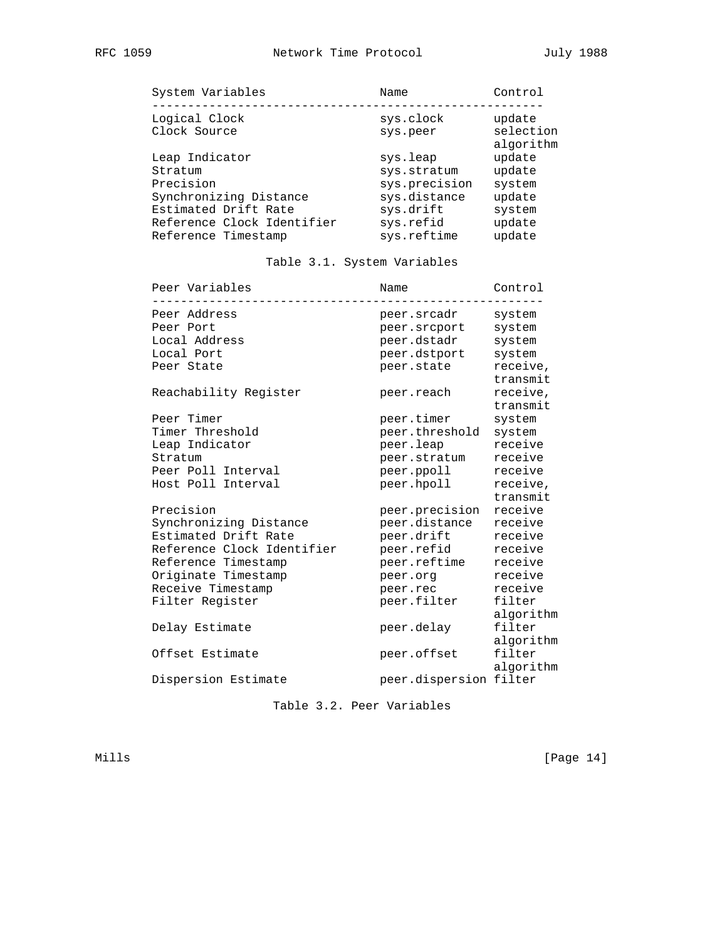| Logical Clock<br>sys.clock<br>Clock Source<br>sys.peer<br>Leap Indicator<br>sys.leap                                                                                                                                 | Control                                                            |
|----------------------------------------------------------------------------------------------------------------------------------------------------------------------------------------------------------------------|--------------------------------------------------------------------|
|                                                                                                                                                                                                                      | update<br>selection<br>algorithm                                   |
| Stratum<br>sys.stratum<br>Precision<br>sys.precision<br>Synchronizing Distance<br>sys.distance<br>Estimated Drift Rate<br>sys.drift<br>Reference Clock Identifier<br>sys.refid<br>sys.reftime<br>Reference Timestamp | update<br>update<br>system<br>update<br>system<br>update<br>update |

# Table 3.1. System Variables

| Peer Variables             | Name                   | Control              |
|----------------------------|------------------------|----------------------|
| Peer Address               | peer.srcadr            | system               |
| Peer Port                  | peer.srcport           | system               |
| Local Address              | peer.dstadr            | system               |
| Local Port                 | peer.dstport           | system               |
| Peer State                 | peer.state             | receive,<br>transmit |
| Reachability Register      | peer.reach             | receive,<br>transmit |
| Peer Timer                 | peer.timer             | system               |
| Timer Threshold            | peer.threshold         | system               |
| Leap Indicator             | peer.leap              | receive              |
| Stratum                    | peer.stratum           | receive              |
| Peer Poll Interval         | peer.ppoll             | receive              |
| Host Poll Interval         | peer.hpoll             | receive,<br>transmit |
| Precision                  | peer.precision         | receive              |
| Synchronizing Distance     | peer.distance          | receive              |
| Estimated Drift Rate       | peer.drift             | receive              |
| Reference Clock Identifier | peer.refid             | receive              |
| Reference Timestamp        | peer.reftime           | receive              |
| Originate Timestamp        | peer.org               | receive              |
| Receive Timestamp          | peer.rec               | receive              |
| Filter Register            | peer.filter            | filter<br>algorithm  |
| Delay Estimate             | peer.delay             | filter<br>algorithm  |
| Offset Estimate            | peer.offset            | filter<br>algorithm  |
| Dispersion Estimate        | peer.dispersion filter |                      |

Table 3.2. Peer Variables

Mills [Page 14]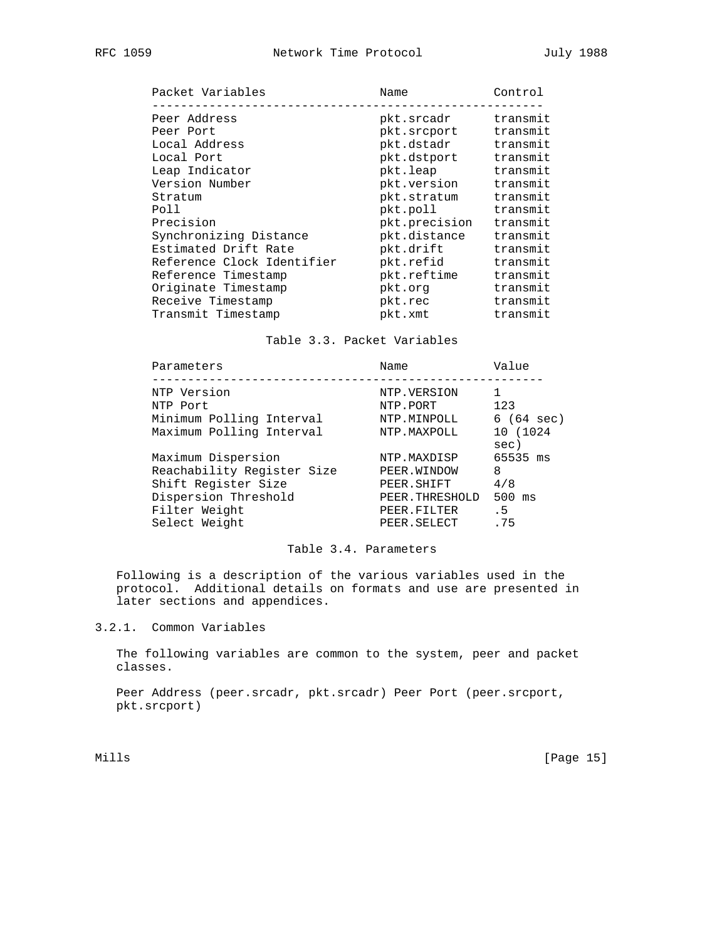| Packet Variables           | Name          | Control  |
|----------------------------|---------------|----------|
| Peer Address               | pkt.srcadr    | transmit |
| Peer Port                  | pkt.srcport   | transmit |
| Local Address              | pkt.dstadr    | transmit |
| Local Port                 | pkt.dstport   | transmit |
| Leap Indicator             | pkt.leap      | transmit |
| Version Number             | pkt.version   | transmit |
| Stratum                    | pkt.stratum   | transmit |
| Poll                       | pkt.poll      | transmit |
| Precision                  | pkt.precision | transmit |
| Synchronizing Distance     | pkt.distance  | transmit |
| Estimated Drift Rate       | pkt.drift     | transmit |
| Reference Clock Identifier | pkt.refid     | transmit |
| Reference Timestamp        | pkt.reftime   | transmit |
| Originate Timestamp        | pkt.org       | transmit |
| Receive Timestamp          | pkt.rec       | transmit |
| Transmit Timestamp         | pkt.xmt       | transmit |

# Table 3.3. Packet Variables

| Parameters                 | Name           | Value               |
|----------------------------|----------------|---------------------|
| NTP Version                | NTP.VERSION    |                     |
| NTP Port                   | NTP.PORT       | 123                 |
| Minimum Polling Interval   | NTP.MINPOLL    | $6(64 \text{ sec})$ |
| Maximum Polling Interval   | NTP.MAXPOLL    | 10 (1024<br>sec)    |
| Maximum Dispersion         | NTP.MAXDISP    | 65535 ms            |
| Reachability Register Size | PEER. WINDOW   | 8                   |
| Shift Register Size        | PEER. SHIFT    | 4/8                 |
| Dispersion Threshold       | PEER.THRESHOLD | $500$ ms            |
| Filter Weight              | PEER.FILTER    | . 5                 |
| Select Weight              | PEER.SELECT    | .75                 |
|                            |                |                     |

## Table 3.4. Parameters

 Following is a description of the various variables used in the protocol. Additional details on formats and use are presented in later sections and appendices.

# 3.2.1. Common Variables

 The following variables are common to the system, peer and packet classes.

 Peer Address (peer.srcadr, pkt.srcadr) Peer Port (peer.srcport, pkt.srcport)

Mills [Page 15]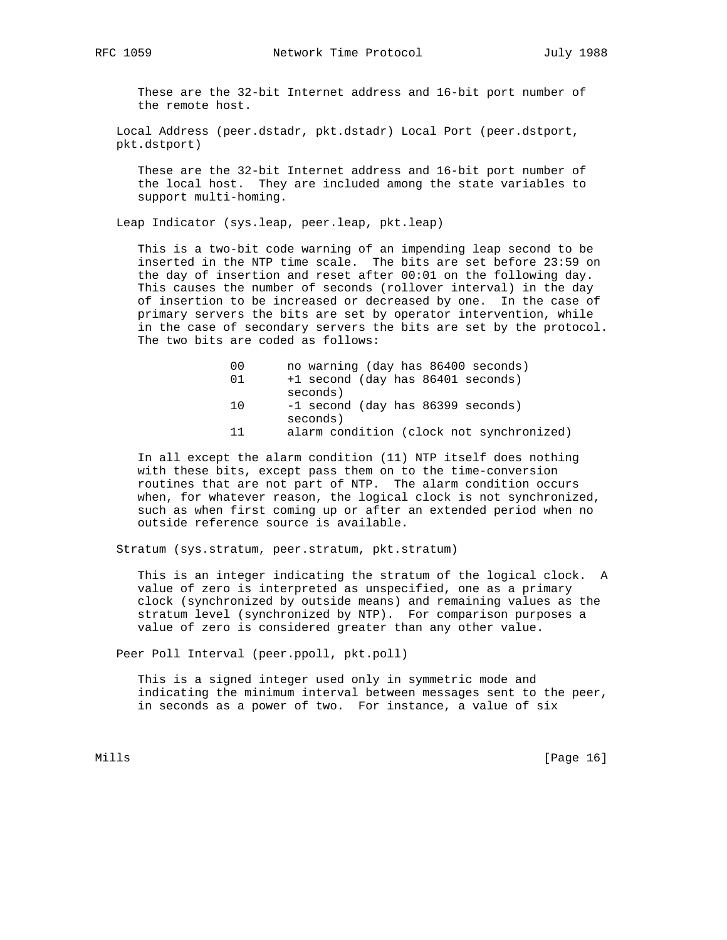These are the 32-bit Internet address and 16-bit port number of the remote host.

 Local Address (peer.dstadr, pkt.dstadr) Local Port (peer.dstport, pkt.dstport)

 These are the 32-bit Internet address and 16-bit port number of the local host. They are included among the state variables to support multi-homing.

Leap Indicator (sys.leap, peer.leap, pkt.leap)

 This is a two-bit code warning of an impending leap second to be inserted in the NTP time scale. The bits are set before 23:59 on the day of insertion and reset after 00:01 on the following day. This causes the number of seconds (rollover interval) in the day of insertion to be increased or decreased by one. In the case of primary servers the bits are set by operator intervention, while in the case of secondary servers the bits are set by the protocol. The two bits are coded as follows:

- 00 no warning (day has 86400 seconds)
- 01 +1 second (day has 86401 seconds) seconds)
- 10 -1 second (day has 86399 seconds) seconds)
- 11 alarm condition (clock not synchronized)

 In all except the alarm condition (11) NTP itself does nothing with these bits, except pass them on to the time-conversion routines that are not part of NTP. The alarm condition occurs when, for whatever reason, the logical clock is not synchronized, such as when first coming up or after an extended period when no outside reference source is available.

Stratum (sys.stratum, peer.stratum, pkt.stratum)

 This is an integer indicating the stratum of the logical clock. A value of zero is interpreted as unspecified, one as a primary clock (synchronized by outside means) and remaining values as the stratum level (synchronized by NTP). For comparison purposes a value of zero is considered greater than any other value.

Peer Poll Interval (peer.ppoll, pkt.poll)

 This is a signed integer used only in symmetric mode and indicating the minimum interval between messages sent to the peer, in seconds as a power of two. For instance, a value of six

Mills [Page 16]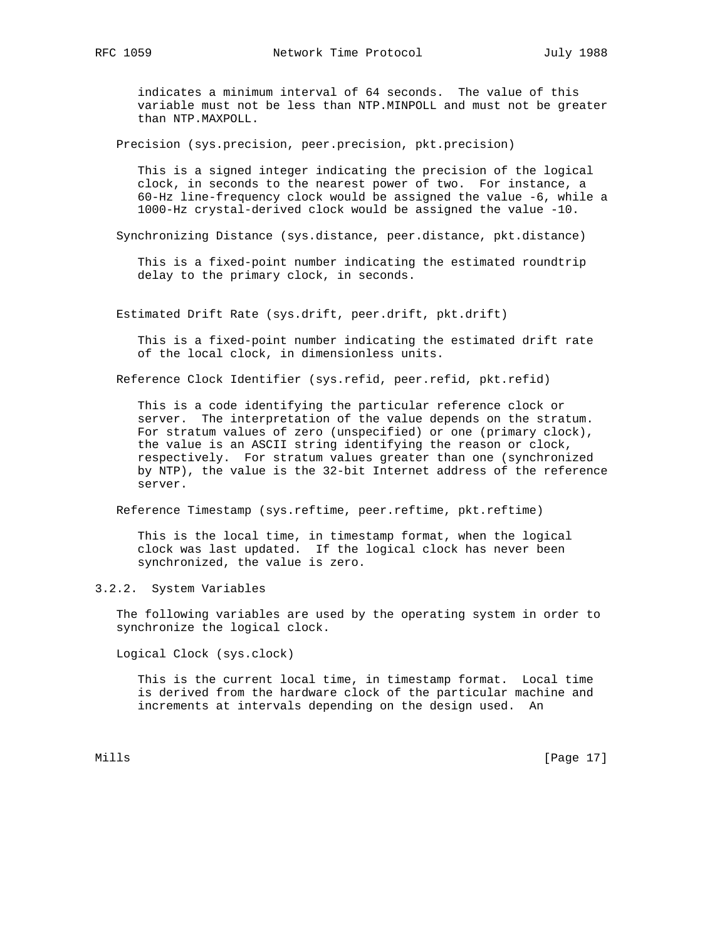indicates a minimum interval of 64 seconds. The value of this variable must not be less than NTP.MINPOLL and must not be greater than NTP.MAXPOLL.

Precision (sys.precision, peer.precision, pkt.precision)

 This is a signed integer indicating the precision of the logical clock, in seconds to the nearest power of two. For instance, a 60-Hz line-frequency clock would be assigned the value -6, while a 1000-Hz crystal-derived clock would be assigned the value -10.

Synchronizing Distance (sys.distance, peer.distance, pkt.distance)

 This is a fixed-point number indicating the estimated roundtrip delay to the primary clock, in seconds.

Estimated Drift Rate (sys.drift, peer.drift, pkt.drift)

 This is a fixed-point number indicating the estimated drift rate of the local clock, in dimensionless units.

Reference Clock Identifier (sys.refid, peer.refid, pkt.refid)

 This is a code identifying the particular reference clock or server. The interpretation of the value depends on the stratum. For stratum values of zero (unspecified) or one (primary clock), the value is an ASCII string identifying the reason or clock, respectively. For stratum values greater than one (synchronized by NTP), the value is the 32-bit Internet address of the reference server.

Reference Timestamp (sys.reftime, peer.reftime, pkt.reftime)

 This is the local time, in timestamp format, when the logical clock was last updated. If the logical clock has never been synchronized, the value is zero.

## 3.2.2. System Variables

 The following variables are used by the operating system in order to synchronize the logical clock.

Logical Clock (sys.clock)

 This is the current local time, in timestamp format. Local time is derived from the hardware clock of the particular machine and increments at intervals depending on the design used. An

Mills [Page 17]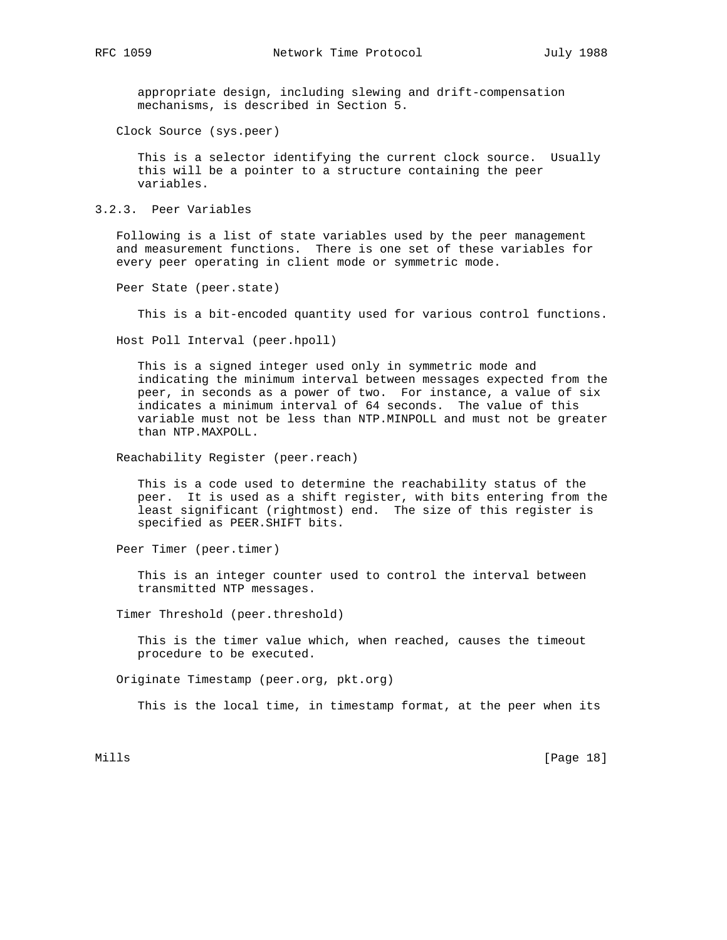appropriate design, including slewing and drift-compensation mechanisms, is described in Section 5.

Clock Source (sys.peer)

 This is a selector identifying the current clock source. Usually this will be a pointer to a structure containing the peer variables.

3.2.3. Peer Variables

 Following is a list of state variables used by the peer management and measurement functions. There is one set of these variables for every peer operating in client mode or symmetric mode.

Peer State (peer.state)

This is a bit-encoded quantity used for various control functions.

Host Poll Interval (peer.hpoll)

 This is a signed integer used only in symmetric mode and indicating the minimum interval between messages expected from the peer, in seconds as a power of two. For instance, a value of six indicates a minimum interval of 64 seconds. The value of this variable must not be less than NTP.MINPOLL and must not be greater than NTP.MAXPOLL.

Reachability Register (peer.reach)

 This is a code used to determine the reachability status of the peer. It is used as a shift register, with bits entering from the least significant (rightmost) end. The size of this register is specified as PEER.SHIFT bits.

Peer Timer (peer.timer)

 This is an integer counter used to control the interval between transmitted NTP messages.

Timer Threshold (peer.threshold)

 This is the timer value which, when reached, causes the timeout procedure to be executed.

Originate Timestamp (peer.org, pkt.org)

This is the local time, in timestamp format, at the peer when its

Mills [Page 18]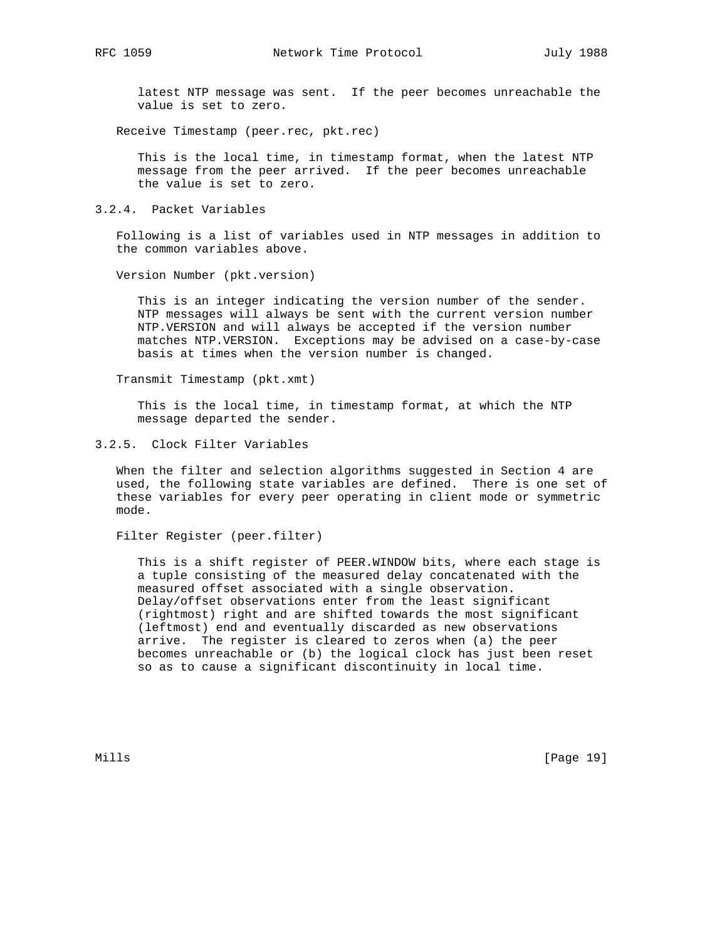latest NTP message was sent. If the peer becomes unreachable the value is set to zero.

Receive Timestamp (peer.rec, pkt.rec)

 This is the local time, in timestamp format, when the latest NTP message from the peer arrived. If the peer becomes unreachable the value is set to zero.

3.2.4. Packet Variables

 Following is a list of variables used in NTP messages in addition to the common variables above.

Version Number (pkt.version)

 This is an integer indicating the version number of the sender. NTP messages will always be sent with the current version number NTP.VERSION and will always be accepted if the version number matches NTP.VERSION. Exceptions may be advised on a case-by-case basis at times when the version number is changed.

Transmit Timestamp (pkt.xmt)

 This is the local time, in timestamp format, at which the NTP message departed the sender.

3.2.5. Clock Filter Variables

 When the filter and selection algorithms suggested in Section 4 are used, the following state variables are defined. There is one set of these variables for every peer operating in client mode or symmetric mode.

Filter Register (peer.filter)

 This is a shift register of PEER.WINDOW bits, where each stage is a tuple consisting of the measured delay concatenated with the measured offset associated with a single observation. Delay/offset observations enter from the least significant (rightmost) right and are shifted towards the most significant (leftmost) end and eventually discarded as new observations arrive. The register is cleared to zeros when (a) the peer becomes unreachable or (b) the logical clock has just been reset so as to cause a significant discontinuity in local time.

Mills [Page 19]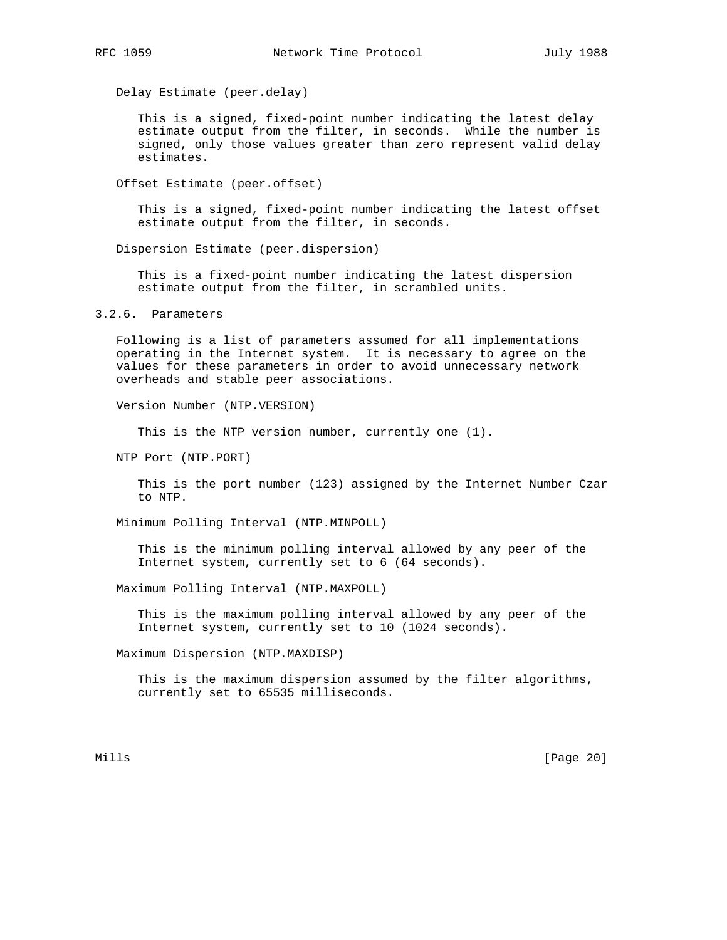Delay Estimate (peer.delay)

 This is a signed, fixed-point number indicating the latest delay estimate output from the filter, in seconds. While the number is signed, only those values greater than zero represent valid delay estimates.

Offset Estimate (peer.offset)

 This is a signed, fixed-point number indicating the latest offset estimate output from the filter, in seconds.

Dispersion Estimate (peer.dispersion)

 This is a fixed-point number indicating the latest dispersion estimate output from the filter, in scrambled units.

3.2.6. Parameters

 Following is a list of parameters assumed for all implementations operating in the Internet system. It is necessary to agree on the values for these parameters in order to avoid unnecessary network overheads and stable peer associations.

Version Number (NTP.VERSION)

This is the NTP version number, currently one (1).

NTP Port (NTP.PORT)

 This is the port number (123) assigned by the Internet Number Czar to NTP.

Minimum Polling Interval (NTP.MINPOLL)

 This is the minimum polling interval allowed by any peer of the Internet system, currently set to 6 (64 seconds).

Maximum Polling Interval (NTP.MAXPOLL)

 This is the maximum polling interval allowed by any peer of the Internet system, currently set to 10 (1024 seconds).

Maximum Dispersion (NTP.MAXDISP)

 This is the maximum dispersion assumed by the filter algorithms, currently set to 65535 milliseconds.

Mills [Page 20]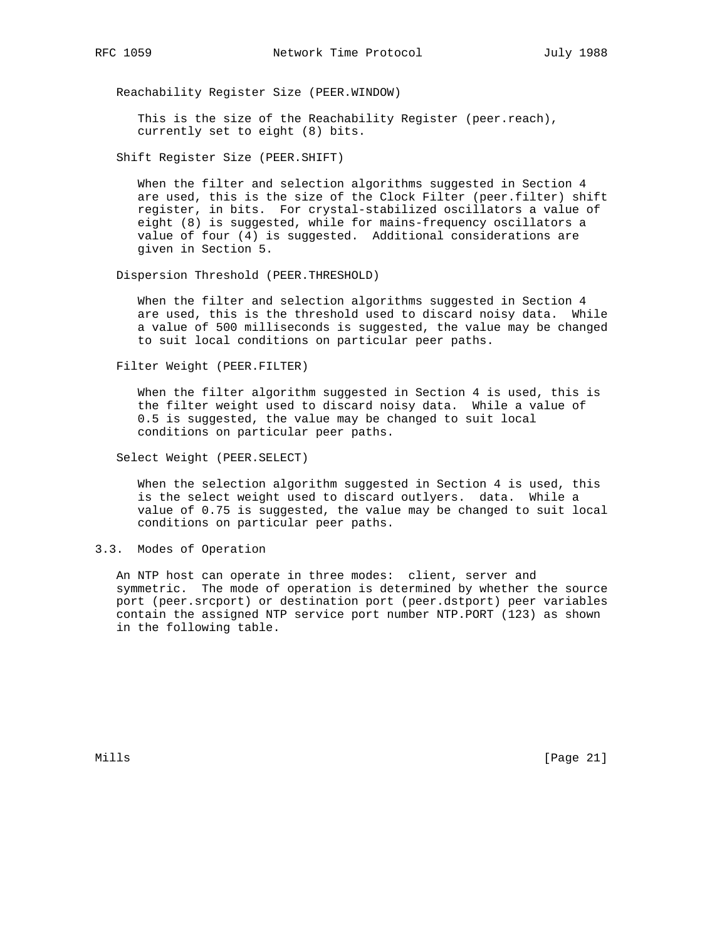Reachability Register Size (PEER.WINDOW)

 This is the size of the Reachability Register (peer.reach), currently set to eight (8) bits.

Shift Register Size (PEER.SHIFT)

 When the filter and selection algorithms suggested in Section 4 are used, this is the size of the Clock Filter (peer.filter) shift register, in bits. For crystal-stabilized oscillators a value of eight (8) is suggested, while for mains-frequency oscillators a value of four (4) is suggested. Additional considerations are given in Section 5.

Dispersion Threshold (PEER.THRESHOLD)

 When the filter and selection algorithms suggested in Section 4 are used, this is the threshold used to discard noisy data. While a value of 500 milliseconds is suggested, the value may be changed to suit local conditions on particular peer paths.

Filter Weight (PEER.FILTER)

 When the filter algorithm suggested in Section 4 is used, this is the filter weight used to discard noisy data. While a value of 0.5 is suggested, the value may be changed to suit local conditions on particular peer paths.

Select Weight (PEER.SELECT)

 When the selection algorithm suggested in Section 4 is used, this is the select weight used to discard outlyers. data. While a value of 0.75 is suggested, the value may be changed to suit local conditions on particular peer paths.

3.3. Modes of Operation

 An NTP host can operate in three modes: client, server and symmetric. The mode of operation is determined by whether the source port (peer.srcport) or destination port (peer.dstport) peer variables contain the assigned NTP service port number NTP.PORT (123) as shown in the following table.

Mills [Page 21]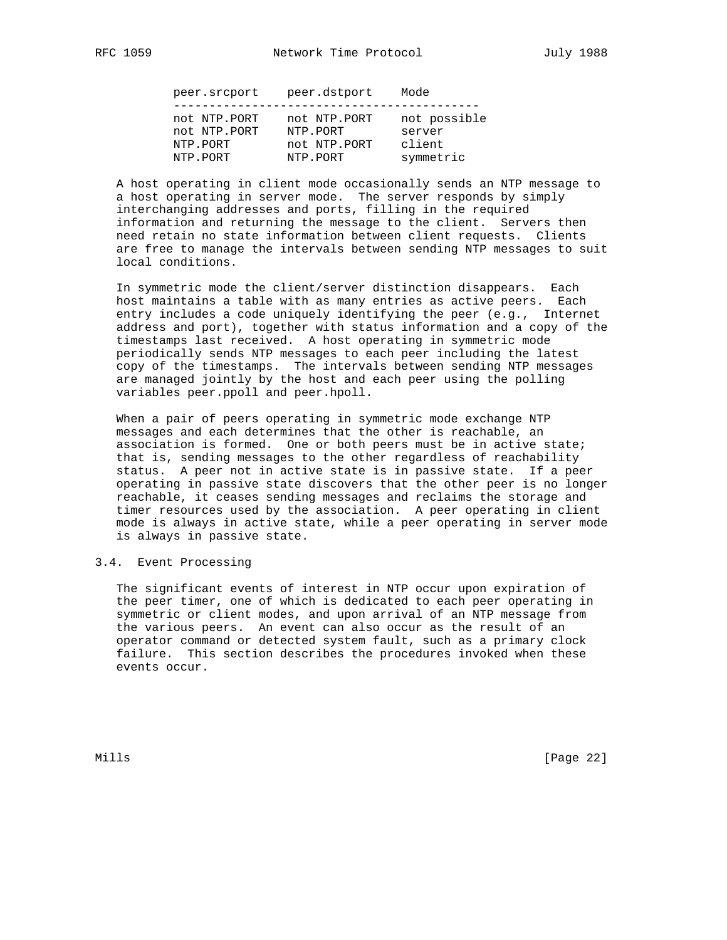| not NTP.PORT<br>not NTP.PORT<br>not NTP.PORT<br>NTP.PORT<br>server<br>client<br>not NTP.PORT<br>NTP.PORT<br>symmetric<br>NTP.PORT<br>NTP.PORT | peer.srcport | peer.dstport | Mode         |
|-----------------------------------------------------------------------------------------------------------------------------------------------|--------------|--------------|--------------|
|                                                                                                                                               |              |              | not possible |

 A host operating in client mode occasionally sends an NTP message to a host operating in server mode. The server responds by simply interchanging addresses and ports, filling in the required information and returning the message to the client. Servers then need retain no state information between client requests. Clients are free to manage the intervals between sending NTP messages to suit local conditions.

 In symmetric mode the client/server distinction disappears. Each host maintains a table with as many entries as active peers. Each entry includes a code uniquely identifying the peer (e.g., Internet address and port), together with status information and a copy of the timestamps last received. A host operating in symmetric mode periodically sends NTP messages to each peer including the latest copy of the timestamps. The intervals between sending NTP messages are managed jointly by the host and each peer using the polling variables peer.ppoll and peer.hpoll.

 When a pair of peers operating in symmetric mode exchange NTP messages and each determines that the other is reachable, an association is formed. One or both peers must be in active state; that is, sending messages to the other regardless of reachability status. A peer not in active state is in passive state. If a peer operating in passive state discovers that the other peer is no longer reachable, it ceases sending messages and reclaims the storage and timer resources used by the association. A peer operating in client mode is always in active state, while a peer operating in server mode is always in passive state.

## 3.4. Event Processing

 The significant events of interest in NTP occur upon expiration of the peer timer, one of which is dedicated to each peer operating in symmetric or client modes, and upon arrival of an NTP message from the various peers. An event can also occur as the result of an operator command or detected system fault, such as a primary clock failure. This section describes the procedures invoked when these events occur.

Mills [Page 22]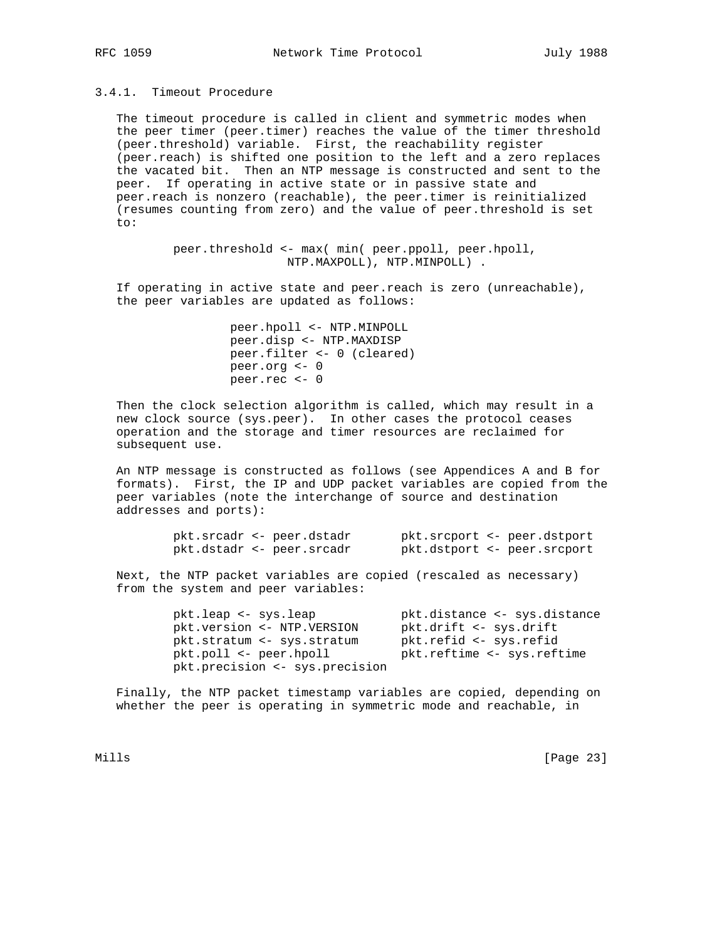# 3.4.1. Timeout Procedure

 The timeout procedure is called in client and symmetric modes when the peer timer (peer.timer) reaches the value of the timer threshold (peer.threshold) variable. First, the reachability register (peer.reach) is shifted one position to the left and a zero replaces the vacated bit. Then an NTP message is constructed and sent to the peer. If operating in active state or in passive state and peer.reach is nonzero (reachable), the peer.timer is reinitialized (resumes counting from zero) and the value of peer.threshold is set to:

> peer.threshold <- max( min( peer.ppoll, peer.hpoll, NTP.MAXPOLL), NTP.MINPOLL) .

 If operating in active state and peer.reach is zero (unreachable), the peer variables are updated as follows:

> peer.hpoll <- NTP.MINPOLL peer.disp <- NTP.MAXDISP peer.filter <- 0 (cleared) peer.org <- 0 peer.rec <- 0

 Then the clock selection algorithm is called, which may result in a new clock source (sys.peer). In other cases the protocol ceases operation and the storage and timer resources are reclaimed for subsequent use.

 An NTP message is constructed as follows (see Appendices A and B for formats). First, the IP and UDP packet variables are copied from the peer variables (note the interchange of source and destination addresses and ports):

|  | pkt.srcadr <- peer.dstadr |  | pkt.srcport <- peer.dstport |
|--|---------------------------|--|-----------------------------|
|  | pkt.dstadr <- peer.srcadr |  | pkt.dstport <- peer.srcport |

 Next, the NTP packet variables are copied (rescaled as necessary) from the system and peer variables:

 pkt.leap <- sys.leap pkt.distance <- sys.distance pkt.version <- NTP.VERSION pkt.drift <- sys.drift pkt.stratum <- sys.stratum pkt.refid <- sys.refid pkt.poll <- peer.hpoll pkt.reftime <- sys.reftime pkt.precision <- sys.precision

 Finally, the NTP packet timestamp variables are copied, depending on whether the peer is operating in symmetric mode and reachable, in

Mills [Page 23]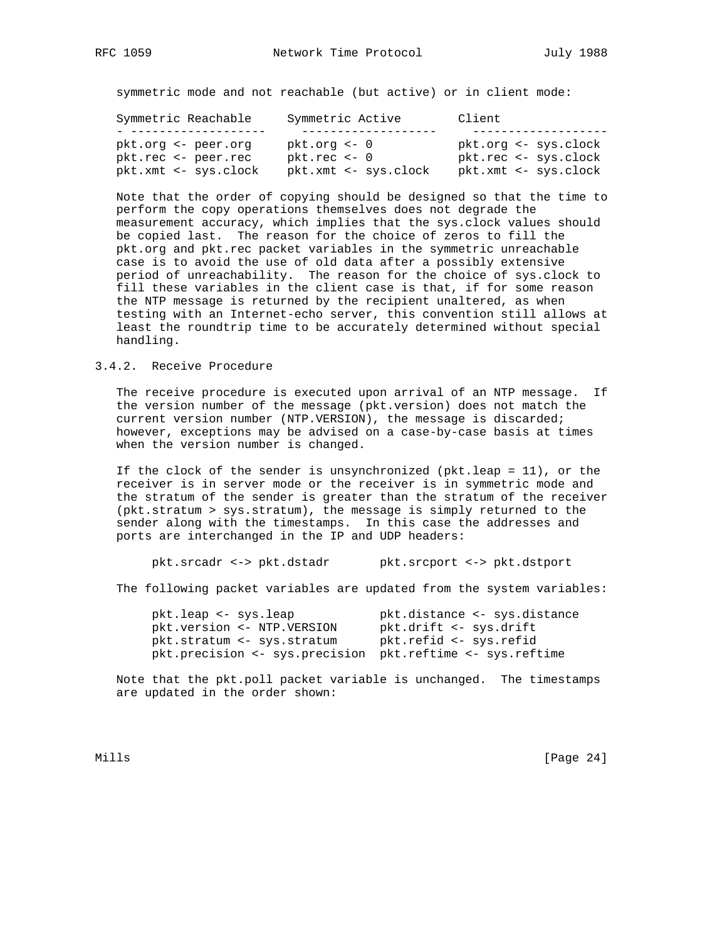symmetric mode and not reachable (but active) or in client mode:

| Symmetric Reachable  | Symmetric Active     | Client               |
|----------------------|----------------------|----------------------|
|                      |                      |                      |
| pkt.org <- peer.org  | $pkt.org < -0$       | pkt.org <- sys.clock |
| pkt.rec <- peer.rec  | $pk$ .rec $<-0$      | pkt.rec <- sys.clock |
| pkt.xmt <- sys.clock | pkt.xmt <- sys.clock | pkt.xmt <- sys.clock |

 Note that the order of copying should be designed so that the time to perform the copy operations themselves does not degrade the measurement accuracy, which implies that the sys.clock values should be copied last. The reason for the choice of zeros to fill the pkt.org and pkt.rec packet variables in the symmetric unreachable case is to avoid the use of old data after a possibly extensive period of unreachability. The reason for the choice of sys.clock to fill these variables in the client case is that, if for some reason the NTP message is returned by the recipient unaltered, as when testing with an Internet-echo server, this convention still allows at least the roundtrip time to be accurately determined without special handling.

## 3.4.2. Receive Procedure

 The receive procedure is executed upon arrival of an NTP message. If the version number of the message (pkt.version) does not match the current version number (NTP.VERSION), the message is discarded; however, exceptions may be advised on a case-by-case basis at times when the version number is changed.

 If the clock of the sender is unsynchronized (pkt.leap = 11), or the receiver is in server mode or the receiver is in symmetric mode and the stratum of the sender is greater than the stratum of the receiver (pkt.stratum > sys.stratum), the message is simply returned to the sender along with the timestamps. In this case the addresses and ports are interchanged in the IP and UDP headers:

pkt.srcadr <-> pkt.dstadr pkt.srcport <-> pkt.dstport

The following packet variables are updated from the system variables:

| pkt.leap <- sys.leap                                      | pkt.distance <- sys.distance |
|-----------------------------------------------------------|------------------------------|
| pkt.version <- NTP.VERSION                                | pkt.drift <- sys.drift       |
| pkt.stratum <- sys.stratum                                | pkt.refid <- sys.refid       |
| pkt.precision <- sys.precision pkt.reftime <- sys.reftime |                              |

 Note that the pkt.poll packet variable is unchanged. The timestamps are updated in the order shown:

Mills [Page 24]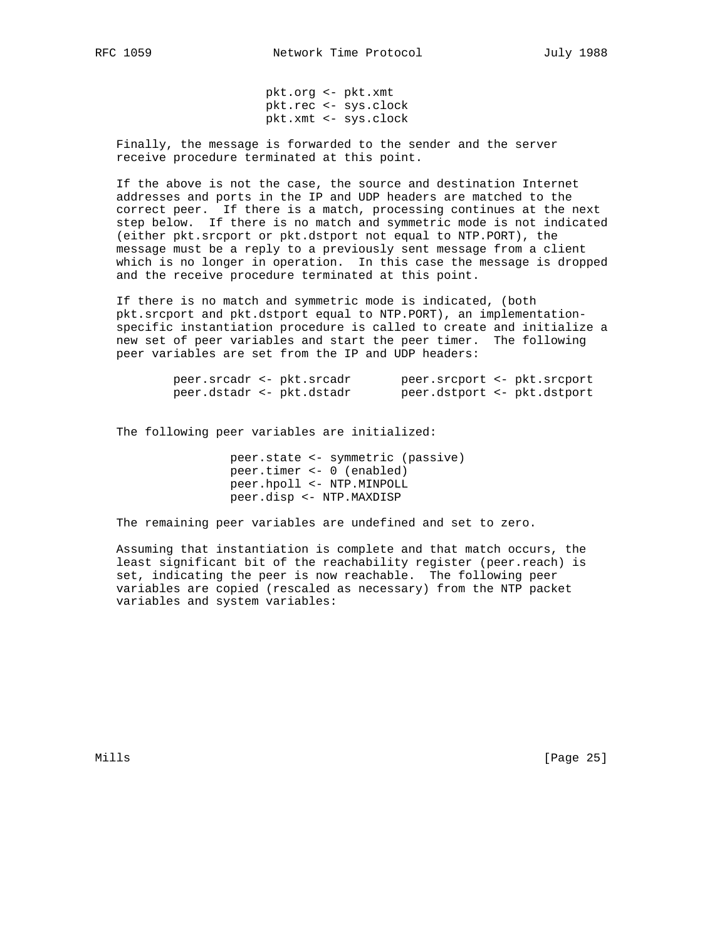pkt.org <- pkt.xmt pkt.rec <- sys.clock pkt.xmt <- sys.clock

 Finally, the message is forwarded to the sender and the server receive procedure terminated at this point.

 If the above is not the case, the source and destination Internet addresses and ports in the IP and UDP headers are matched to the correct peer. If there is a match, processing continues at the next step below. If there is no match and symmetric mode is not indicated (either pkt.srcport or pkt.dstport not equal to NTP.PORT), the message must be a reply to a previously sent message from a client which is no longer in operation. In this case the message is dropped and the receive procedure terminated at this point.

 If there is no match and symmetric mode is indicated, (both pkt.srcport and pkt.dstport equal to NTP.PORT), an implementation specific instantiation procedure is called to create and initialize a new set of peer variables and start the peer timer. The following peer variables are set from the IP and UDP headers:

| peer.srcadr <- pkt.srcadr |  | peer.srcport <- pkt.srcport |  |
|---------------------------|--|-----------------------------|--|
| peer.dstadr <- pkt.dstadr |  | peer.dstport <- pkt.dstport |  |

The following peer variables are initialized:

 peer.state <- symmetric (passive) peer.timer <- 0 (enabled) peer.hpoll <- NTP.MINPOLL peer.disp <- NTP.MAXDISP

The remaining peer variables are undefined and set to zero.

 Assuming that instantiation is complete and that match occurs, the least significant bit of the reachability register (peer.reach) is set, indicating the peer is now reachable. The following peer variables are copied (rescaled as necessary) from the NTP packet variables and system variables:

Mills [Page 25]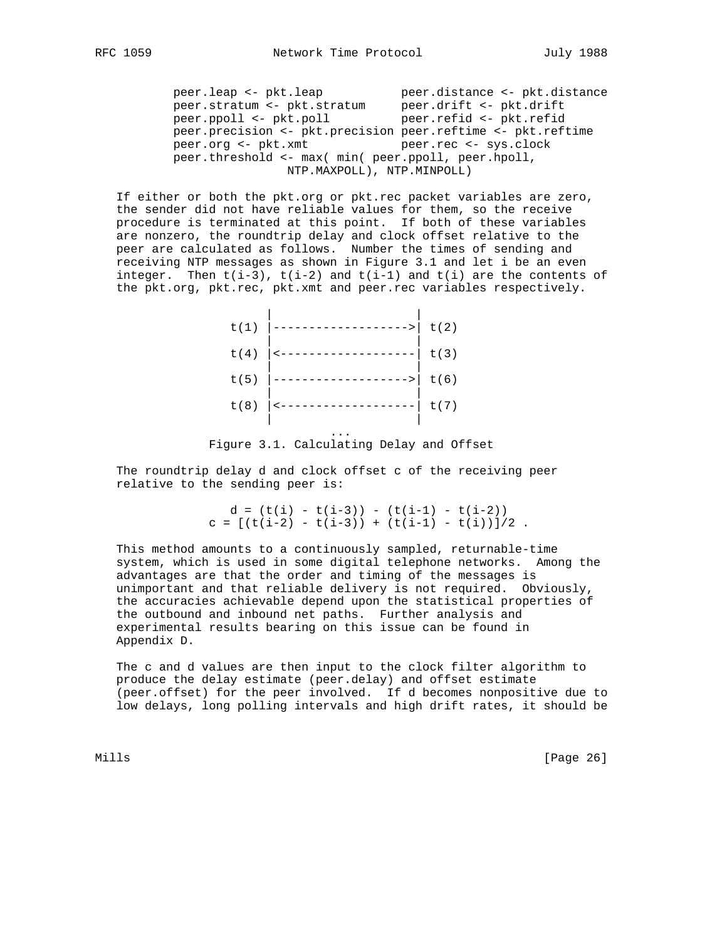peer.leap <- pkt.leap peer.distance <- pkt.distance peer.stratum <- pkt.stratum peer.drift <- pkt.drift peer.ppoll <- pkt.poll peer.refid <- pkt.refid peer.precision <- pkt.precision peer.reftime <- pkt.reftime peer.org <- pkt.xmt peer.rec <- sys.clock peer.threshold <- max( min( peer.ppoll, peer.hpoll,

NTP.MAXPOLL), NTP.MINPOLL)

 If either or both the pkt.org or pkt.rec packet variables are zero, the sender did not have reliable values for them, so the receive procedure is terminated at this point. If both of these variables are nonzero, the roundtrip delay and clock offset relative to the peer are calculated as follows. Number the times of sending and receiving NTP messages as shown in Figure 3.1 and let i be an even integer. Then  $t(i-3)$ ,  $t(i-2)$  and  $t(i-1)$  and  $t(i)$  are the contents of the pkt.org, pkt.rec, pkt.xmt and peer.rec variables respectively.

| t(1) | $- - - - - -$ | t(2) |
|------|---------------|------|
| t(4) |               | t(3) |
| t(5) | ------        | t(6) |
| t(8) |               | t(7) |
|      |               |      |

Figure 3.1. Calculating Delay and Offset

 The roundtrip delay d and clock offset c of the receiving peer relative to the sending peer is:

> $d = (t(i) - t(i-3)) - (t(i-1) - t(i-2))$  $c = [(t(i-2) - t(i-3)) + (t(i-1) - t(i))]$  /2.

 This method amounts to a continuously sampled, returnable-time system, which is used in some digital telephone networks. Among the advantages are that the order and timing of the messages is unimportant and that reliable delivery is not required. Obviously, the accuracies achievable depend upon the statistical properties of the outbound and inbound net paths. Further analysis and experimental results bearing on this issue can be found in Appendix D.

 The c and d values are then input to the clock filter algorithm to produce the delay estimate (peer.delay) and offset estimate (peer.offset) for the peer involved. If d becomes nonpositive due to low delays, long polling intervals and high drift rates, it should be

Mills [Page 26]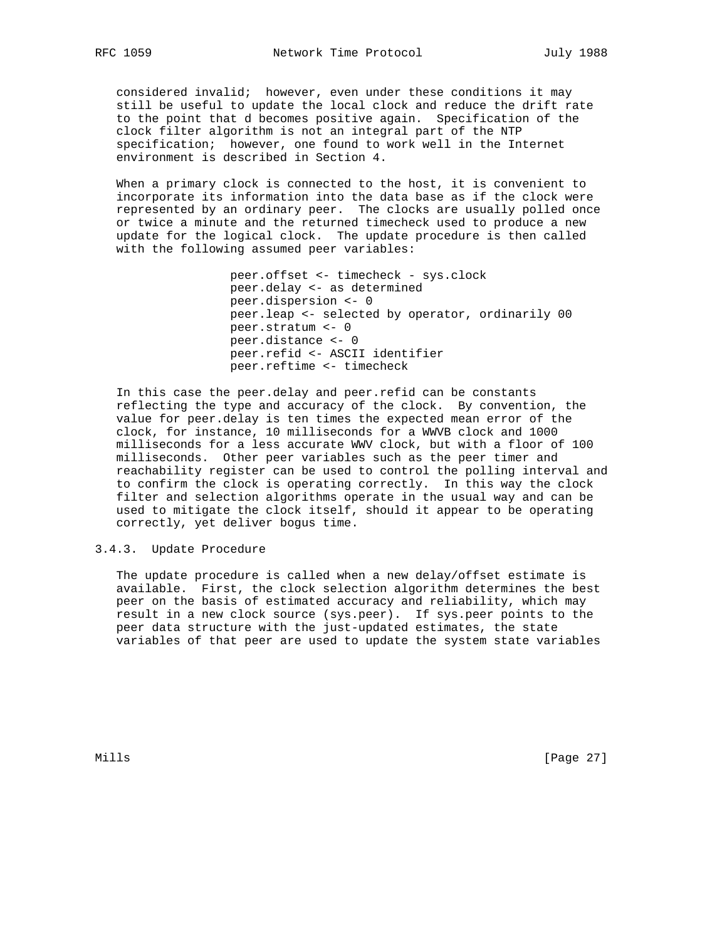considered invalid; however, even under these conditions it may still be useful to update the local clock and reduce the drift rate to the point that d becomes positive again. Specification of the clock filter algorithm is not an integral part of the NTP specification; however, one found to work well in the Internet environment is described in Section 4.

 When a primary clock is connected to the host, it is convenient to incorporate its information into the data base as if the clock were represented by an ordinary peer. The clocks are usually polled once or twice a minute and the returned timecheck used to produce a new update for the logical clock. The update procedure is then called with the following assumed peer variables:

```
 peer.offset <- timecheck - sys.clock
peer.delay <- as determined
peer.dispersion <- 0
peer.leap <- selected by operator, ordinarily 00
peer.stratum <- 0
peer.distance <- 0
peer.refid <- ASCII identifier
peer.reftime <- timecheck
```
 In this case the peer.delay and peer.refid can be constants reflecting the type and accuracy of the clock. By convention, the value for peer.delay is ten times the expected mean error of the clock, for instance, 10 milliseconds for a WWVB clock and 1000 milliseconds for a less accurate WWV clock, but with a floor of 100 milliseconds. Other peer variables such as the peer timer and reachability register can be used to control the polling interval and to confirm the clock is operating correctly. In this way the clock filter and selection algorithms operate in the usual way and can be used to mitigate the clock itself, should it appear to be operating correctly, yet deliver bogus time.

3.4.3. Update Procedure

 The update procedure is called when a new delay/offset estimate is available. First, the clock selection algorithm determines the best peer on the basis of estimated accuracy and reliability, which may result in a new clock source (sys.peer). If sys.peer points to the peer data structure with the just-updated estimates, the state variables of that peer are used to update the system state variables

Mills [Page 27]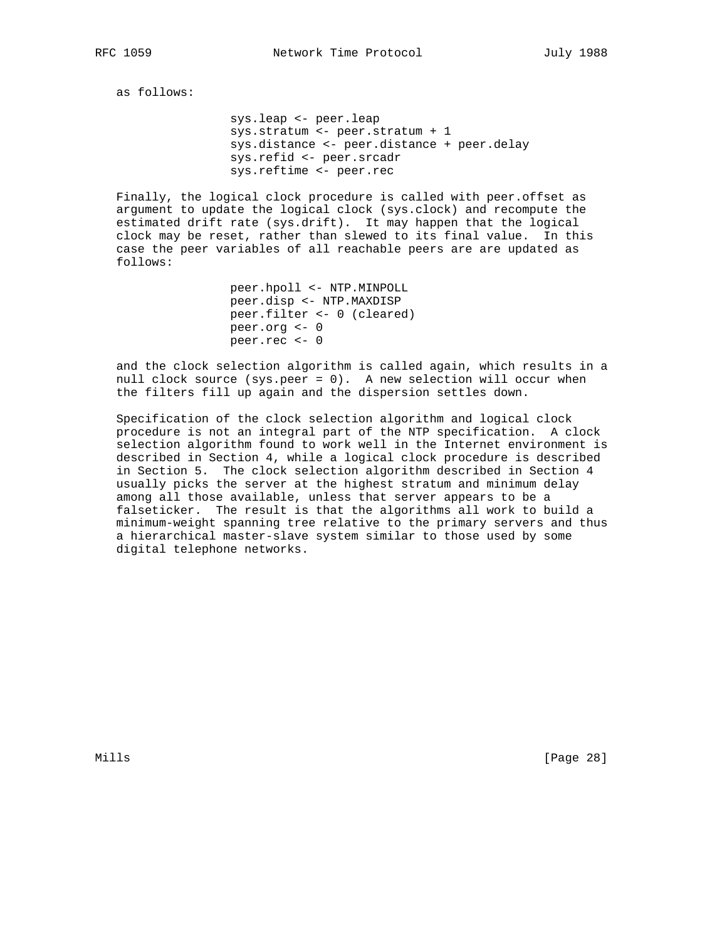as follows:

 sys.leap <- peer.leap sys.stratum <- peer.stratum + 1 sys.distance <- peer.distance + peer.delay sys.refid <- peer.srcadr sys.reftime <- peer.rec

 Finally, the logical clock procedure is called with peer.offset as argument to update the logical clock (sys.clock) and recompute the estimated drift rate (sys.drift). It may happen that the logical clock may be reset, rather than slewed to its final value. In this case the peer variables of all reachable peers are are updated as follows:

```
 peer.hpoll <- NTP.MINPOLL
peer.disp <- NTP.MAXDISP
peer.filter <- 0 (cleared)
peer.org <- 0
peer.rec <- 0
```
 and the clock selection algorithm is called again, which results in a null clock source (sys.peer = 0). A new selection will occur when the filters fill up again and the dispersion settles down.

 Specification of the clock selection algorithm and logical clock procedure is not an integral part of the NTP specification. A clock selection algorithm found to work well in the Internet environment is described in Section 4, while a logical clock procedure is described in Section 5. The clock selection algorithm described in Section 4 usually picks the server at the highest stratum and minimum delay among all those available, unless that server appears to be a falseticker. The result is that the algorithms all work to build a minimum-weight spanning tree relative to the primary servers and thus a hierarchical master-slave system similar to those used by some digital telephone networks.

Mills [Page 28]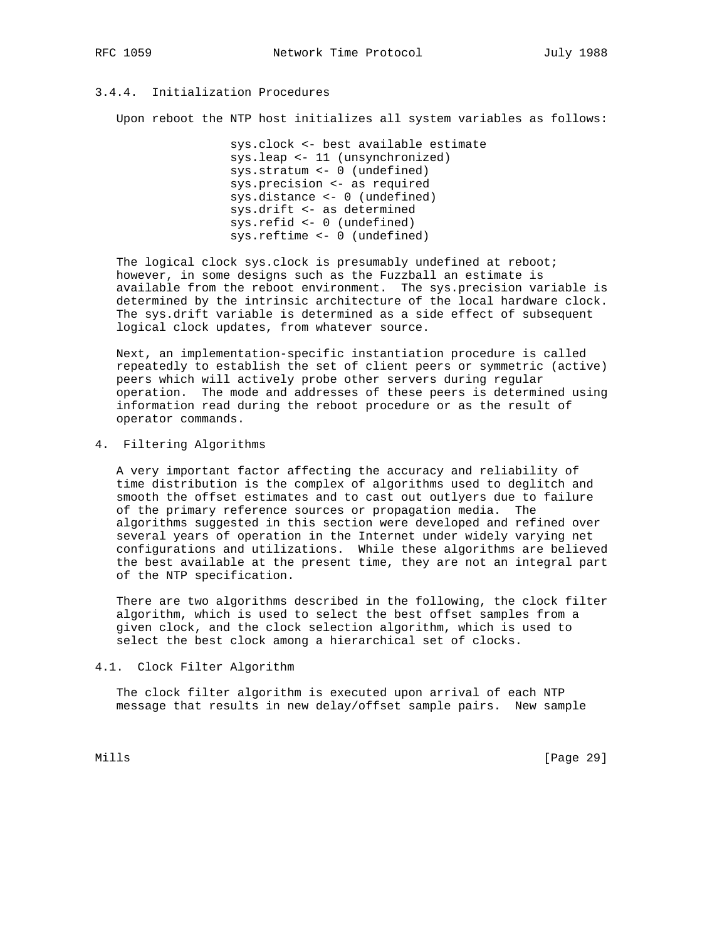# 3.4.4. Initialization Procedures

Upon reboot the NTP host initializes all system variables as follows:

 sys.clock <- best available estimate sys.leap <- 11 (unsynchronized) sys.stratum <- 0 (undefined) sys.precision <- as required sys.distance <- 0 (undefined) sys.drift <- as determined sys.refid <- 0 (undefined) sys.reftime <- 0 (undefined)

 The logical clock sys.clock is presumably undefined at reboot; however, in some designs such as the Fuzzball an estimate is available from the reboot environment. The sys.precision variable is determined by the intrinsic architecture of the local hardware clock. The sys.drift variable is determined as a side effect of subsequent logical clock updates, from whatever source.

 Next, an implementation-specific instantiation procedure is called repeatedly to establish the set of client peers or symmetric (active) peers which will actively probe other servers during regular operation. The mode and addresses of these peers is determined using information read during the reboot procedure or as the result of operator commands.

#### 4. Filtering Algorithms

 A very important factor affecting the accuracy and reliability of time distribution is the complex of algorithms used to deglitch and smooth the offset estimates and to cast out outlyers due to failure of the primary reference sources or propagation media. The algorithms suggested in this section were developed and refined over several years of operation in the Internet under widely varying net configurations and utilizations. While these algorithms are believed the best available at the present time, they are not an integral part of the NTP specification.

 There are two algorithms described in the following, the clock filter algorithm, which is used to select the best offset samples from a given clock, and the clock selection algorithm, which is used to select the best clock among a hierarchical set of clocks.

#### 4.1. Clock Filter Algorithm

 The clock filter algorithm is executed upon arrival of each NTP message that results in new delay/offset sample pairs. New sample

Mills [Page 29]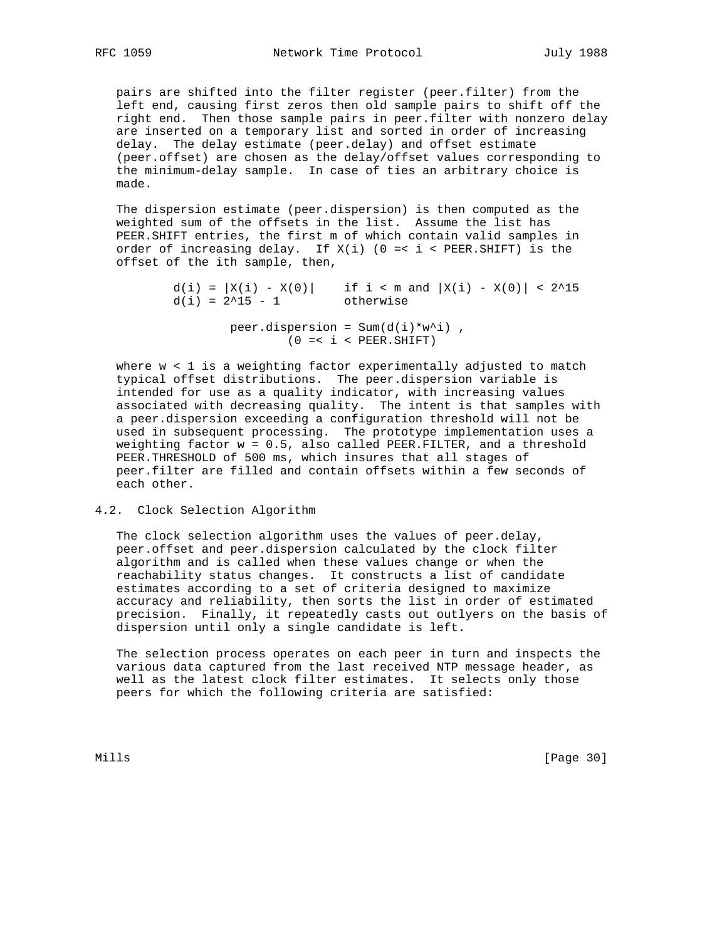pairs are shifted into the filter register (peer.filter) from the left end, causing first zeros then old sample pairs to shift off the right end. Then those sample pairs in peer.filter with nonzero delay are inserted on a temporary list and sorted in order of increasing delay. The delay estimate (peer.delay) and offset estimate (peer.offset) are chosen as the delay/offset values corresponding to the minimum-delay sample. In case of ties an arbitrary choice is made.

 The dispersion estimate (peer.dispersion) is then computed as the weighted sum of the offsets in the list. Assume the list has PEER.SHIFT entries, the first m of which contain valid samples in order of increasing delay. If X(i) (0 =< i < PEER.SHIFT) is the offset of the ith sample, then,

> d(i) =  $|X(i) - X(0)|$  if i < m and  $|X(i) - X(0)|$  < 2^15 d(i) = 2^15 - 1 otherwise  $d(i) = 2^15 - 1$ peer.dispersion =  $Sum(d(i)*w^i)$ ,

> > $(0 = < i <$  PEER. SHIFT)

 where w < 1 is a weighting factor experimentally adjusted to match typical offset distributions. The peer.dispersion variable is intended for use as a quality indicator, with increasing values associated with decreasing quality. The intent is that samples with a peer.dispersion exceeding a configuration threshold will not be used in subsequent processing. The prototype implementation uses a weighting factor w = 0.5, also called PEER.FILTER, and a threshold PEER.THRESHOLD of 500 ms, which insures that all stages of peer.filter are filled and contain offsets within a few seconds of each other.

#### 4.2. Clock Selection Algorithm

 The clock selection algorithm uses the values of peer.delay, peer.offset and peer.dispersion calculated by the clock filter algorithm and is called when these values change or when the reachability status changes. It constructs a list of candidate estimates according to a set of criteria designed to maximize accuracy and reliability, then sorts the list in order of estimated precision. Finally, it repeatedly casts out outlyers on the basis of dispersion until only a single candidate is left.

 The selection process operates on each peer in turn and inspects the various data captured from the last received NTP message header, as well as the latest clock filter estimates. It selects only those peers for which the following criteria are satisfied:

Mills [Page 30]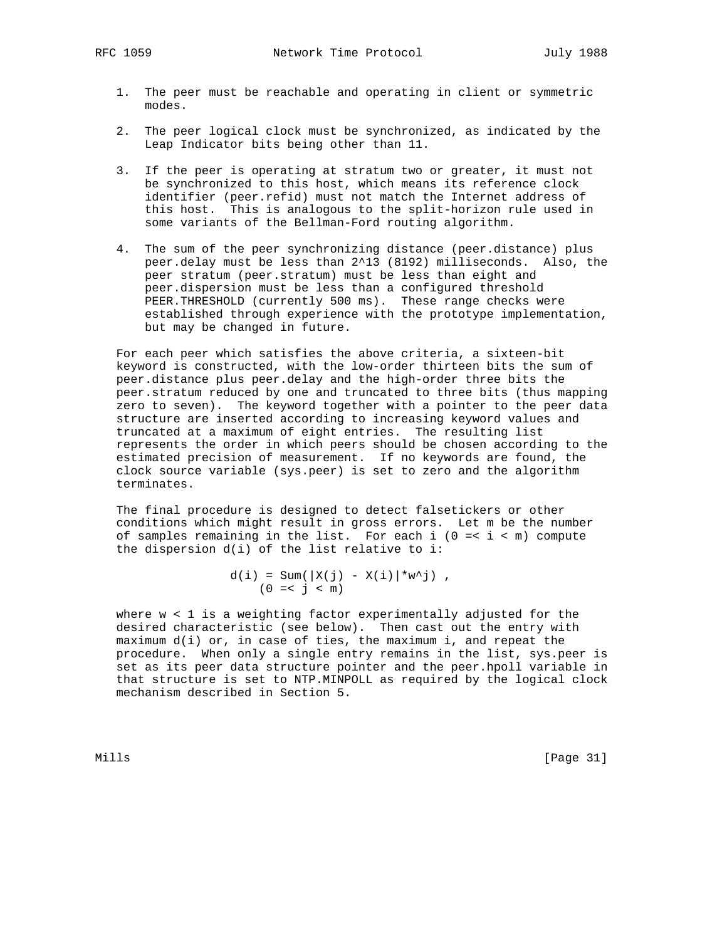- 1. The peer must be reachable and operating in client or symmetric modes.
- 2. The peer logical clock must be synchronized, as indicated by the Leap Indicator bits being other than 11.
- 3. If the peer is operating at stratum two or greater, it must not be synchronized to this host, which means its reference clock identifier (peer.refid) must not match the Internet address of this host. This is analogous to the split-horizon rule used in some variants of the Bellman-Ford routing algorithm.
- 4. The sum of the peer synchronizing distance (peer.distance) plus peer.delay must be less than 2^13 (8192) milliseconds. Also, the peer stratum (peer.stratum) must be less than eight and peer.dispersion must be less than a configured threshold PEER.THRESHOLD (currently 500 ms). These range checks were established through experience with the prototype implementation, but may be changed in future.

 For each peer which satisfies the above criteria, a sixteen-bit keyword is constructed, with the low-order thirteen bits the sum of peer.distance plus peer.delay and the high-order three bits the peer.stratum reduced by one and truncated to three bits (thus mapping zero to seven). The keyword together with a pointer to the peer data structure are inserted according to increasing keyword values and truncated at a maximum of eight entries. The resulting list represents the order in which peers should be chosen according to the estimated precision of measurement. If no keywords are found, the clock source variable (sys.peer) is set to zero and the algorithm terminates.

 The final procedure is designed to detect falsetickers or other conditions which might result in gross errors. Let m be the number of samples remaining in the list. For each i ( $0 = < i < m$ ) compute the dispersion d(i) of the list relative to i:

> $d(i) = Sum(\|X(j) - X(i)\| * w^j)$ ,  $(0 = < j < m)$

where  $w < 1$  is a weighting factor experimentally adjusted for the desired characteristic (see below). Then cast out the entry with maximum d(i) or, in case of ties, the maximum i, and repeat the procedure. When only a single entry remains in the list, sys.peer is set as its peer data structure pointer and the peer.hpoll variable in that structure is set to NTP.MINPOLL as required by the logical clock mechanism described in Section 5.

Mills [Page 31]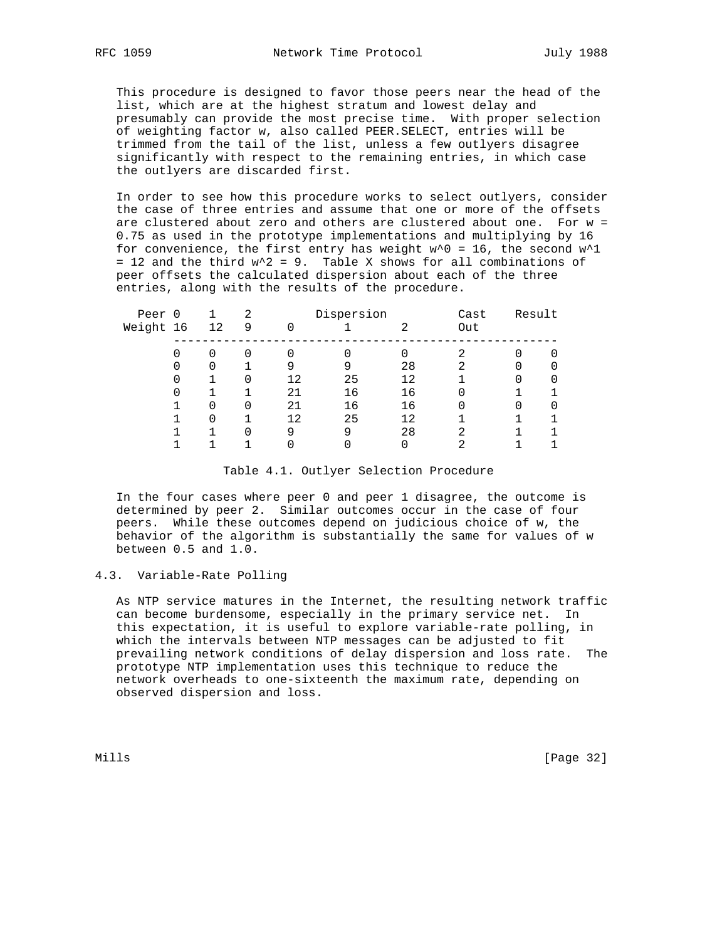This procedure is designed to favor those peers near the head of the list, which are at the highest stratum and lowest delay and presumably can provide the most precise time. With proper selection of weighting factor w, also called PEER.SELECT, entries will be trimmed from the tail of the list, unless a few outlyers disagree significantly with respect to the remaining entries, in which case the outlyers are discarded first.

 In order to see how this procedure works to select outlyers, consider the case of three entries and assume that one or more of the offsets are clustered about zero and others are clustered about one. For w = 0.75 as used in the prototype implementations and multiplying by 16 for convenience, the first entry has weight  $w^0 = 16$ , the second  $w^1$ = 12 and the third  $w^2$  = 9. Table X shows for all combinations of peer offsets the calculated dispersion about each of the three entries, along with the results of the procedure.

| Peer 0    |    | 2 | Dispersion |    |    | Cast | Result |  |
|-----------|----|---|------------|----|----|------|--------|--|
| Weight 16 | 12 | 9 | ∩          |    | ≘  | Out  |        |  |
|           | 0  | 0 |            | 0  |    |      |        |  |
|           |    |   |            | 9  | 28 | 2    | 0      |  |
|           |    | 0 | 12         | 25 | 12 |      |        |  |
|           |    |   | 21         | 16 | 16 |      |        |  |
|           | 0  | 0 | 21         | 16 | 16 |      | 0      |  |
|           | 0  |   | 12         | 25 | 12 |      |        |  |
|           |    | 0 | 9          | 9  | 28 | ⌒    |        |  |
|           |    |   |            |    |    |      |        |  |

#### Table 4.1. Outlyer Selection Procedure

 In the four cases where peer 0 and peer 1 disagree, the outcome is determined by peer 2. Similar outcomes occur in the case of four peers. While these outcomes depend on judicious choice of w, the behavior of the algorithm is substantially the same for values of w between 0.5 and 1.0.

## 4.3. Variable-Rate Polling

 As NTP service matures in the Internet, the resulting network traffic can become burdensome, especially in the primary service net. In this expectation, it is useful to explore variable-rate polling, in which the intervals between NTP messages can be adjusted to fit prevailing network conditions of delay dispersion and loss rate. The prototype NTP implementation uses this technique to reduce the network overheads to one-sixteenth the maximum rate, depending on observed dispersion and loss.

Mills [Page 32]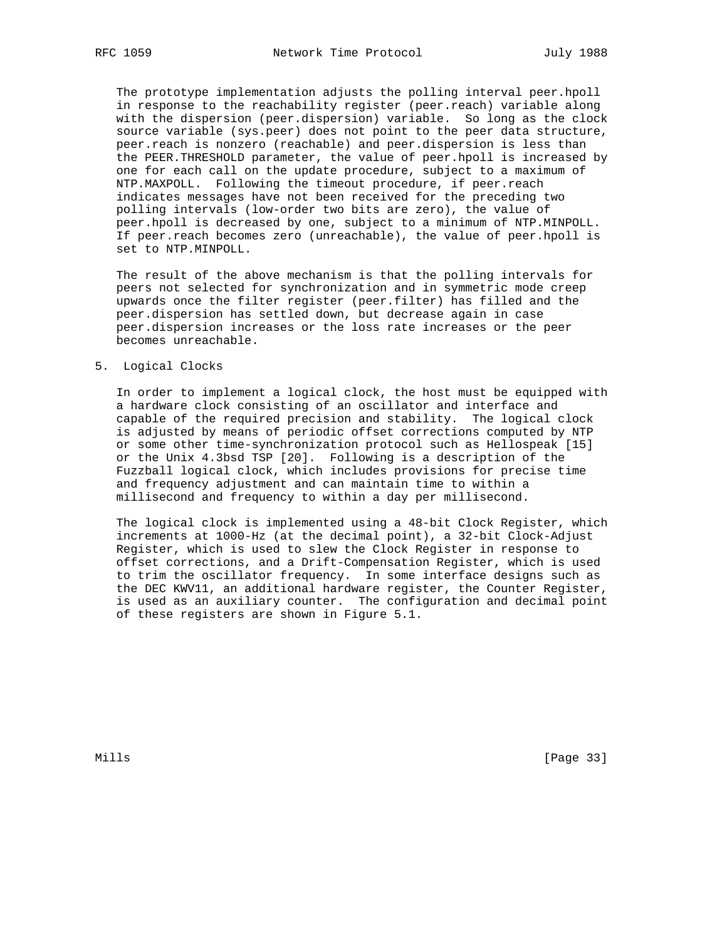The prototype implementation adjusts the polling interval peer.hpoll in response to the reachability register (peer.reach) variable along with the dispersion (peer.dispersion) variable. So long as the clock source variable (sys.peer) does not point to the peer data structure, peer.reach is nonzero (reachable) and peer.dispersion is less than the PEER.THRESHOLD parameter, the value of peer.hpoll is increased by one for each call on the update procedure, subject to a maximum of NTP.MAXPOLL. Following the timeout procedure, if peer.reach indicates messages have not been received for the preceding two polling intervals (low-order two bits are zero), the value of peer.hpoll is decreased by one, subject to a minimum of NTP.MINPOLL. If peer.reach becomes zero (unreachable), the value of peer.hpoll is set to NTP.MINPOLL.

 The result of the above mechanism is that the polling intervals for peers not selected for synchronization and in symmetric mode creep upwards once the filter register (peer.filter) has filled and the peer.dispersion has settled down, but decrease again in case peer.dispersion increases or the loss rate increases or the peer becomes unreachable.

#### 5. Logical Clocks

 In order to implement a logical clock, the host must be equipped with a hardware clock consisting of an oscillator and interface and capable of the required precision and stability. The logical clock is adjusted by means of periodic offset corrections computed by NTP or some other time-synchronization protocol such as Hellospeak [15] or the Unix 4.3bsd TSP [20]. Following is a description of the Fuzzball logical clock, which includes provisions for precise time and frequency adjustment and can maintain time to within a millisecond and frequency to within a day per millisecond.

 The logical clock is implemented using a 48-bit Clock Register, which increments at 1000-Hz (at the decimal point), a 32-bit Clock-Adjust Register, which is used to slew the Clock Register in response to offset corrections, and a Drift-Compensation Register, which is used to trim the oscillator frequency. In some interface designs such as the DEC KWV11, an additional hardware register, the Counter Register, is used as an auxiliary counter. The configuration and decimal point of these registers are shown in Figure 5.1.

Mills [Page 33]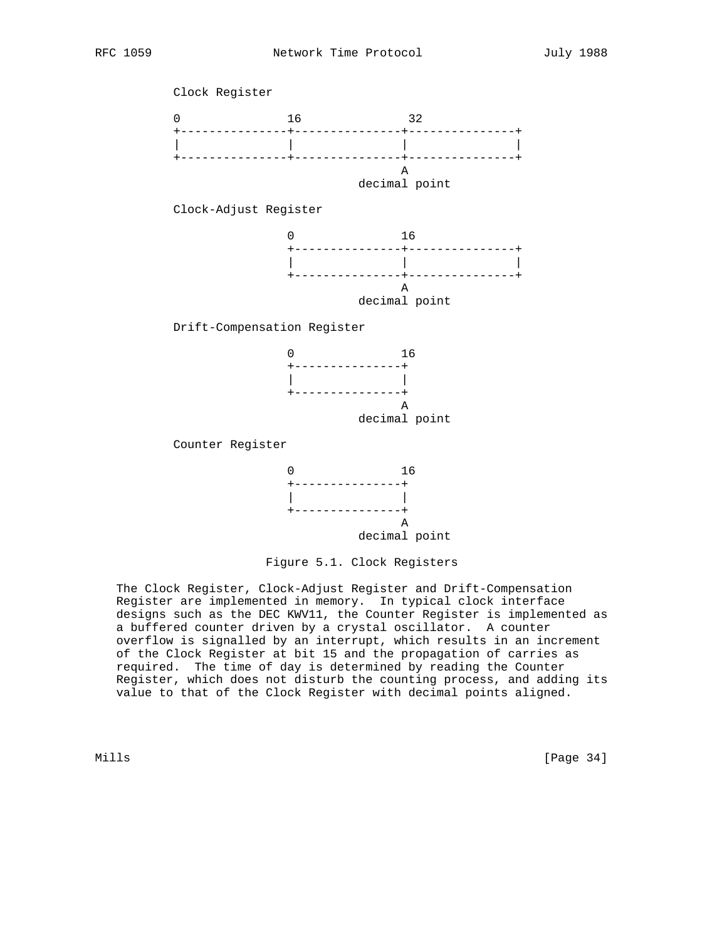

Figure 5.1. Clock Registers

 The Clock Register, Clock-Adjust Register and Drift-Compensation Register are implemented in memory. In typical clock interface designs such as the DEC KWV11, the Counter Register is implemented as a buffered counter driven by a crystal oscillator. A counter overflow is signalled by an interrupt, which results in an increment of the Clock Register at bit 15 and the propagation of carries as required. The time of day is determined by reading the Counter Register, which does not disturb the counting process, and adding its value to that of the Clock Register with decimal points aligned.

Mills [Page 34]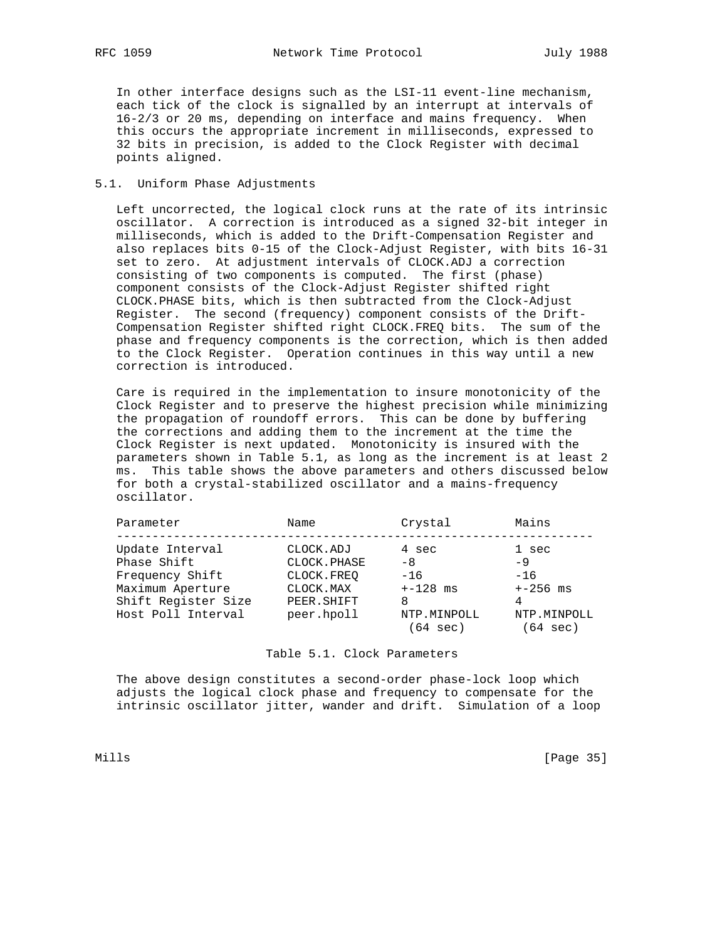In other interface designs such as the LSI-11 event-line mechanism, each tick of the clock is signalled by an interrupt at intervals of 16-2/3 or 20 ms, depending on interface and mains frequency. When this occurs the appropriate increment in milliseconds, expressed to 32 bits in precision, is added to the Clock Register with decimal points aligned.

## 5.1. Uniform Phase Adjustments

 Left uncorrected, the logical clock runs at the rate of its intrinsic oscillator. A correction is introduced as a signed 32-bit integer in milliseconds, which is added to the Drift-Compensation Register and also replaces bits 0-15 of the Clock-Adjust Register, with bits 16-31 set to zero. At adjustment intervals of CLOCK.ADJ a correction consisting of two components is computed. The first (phase) component consists of the Clock-Adjust Register shifted right CLOCK.PHASE bits, which is then subtracted from the Clock-Adjust Register. The second (frequency) component consists of the Drift- Compensation Register shifted right CLOCK.FREQ bits. The sum of the phase and frequency components is the correction, which is then added to the Clock Register. Operation continues in this way until a new correction is introduced.

 Care is required in the implementation to insure monotonicity of the Clock Register and to preserve the highest precision while minimizing the propagation of roundoff errors. This can be done by buffering the corrections and adding them to the increment at the time the Clock Register is next updated. Monotonicity is insured with the parameters shown in Table 5.1, as long as the increment is at least 2 ms. This table shows the above parameters and others discussed below for both a crystal-stabilized oscillator and a mains-frequency oscillator.

| Parameter           | Name        | Crystal     | Mains       |
|---------------------|-------------|-------------|-------------|
| Update Interval     | CLOCK.ADJ   | 4 sec       | 1 sec       |
| Phase Shift         | CLOCK.PHASE | -8          | -9          |
| Frequency Shift     | CLOCK.FREO  | $-16$       | $-16$       |
| Maximum Aperture    | CLOCK.MAX   | $+-128$ ms  | $+-256$ ms  |
| Shift Register Size | PEER. SHIFT | 8           |             |
| Host Poll Interval  | peer.hpoll  | NTP.MINPOLL | NTP.MINPOLL |
|                     |             | 64 sec)     | '64 sec)    |

Table 5.1. Clock Parameters

 The above design constitutes a second-order phase-lock loop which adjusts the logical clock phase and frequency to compensate for the intrinsic oscillator jitter, wander and drift. Simulation of a loop

Mills [Page 35]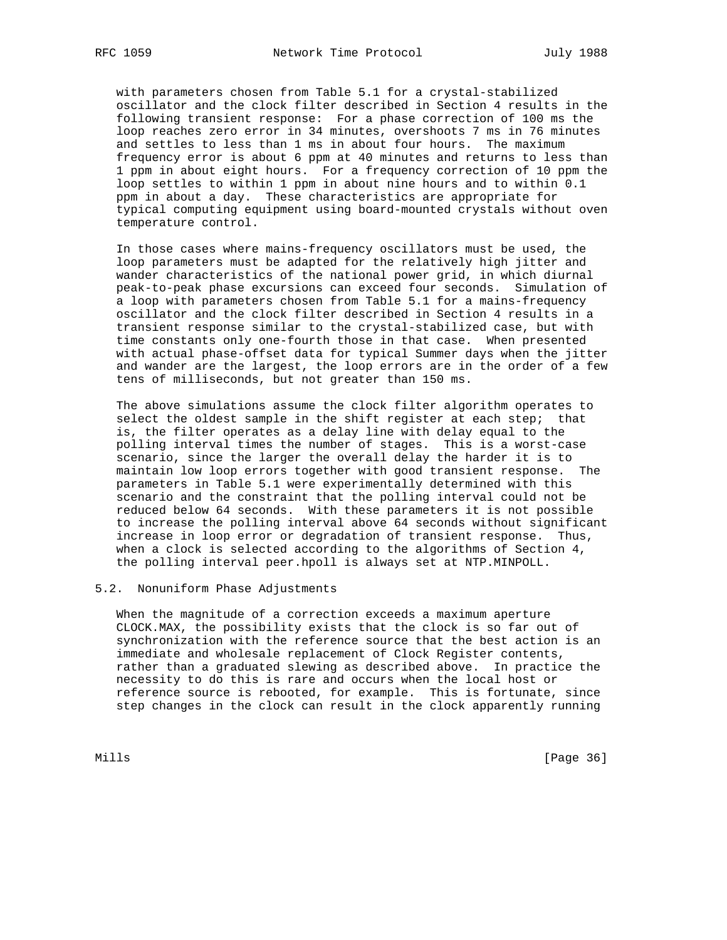with parameters chosen from Table 5.1 for a crystal-stabilized oscillator and the clock filter described in Section 4 results in the following transient response: For a phase correction of 100 ms the loop reaches zero error in 34 minutes, overshoots 7 ms in 76 minutes and settles to less than 1 ms in about four hours. The maximum frequency error is about 6 ppm at 40 minutes and returns to less than 1 ppm in about eight hours. For a frequency correction of 10 ppm the loop settles to within 1 ppm in about nine hours and to within 0.1 ppm in about a day. These characteristics are appropriate for typical computing equipment using board-mounted crystals without oven temperature control.

 In those cases where mains-frequency oscillators must be used, the loop parameters must be adapted for the relatively high jitter and wander characteristics of the national power grid, in which diurnal peak-to-peak phase excursions can exceed four seconds. Simulation of a loop with parameters chosen from Table 5.1 for a mains-frequency oscillator and the clock filter described in Section 4 results in a transient response similar to the crystal-stabilized case, but with time constants only one-fourth those in that case. When presented with actual phase-offset data for typical Summer days when the jitter and wander are the largest, the loop errors are in the order of a few tens of milliseconds, but not greater than 150 ms.

 The above simulations assume the clock filter algorithm operates to select the oldest sample in the shift register at each step; that is, the filter operates as a delay line with delay equal to the polling interval times the number of stages. This is a worst-case scenario, since the larger the overall delay the harder it is to maintain low loop errors together with good transient response. The parameters in Table 5.1 were experimentally determined with this scenario and the constraint that the polling interval could not be reduced below 64 seconds. With these parameters it is not possible to increase the polling interval above 64 seconds without significant increase in loop error or degradation of transient response. Thus, when a clock is selected according to the algorithms of Section 4, the polling interval peer.hpoll is always set at NTP.MINPOLL.

#### 5.2. Nonuniform Phase Adjustments

 When the magnitude of a correction exceeds a maximum aperture CLOCK.MAX, the possibility exists that the clock is so far out of synchronization with the reference source that the best action is an immediate and wholesale replacement of Clock Register contents, rather than a graduated slewing as described above. In practice the necessity to do this is rare and occurs when the local host or reference source is rebooted, for example. This is fortunate, since step changes in the clock can result in the clock apparently running

Mills [Page 36]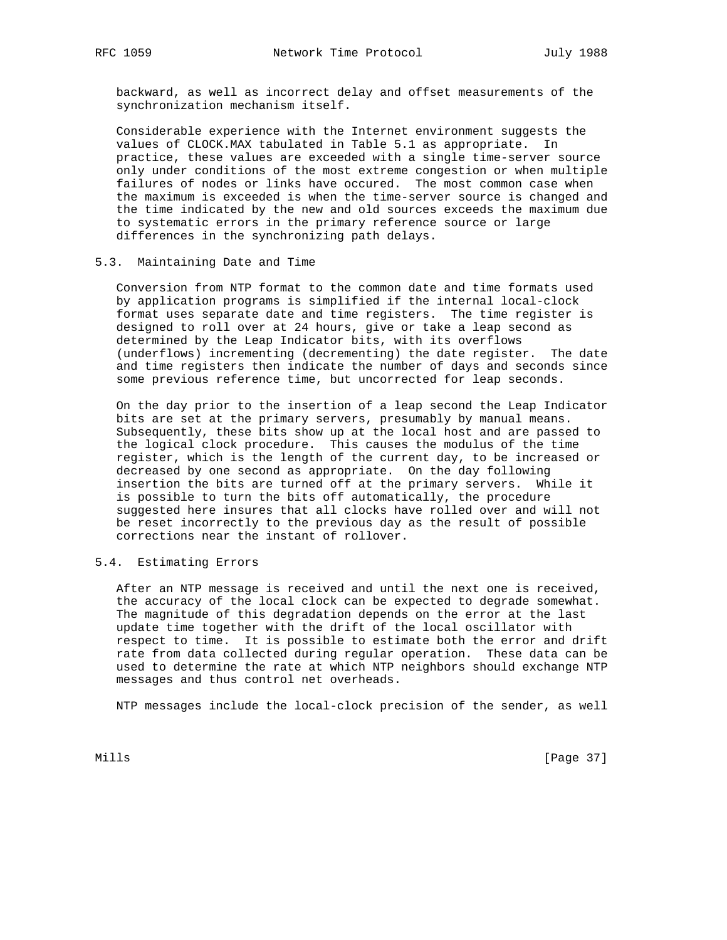backward, as well as incorrect delay and offset measurements of the synchronization mechanism itself.

 Considerable experience with the Internet environment suggests the values of CLOCK.MAX tabulated in Table 5.1 as appropriate. In practice, these values are exceeded with a single time-server source only under conditions of the most extreme congestion or when multiple failures of nodes or links have occured. The most common case when the maximum is exceeded is when the time-server source is changed and the time indicated by the new and old sources exceeds the maximum due to systematic errors in the primary reference source or large differences in the synchronizing path delays.

## 5.3. Maintaining Date and Time

 Conversion from NTP format to the common date and time formats used by application programs is simplified if the internal local-clock format uses separate date and time registers. The time register is designed to roll over at 24 hours, give or take a leap second as determined by the Leap Indicator bits, with its overflows (underflows) incrementing (decrementing) the date register. The date and time registers then indicate the number of days and seconds since some previous reference time, but uncorrected for leap seconds.

 On the day prior to the insertion of a leap second the Leap Indicator bits are set at the primary servers, presumably by manual means. Subsequently, these bits show up at the local host and are passed to the logical clock procedure. This causes the modulus of the time register, which is the length of the current day, to be increased or decreased by one second as appropriate. On the day following insertion the bits are turned off at the primary servers. While it is possible to turn the bits off automatically, the procedure suggested here insures that all clocks have rolled over and will not be reset incorrectly to the previous day as the result of possible corrections near the instant of rollover.

# 5.4. Estimating Errors

 After an NTP message is received and until the next one is received, the accuracy of the local clock can be expected to degrade somewhat. The magnitude of this degradation depends on the error at the last update time together with the drift of the local oscillator with respect to time. It is possible to estimate both the error and drift rate from data collected during regular operation. These data can be used to determine the rate at which NTP neighbors should exchange NTP messages and thus control net overheads.

NTP messages include the local-clock precision of the sender, as well

Mills [Page 37]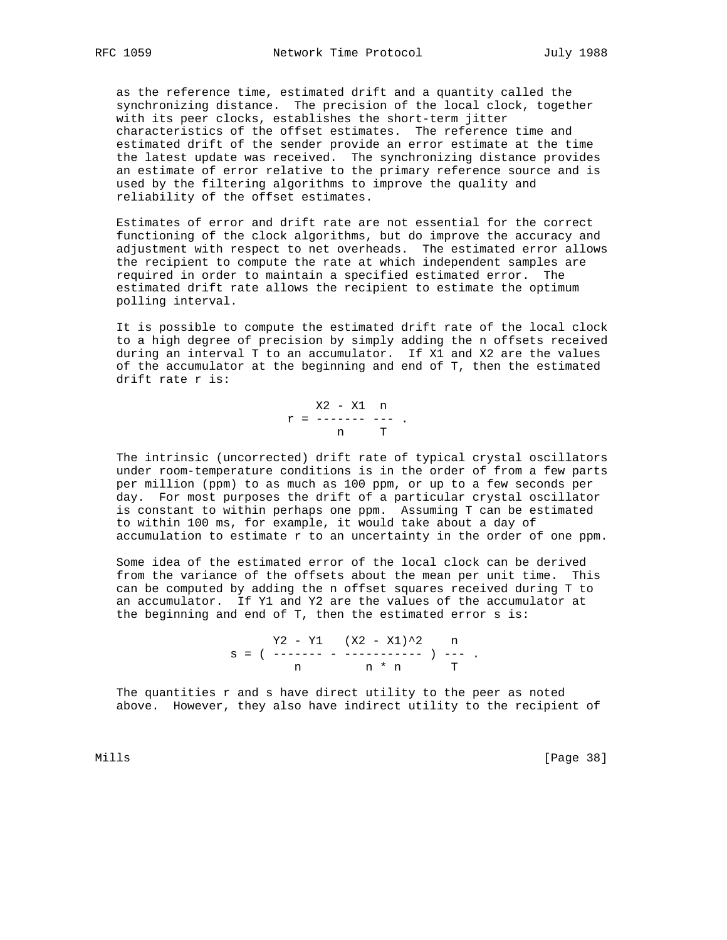as the reference time, estimated drift and a quantity called the synchronizing distance. The precision of the local clock, together with its peer clocks, establishes the short-term jitter characteristics of the offset estimates. The reference time and estimated drift of the sender provide an error estimate at the time the latest update was received. The synchronizing distance provides an estimate of error relative to the primary reference source and is used by the filtering algorithms to improve the quality and reliability of the offset estimates.

 Estimates of error and drift rate are not essential for the correct functioning of the clock algorithms, but do improve the accuracy and adjustment with respect to net overheads. The estimated error allows the recipient to compute the rate at which independent samples are required in order to maintain a specified estimated error. The estimated drift rate allows the recipient to estimate the optimum polling interval.

 It is possible to compute the estimated drift rate of the local clock to a high degree of precision by simply adding the n offsets received during an interval T to an accumulator. If X1 and X2 are the values of the accumulator at the beginning and end of T, then the estimated drift rate r is:

> X2 - X1 n  $\label{eq:2.1} \mathbf{r} \ = \ \dashrightarrow \ \dashrightarrow \ \dashrightarrow \ \ldots$ n T

 The intrinsic (uncorrected) drift rate of typical crystal oscillators under room-temperature conditions is in the order of from a few parts per million (ppm) to as much as 100 ppm, or up to a few seconds per day. For most purposes the drift of a particular crystal oscillator is constant to within perhaps one ppm. Assuming T can be estimated to within 100 ms, for example, it would take about a day of accumulation to estimate r to an uncertainty in the order of one ppm.

 Some idea of the estimated error of the local clock can be derived from the variance of the offsets about the mean per unit time. This can be computed by adding the n offset squares received during T to an accumulator. If Y1 and Y2 are the values of the accumulator at the beginning and end of T, then the estimated error s is:

> $Y2 - Y1$   $(X2 - X1)^2$  n s = ( ------- - ----------- ) --- . n n \* n

 The quantities r and s have direct utility to the peer as noted above. However, they also have indirect utility to the recipient of

Mills [Page 38]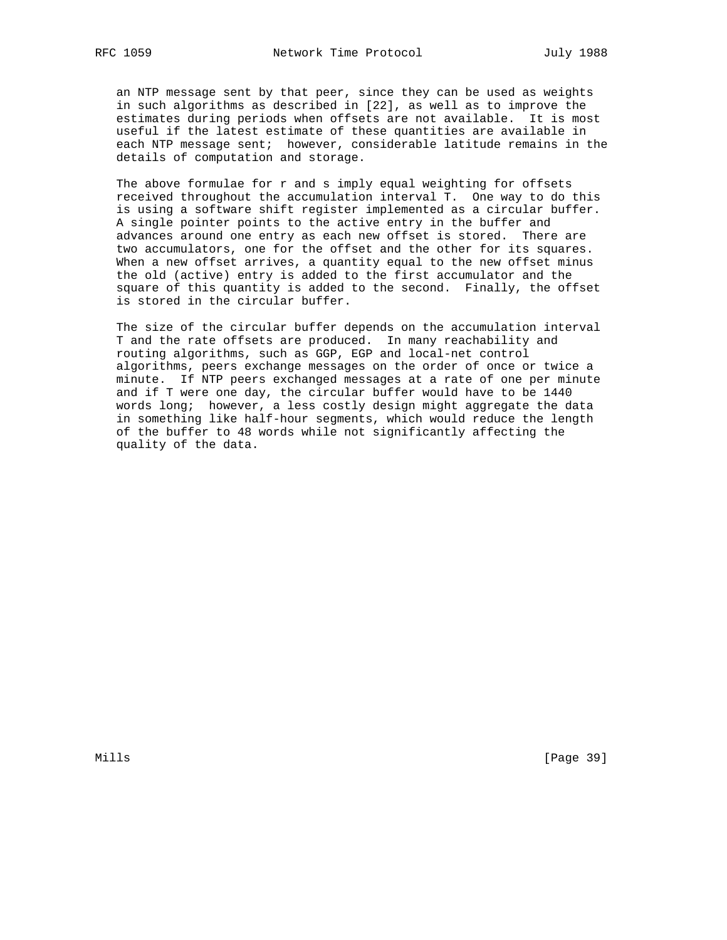an NTP message sent by that peer, since they can be used as weights in such algorithms as described in [22], as well as to improve the estimates during periods when offsets are not available. It is most useful if the latest estimate of these quantities are available in each NTP message sent; however, considerable latitude remains in the details of computation and storage.

The above formulae for r and s imply equal weighting for offsets received throughout the accumulation interval T. One way to do this is using a software shift register implemented as a circular buffer. A single pointer points to the active entry in the buffer and advances around one entry as each new offset is stored. There are two accumulators, one for the offset and the other for its squares. When a new offset arrives, a quantity equal to the new offset minus the old (active) entry is added to the first accumulator and the square of this quantity is added to the second. Finally, the offset is stored in the circular buffer.

 The size of the circular buffer depends on the accumulation interval T and the rate offsets are produced. In many reachability and routing algorithms, such as GGP, EGP and local-net control algorithms, peers exchange messages on the order of once or twice a minute. If NTP peers exchanged messages at a rate of one per minute and if T were one day, the circular buffer would have to be 1440 words long; however, a less costly design might aggregate the data in something like half-hour segments, which would reduce the length of the buffer to 48 words while not significantly affecting the quality of the data.

Mills [Page 39]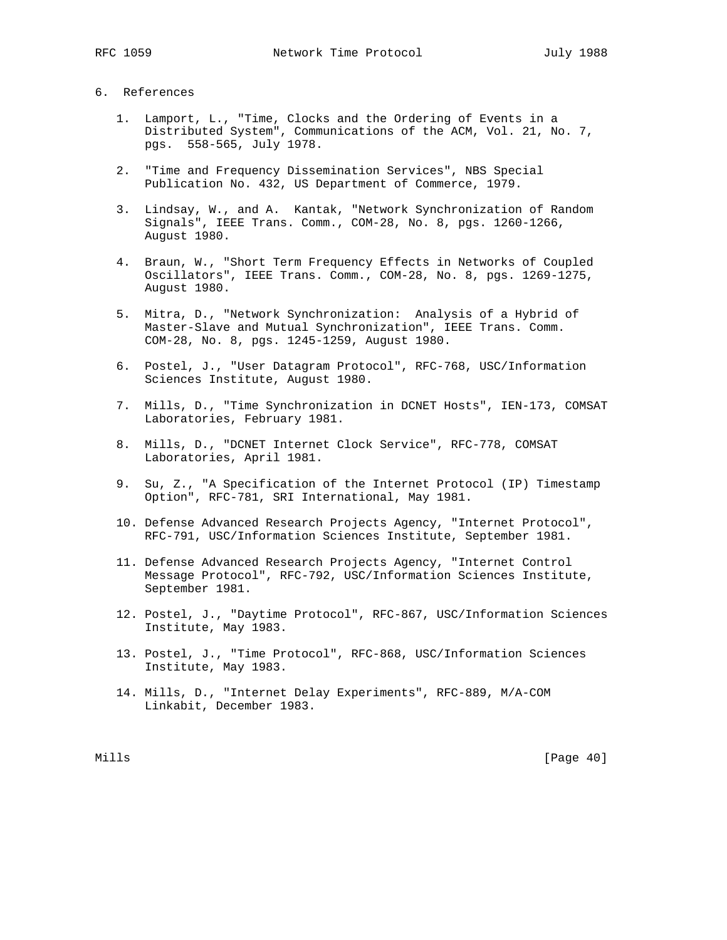## 6. References

- 1. Lamport, L., "Time, Clocks and the Ordering of Events in a Distributed System", Communications of the ACM, Vol. 21, No. 7, pgs. 558-565, July 1978.
- 2. "Time and Frequency Dissemination Services", NBS Special Publication No. 432, US Department of Commerce, 1979.
- 3. Lindsay, W., and A. Kantak, "Network Synchronization of Random Signals", IEEE Trans. Comm., COM-28, No. 8, pgs. 1260-1266, August 1980.
- 4. Braun, W., "Short Term Frequency Effects in Networks of Coupled Oscillators", IEEE Trans. Comm., COM-28, No. 8, pgs. 1269-1275, August 1980.
- 5. Mitra, D., "Network Synchronization: Analysis of a Hybrid of Master-Slave and Mutual Synchronization", IEEE Trans. Comm. COM-28, No. 8, pgs. 1245-1259, August 1980.
- 6. Postel, J., "User Datagram Protocol", RFC-768, USC/Information Sciences Institute, August 1980.
- 7. Mills, D., "Time Synchronization in DCNET Hosts", IEN-173, COMSAT Laboratories, February 1981.
- 8. Mills, D., "DCNET Internet Clock Service", RFC-778, COMSAT Laboratories, April 1981.
- 9. Su, Z., "A Specification of the Internet Protocol (IP) Timestamp Option", RFC-781, SRI International, May 1981.
- 10. Defense Advanced Research Projects Agency, "Internet Protocol", RFC-791, USC/Information Sciences Institute, September 1981.
- 11. Defense Advanced Research Projects Agency, "Internet Control Message Protocol", RFC-792, USC/Information Sciences Institute, September 1981.
- 12. Postel, J., "Daytime Protocol", RFC-867, USC/Information Sciences Institute, May 1983.
- 13. Postel, J., "Time Protocol", RFC-868, USC/Information Sciences Institute, May 1983.
- 14. Mills, D., "Internet Delay Experiments", RFC-889, M/A-COM Linkabit, December 1983.

Mills [Page 40]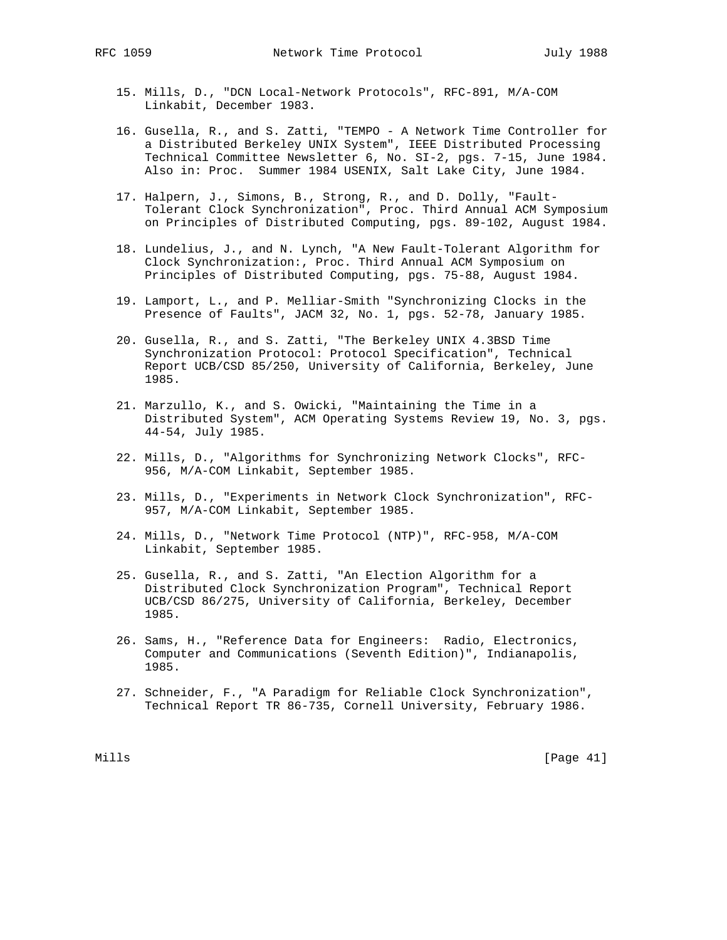- 15. Mills, D., "DCN Local-Network Protocols", RFC-891, M/A-COM Linkabit, December 1983.
- 16. Gusella, R., and S. Zatti, "TEMPO A Network Time Controller for a Distributed Berkeley UNIX System", IEEE Distributed Processing Technical Committee Newsletter 6, No. SI-2, pgs. 7-15, June 1984. Also in: Proc. Summer 1984 USENIX, Salt Lake City, June 1984.
- 17. Halpern, J., Simons, B., Strong, R., and D. Dolly, "Fault- Tolerant Clock Synchronization", Proc. Third Annual ACM Symposium on Principles of Distributed Computing, pgs. 89-102, August 1984.
- 18. Lundelius, J., and N. Lynch, "A New Fault-Tolerant Algorithm for Clock Synchronization:, Proc. Third Annual ACM Symposium on Principles of Distributed Computing, pgs. 75-88, August 1984.
	- 19. Lamport, L., and P. Melliar-Smith "Synchronizing Clocks in the Presence of Faults", JACM 32, No. 1, pgs. 52-78, January 1985.
	- 20. Gusella, R., and S. Zatti, "The Berkeley UNIX 4.3BSD Time Synchronization Protocol: Protocol Specification", Technical Report UCB/CSD 85/250, University of California, Berkeley, June 1985.
	- 21. Marzullo, K., and S. Owicki, "Maintaining the Time in a Distributed System", ACM Operating Systems Review 19, No. 3, pgs. 44-54, July 1985.
	- 22. Mills, D., "Algorithms for Synchronizing Network Clocks", RFC- 956, M/A-COM Linkabit, September 1985.
	- 23. Mills, D., "Experiments in Network Clock Synchronization", RFC- 957, M/A-COM Linkabit, September 1985.
	- 24. Mills, D., "Network Time Protocol (NTP)", RFC-958, M/A-COM Linkabit, September 1985.
	- 25. Gusella, R., and S. Zatti, "An Election Algorithm for a Distributed Clock Synchronization Program", Technical Report UCB/CSD 86/275, University of California, Berkeley, December 1985.
	- 26. Sams, H., "Reference Data for Engineers: Radio, Electronics, Computer and Communications (Seventh Edition)", Indianapolis, 1985.
	- 27. Schneider, F., "A Paradigm for Reliable Clock Synchronization", Technical Report TR 86-735, Cornell University, February 1986.

Mills [Page 41]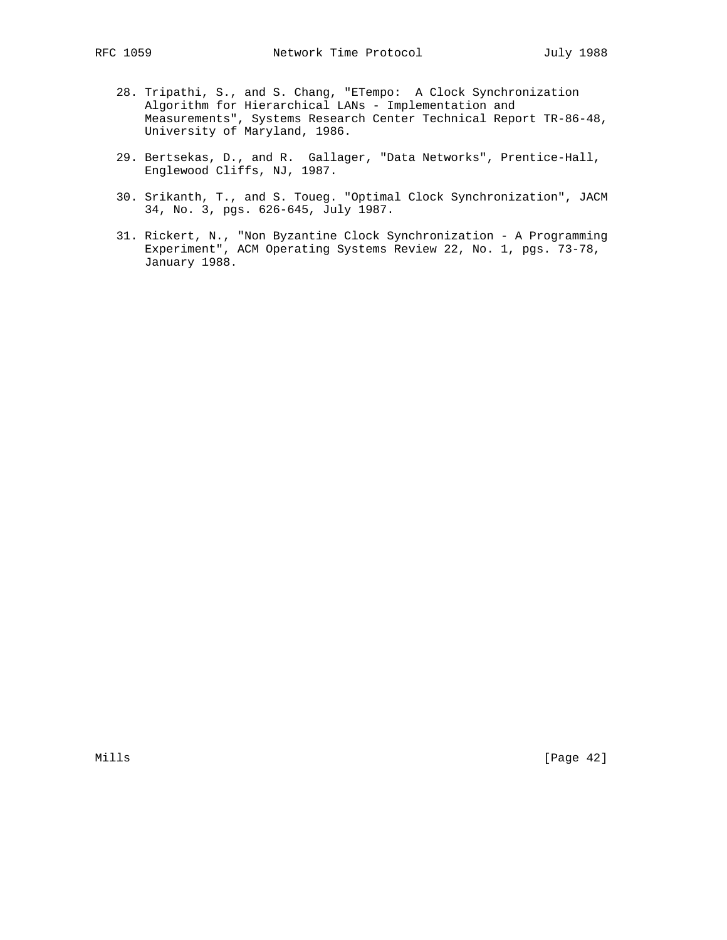- 28. Tripathi, S., and S. Chang, "ETempo: A Clock Synchronization Algorithm for Hierarchical LANs - Implementation and
	- Measurements", Systems Research Center Technical Report TR-86-48, University of Maryland, 1986.
- 29. Bertsekas, D., and R. Gallager, "Data Networks", Prentice-Hall, Englewood Cliffs, NJ, 1987.
- 30. Srikanth, T., and S. Toueg. "Optimal Clock Synchronization", JACM 34, No. 3, pgs. 626-645, July 1987.
- 31. Rickert, N., "Non Byzantine Clock Synchronization A Programming Experiment", ACM Operating Systems Review 22, No. 1, pgs. 73-78, January 1988.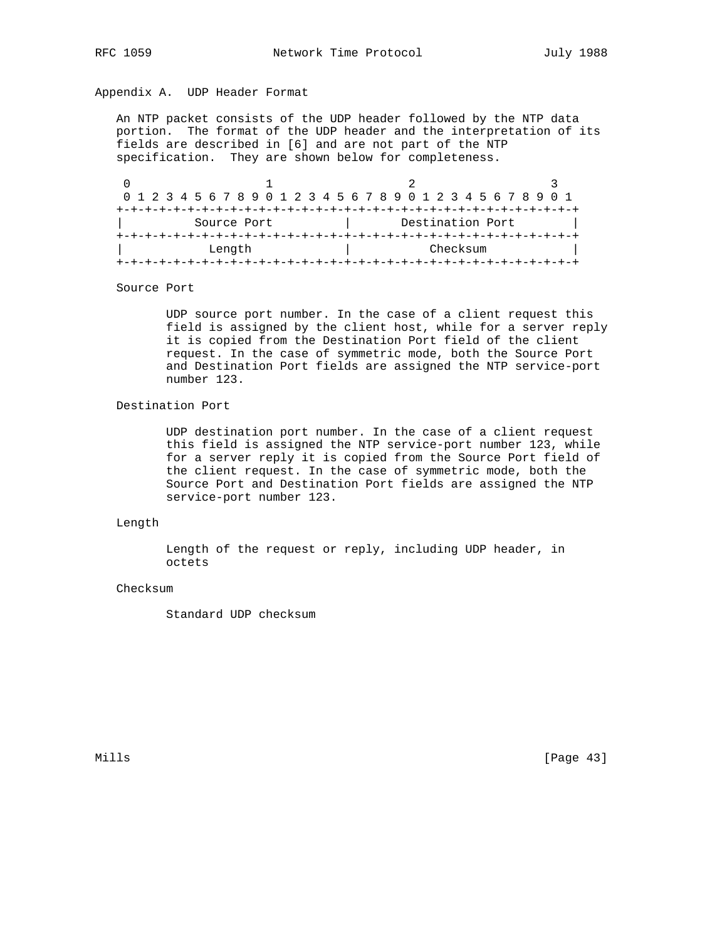# Appendix A. UDP Header Format

 An NTP packet consists of the UDP header followed by the NTP data portion. The format of the UDP header and the interpretation of its fields are described in [6] and are not part of the NTP specification. They are shown below for completeness.

|             | 0 1 2 3 4 5 6 7 8 9 0 1 2 3 4 5 6 7 8 9 0 1 2 3 4 5 6 7 8 9 0 1 |  |
|-------------|-----------------------------------------------------------------|--|
|             |                                                                 |  |
| Source Port | Destination Port                                                |  |
|             |                                                                 |  |
| Length      | Checksum                                                        |  |
|             |                                                                 |  |

Source Port

 UDP source port number. In the case of a client request this field is assigned by the client host, while for a server reply it is copied from the Destination Port field of the client request. In the case of symmetric mode, both the Source Port and Destination Port fields are assigned the NTP service-port number 123.

# Destination Port

 UDP destination port number. In the case of a client request this field is assigned the NTP service-port number 123, while for a server reply it is copied from the Source Port field of the client request. In the case of symmetric mode, both the Source Port and Destination Port fields are assigned the NTP service-port number 123.

## Length

 Length of the request or reply, including UDP header, in octets

## Checksum

Standard UDP checksum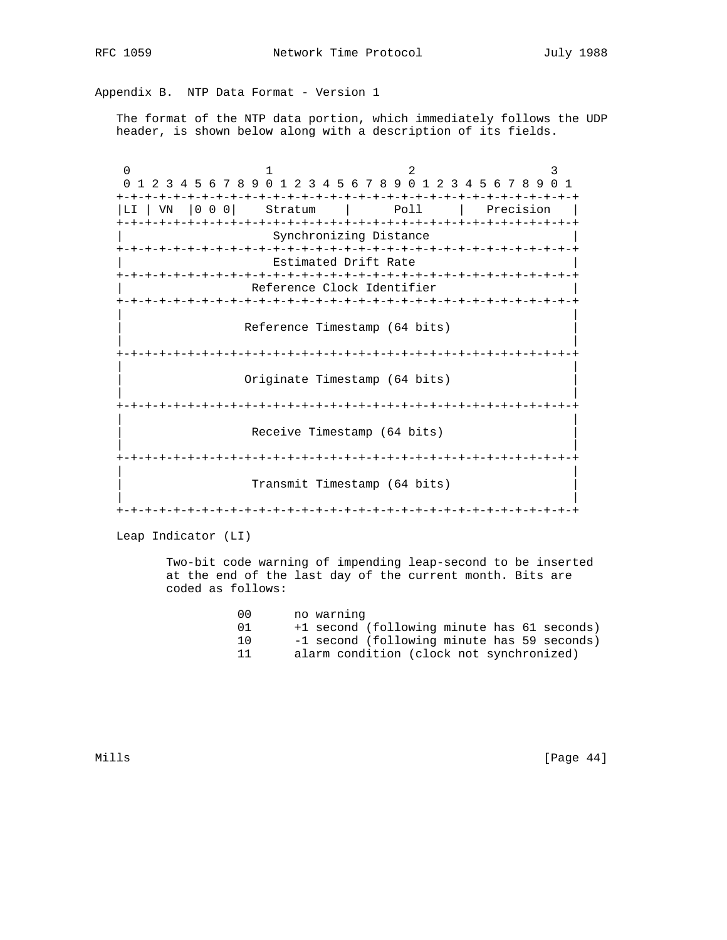Appendix B. NTP Data Format - Version 1

 The format of the NTP data portion, which immediately follows the UDP header, is shown below along with a description of its fields.

0  $1$  2 3 0 1 2 3 4 5 6 7 8 9 0 1 2 3 4 5 6 7 8 9 0 1 2 3 4 5 6 7 8 9 0 1 +-+-+-+-+-+-+-+-+-+-+-+-+-+-+-+-+-+-+-+-+-+-+-+-+-+-+-+-+-+-+-+-+ |LI | VN |0 0 0| Stratum | Poll | Precision | +-+-+-+-+-+-+-+-+-+-+-+-+-+-+-+-+-+-+-+-+-+-+-+-+-+-+-+-+-+-+-+-+ Synchronizing Distance +-+-+-+-+-+-+-+-+-+-+-+-+-+-+-+-+-+-+-+-+-+-+-+-+-+-+-+-+-+-+-+-+ Estimated Drift Rate +-+-+-+-+-+-+-+-+-+-+-+-+-+-+-+-+-+-+-+-+-+-+-+-+-+-+-+-+-+-+-+-+ Reference Clock Identifier +-+-+-+-+-+-+-+-+-+-+-+-+-+-+-+-+-+-+-+-+-+-+-+-+-+-+-+-+-+-+-+-+ | | Reference Timestamp (64 bits) | | +-+-+-+-+-+-+-+-+-+-+-+-+-+-+-+-+-+-+-+-+-+-+-+-+-+-+-+-+-+-+-+-+ | | Originate Timestamp (64 bits) | | +-+-+-+-+-+-+-+-+-+-+-+-+-+-+-+-+-+-+-+-+-+-+-+-+-+-+-+-+-+-+-+-+ | | Receive Timestamp (64 bits) | | +-+-+-+-+-+-+-+-+-+-+-+-+-+-+-+-+-+-+-+-+-+-+-+-+-+-+-+-+-+-+-+-+ | | Transmit Timestamp (64 bits) | | +-+-+-+-+-+-+-+-+-+-+-+-+-+-+-+-+-+-+-+-+-+-+-+-+-+-+-+-+-+-+-+-+

Leap Indicator (LI)

 Two-bit code warning of impending leap-second to be inserted at the end of the last day of the current month. Bits are coded as follows:

| (1)  | no warning                                  |
|------|---------------------------------------------|
| (11) | +1 second (following minute has 61 seconds) |
| 1 ດ  | -1 second (following minute has 59 seconds) |
|      | alarm condition (clock not synchronized)    |

Mills [Page 44]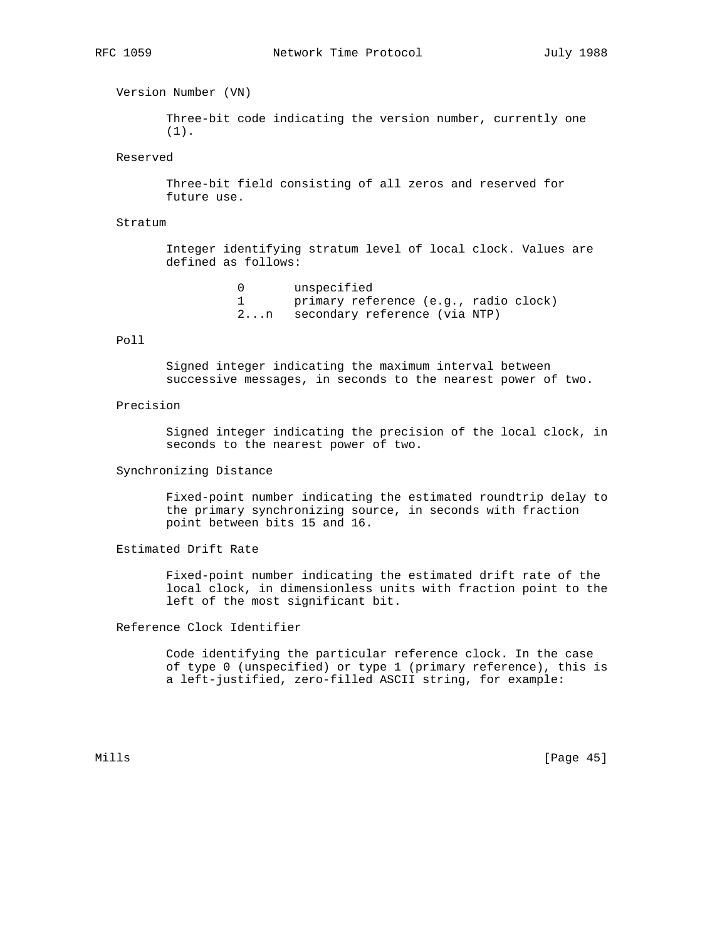Version Number (VN)

 Three-bit code indicating the version number, currently one (1).

Reserved

 Three-bit field consisting of all zeros and reserved for future use.

Stratum

 Integer identifying stratum level of local clock. Values are defined as follows:

```
 0 unspecified
1 primary reference (e.g., radio clock)
2...n secondary reference (via NTP)
```
## Poll

 Signed integer indicating the maximum interval between successive messages, in seconds to the nearest power of two.

## Precision

 Signed integer indicating the precision of the local clock, in seconds to the nearest power of two.

Synchronizing Distance

 Fixed-point number indicating the estimated roundtrip delay to the primary synchronizing source, in seconds with fraction point between bits 15 and 16.

Estimated Drift Rate

 Fixed-point number indicating the estimated drift rate of the local clock, in dimensionless units with fraction point to the left of the most significant bit.

Reference Clock Identifier

 Code identifying the particular reference clock. In the case of type 0 (unspecified) or type 1 (primary reference), this is a left-justified, zero-filled ASCII string, for example:

Mills [Page 45]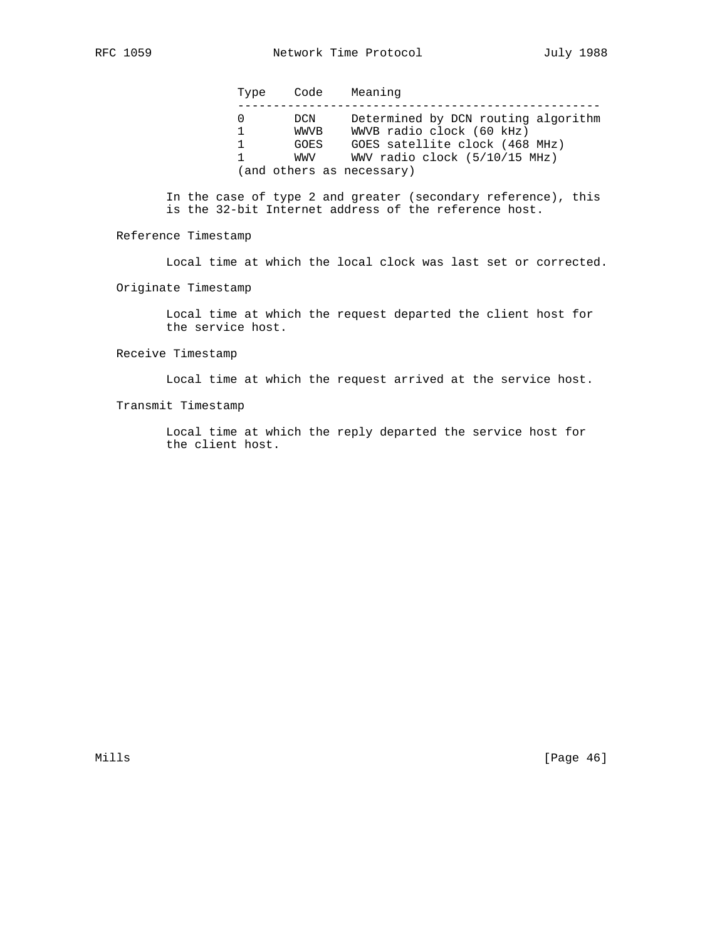Type Code Meaning

| DCN  | Determined by DCN routing algorithm |
|------|-------------------------------------|
| WWVB | WWVB radio clock (60 kHz)           |
| GOES | GOES satellite clock (468 MHz)      |
| WWV  | WWV radio clock (5/10/15 MHz)       |
|      | (and others as necessary)           |

 In the case of type 2 and greater (secondary reference), this is the 32-bit Internet address of the reference host.

Reference Timestamp

Local time at which the local clock was last set or corrected.

Originate Timestamp

 Local time at which the request departed the client host for the service host.

Receive Timestamp

Local time at which the request arrived at the service host.

Transmit Timestamp

 Local time at which the reply departed the service host for the client host.

Mills [Page 46]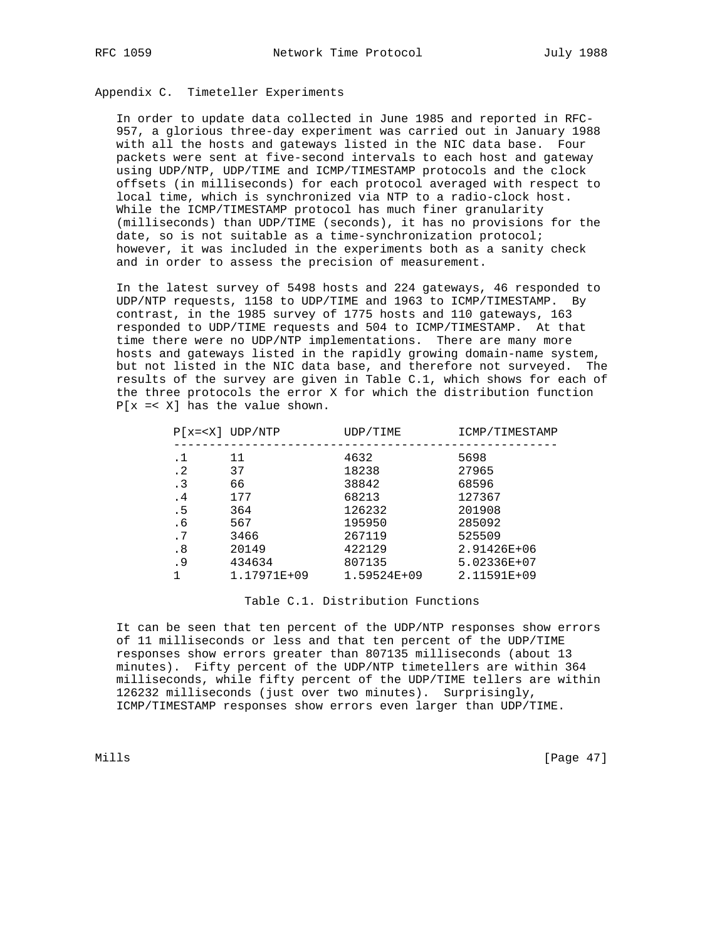# Appendix C. Timeteller Experiments

 In order to update data collected in June 1985 and reported in RFC- 957, a glorious three-day experiment was carried out in January 1988 with all the hosts and gateways listed in the NIC data base. Four packets were sent at five-second intervals to each host and gateway using UDP/NTP, UDP/TIME and ICMP/TIMESTAMP protocols and the clock offsets (in milliseconds) for each protocol averaged with respect to local time, which is synchronized via NTP to a radio-clock host. While the ICMP/TIMESTAMP protocol has much finer granularity (milliseconds) than UDP/TIME (seconds), it has no provisions for the date, so is not suitable as a time-synchronization protocol; however, it was included in the experiments both as a sanity check and in order to assess the precision of measurement.

 In the latest survey of 5498 hosts and 224 gateways, 46 responded to UDP/NTP requests, 1158 to UDP/TIME and 1963 to ICMP/TIMESTAMP. By contrast, in the 1985 survey of 1775 hosts and 110 gateways, 163 responded to UDP/TIME requests and 504 to ICMP/TIMESTAMP. At that time there were no UDP/NTP implementations. There are many more hosts and gateways listed in the rapidly growing domain-name system, but not listed in the NIC data base, and therefore not surveyed. The results of the survey are given in Table C.1, which shows for each of the three protocols the error X for which the distribution function P[x =< X] has the value shown.

|           | $P[x= UDP/NTP$ | UDP/TIME      | ICMP/TIMESTAMP |
|-----------|----------------|---------------|----------------|
| . 1       | 11             | 4632          | 5698           |
| $\cdot$ 2 | 37             | 18238         | 27965          |
| $\cdot$ 3 | 66             | 38842         | 68596          |
| . 4       | 177            | 68213         | 127367         |
| . 5       | 364            | 126232        | 201908         |
| . 6       | 567            | 195950        | 285092         |
| .7        | 3466           | 267119        | 525509         |
| . 8       | 20149          | 422129        | 2.91426E+06    |
| . 9       | 434634         | 807135        | 5.02336E+07    |
|           | 1.17971E+09    | $1.59524E+09$ | 2.11591E+09    |
|           |                |               |                |

#### Table C.1. Distribution Functions

 It can be seen that ten percent of the UDP/NTP responses show errors of 11 milliseconds or less and that ten percent of the UDP/TIME responses show errors greater than 807135 milliseconds (about 13 minutes). Fifty percent of the UDP/NTP timetellers are within 364 milliseconds, while fifty percent of the UDP/TIME tellers are within 126232 milliseconds (just over two minutes). Surprisingly, ICMP/TIMESTAMP responses show errors even larger than UDP/TIME.

Mills [Page 47]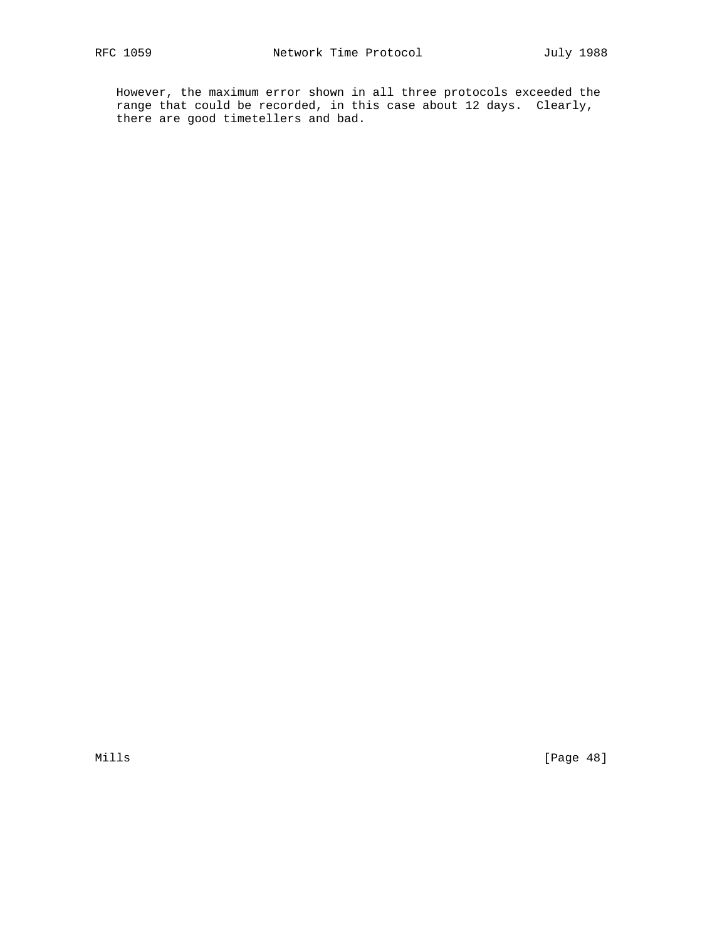However, the maximum error shown in all three protocols exceeded the range that could be recorded, in this case about 12 days. Clearly, there are good timetellers and bad.

Mills [Page 48]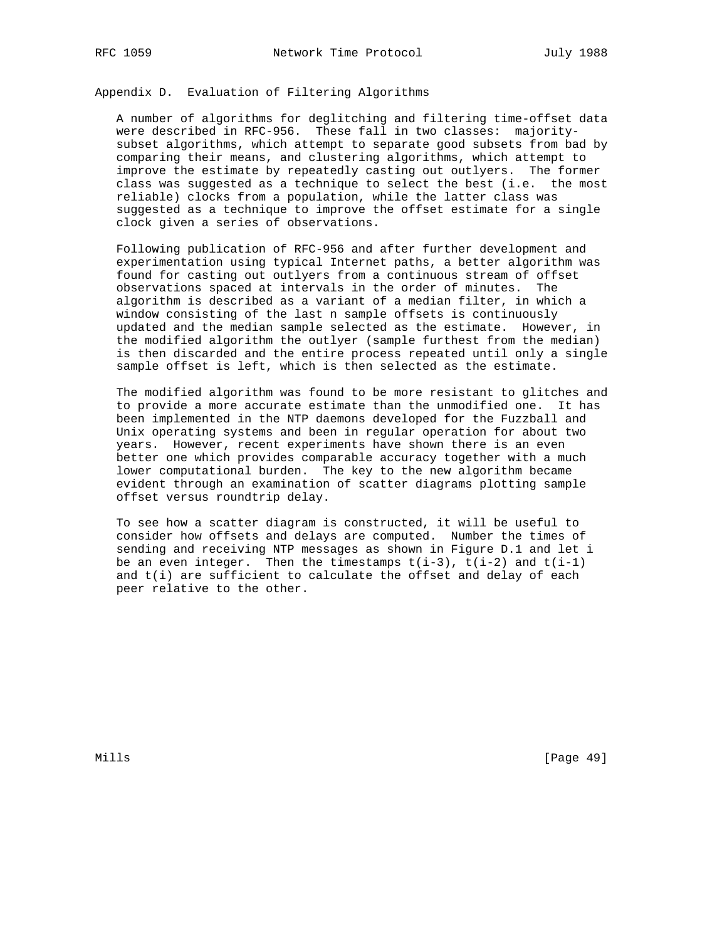Appendix D. Evaluation of Filtering Algorithms

 A number of algorithms for deglitching and filtering time-offset data were described in RFC-956. These fall in two classes: majority subset algorithms, which attempt to separate good subsets from bad by comparing their means, and clustering algorithms, which attempt to improve the estimate by repeatedly casting out outlyers. The former class was suggested as a technique to select the best (i.e. the most reliable) clocks from a population, while the latter class was suggested as a technique to improve the offset estimate for a single clock given a series of observations.

 Following publication of RFC-956 and after further development and experimentation using typical Internet paths, a better algorithm was found for casting out outlyers from a continuous stream of offset observations spaced at intervals in the order of minutes. The algorithm is described as a variant of a median filter, in which a window consisting of the last n sample offsets is continuously updated and the median sample selected as the estimate. However, in the modified algorithm the outlyer (sample furthest from the median) is then discarded and the entire process repeated until only a single sample offset is left, which is then selected as the estimate.

 The modified algorithm was found to be more resistant to glitches and to provide a more accurate estimate than the unmodified one. It has been implemented in the NTP daemons developed for the Fuzzball and Unix operating systems and been in regular operation for about two years. However, recent experiments have shown there is an even better one which provides comparable accuracy together with a much lower computational burden. The key to the new algorithm became evident through an examination of scatter diagrams plotting sample offset versus roundtrip delay.

 To see how a scatter diagram is constructed, it will be useful to consider how offsets and delays are computed. Number the times of sending and receiving NTP messages as shown in Figure D.1 and let i be an even integer. Then the timestamps  $t(i-3)$ ,  $t(i-2)$  and  $t(i-1)$ and  $t(i)$  are sufficient to calculate the offset and delay of each peer relative to the other.

Mills [Page 49]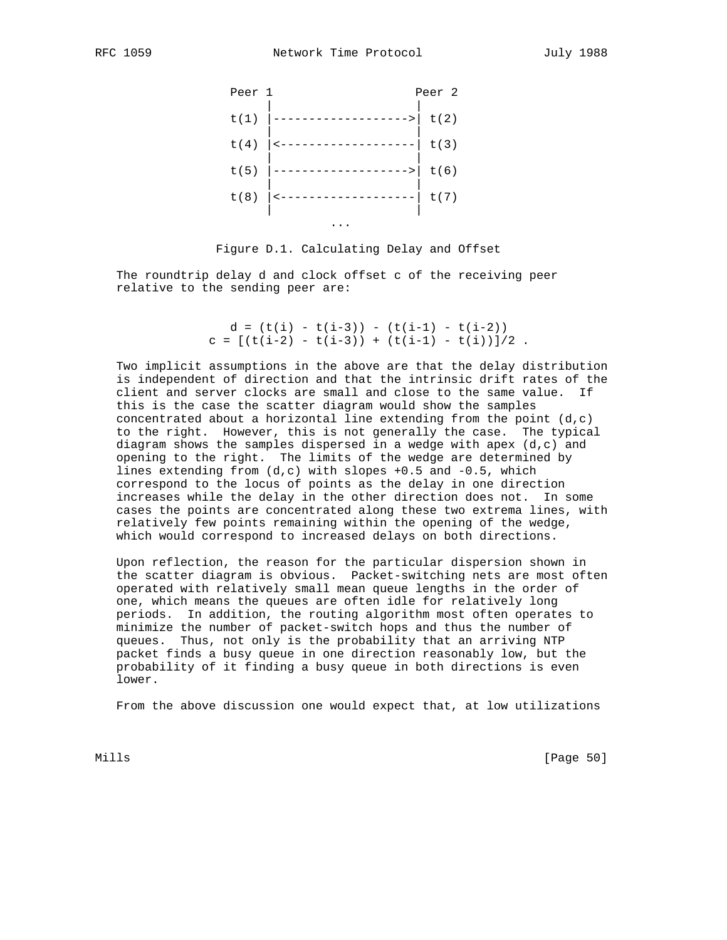



 The roundtrip delay d and clock offset c of the receiving peer relative to the sending peer are:

> $d = (t(i) - t(i-3)) - (t(i-1) - t(i-2))$  $c = [(t(i-2) - t(i-3)) + (t(i-1) - t(i))]$  /2.

 Two implicit assumptions in the above are that the delay distribution is independent of direction and that the intrinsic drift rates of the client and server clocks are small and close to the same value. If this is the case the scatter diagram would show the samples concentrated about a horizontal line extending from the point  $(d, c)$  to the right. However, this is not generally the case. The typical diagram shows the samples dispersed in a wedge with apex  $(d, c)$  and opening to the right. The limits of the wedge are determined by lines extending from  $(d, c)$  with slopes  $+0.5$  and  $-0.5$ , which correspond to the locus of points as the delay in one direction increases while the delay in the other direction does not. In some cases the points are concentrated along these two extrema lines, with relatively few points remaining within the opening of the wedge, which would correspond to increased delays on both directions.

 Upon reflection, the reason for the particular dispersion shown in the scatter diagram is obvious. Packet-switching nets are most often operated with relatively small mean queue lengths in the order of one, which means the queues are often idle for relatively long periods. In addition, the routing algorithm most often operates to minimize the number of packet-switch hops and thus the number of queues. Thus, not only is the probability that an arriving NTP packet finds a busy queue in one direction reasonably low, but the probability of it finding a busy queue in both directions is even lower.

From the above discussion one would expect that, at low utilizations

Mills [Page 50]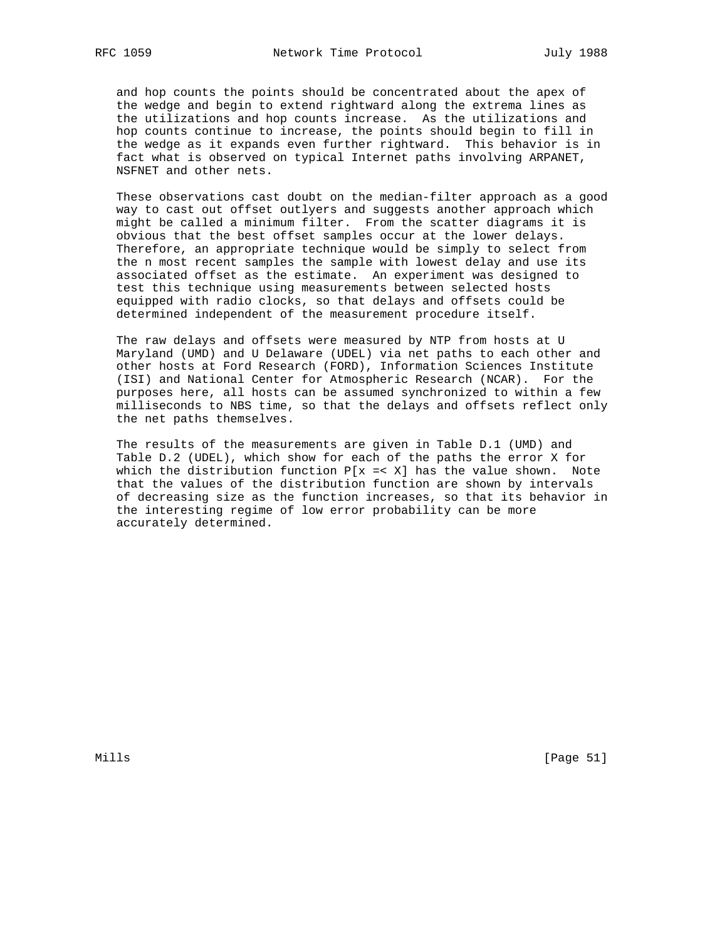and hop counts the points should be concentrated about the apex of the wedge and begin to extend rightward along the extrema lines as the utilizations and hop counts increase. As the utilizations and hop counts continue to increase, the points should begin to fill in the wedge as it expands even further rightward. This behavior is in fact what is observed on typical Internet paths involving ARPANET, NSFNET and other nets.

 These observations cast doubt on the median-filter approach as a good way to cast out offset outlyers and suggests another approach which might be called a minimum filter. From the scatter diagrams it is obvious that the best offset samples occur at the lower delays. Therefore, an appropriate technique would be simply to select from the n most recent samples the sample with lowest delay and use its associated offset as the estimate. An experiment was designed to test this technique using measurements between selected hosts equipped with radio clocks, so that delays and offsets could be determined independent of the measurement procedure itself.

 The raw delays and offsets were measured by NTP from hosts at U Maryland (UMD) and U Delaware (UDEL) via net paths to each other and other hosts at Ford Research (FORD), Information Sciences Institute (ISI) and National Center for Atmospheric Research (NCAR). For the purposes here, all hosts can be assumed synchronized to within a few milliseconds to NBS time, so that the delays and offsets reflect only the net paths themselves.

 The results of the measurements are given in Table D.1 (UMD) and Table D.2 (UDEL), which show for each of the paths the error X for which the distribution function  $P[x = < X]$  has the value shown. Note that the values of the distribution function are shown by intervals of decreasing size as the function increases, so that its behavior in the interesting regime of low error probability can be more accurately determined.

Mills [Page 51]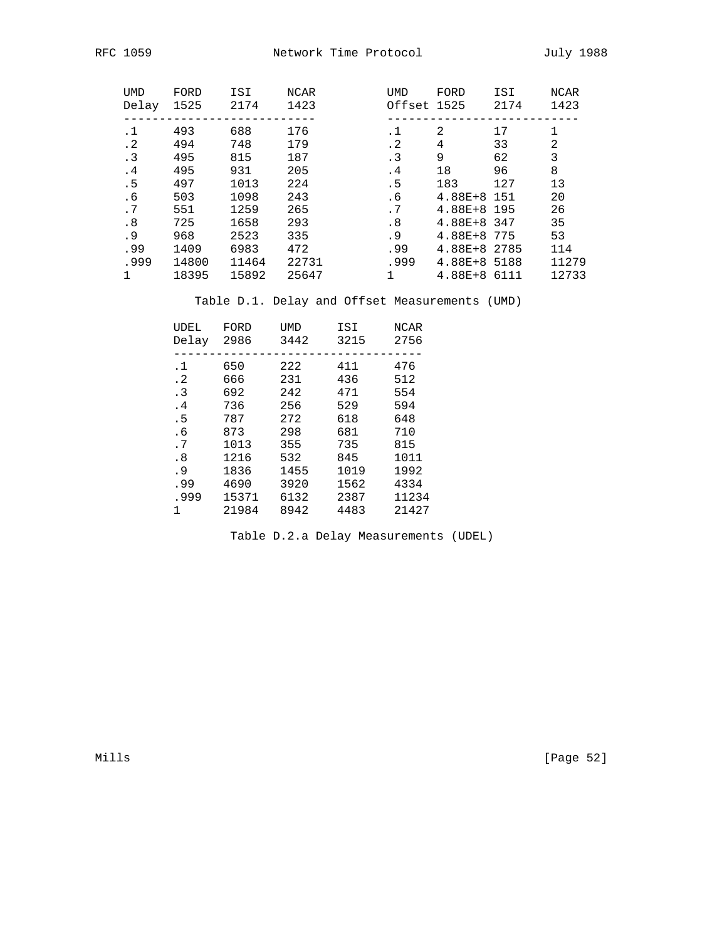| <b>UMD</b><br>Delay | FORD<br>1525 | ISI<br>2174 | NCAR<br>1423 | <b>UMD</b><br>Offset 1525 | FORD         | ISI<br>2174 | NCAR<br>1423 |
|---------------------|--------------|-------------|--------------|---------------------------|--------------|-------------|--------------|
|                     |              |             |              |                           |              |             |              |
| .1                  | 493          | 688         | 176          | .1                        | 2            | 17          | 1            |
| $\cdot$ 2           | 494          | 748         | 179          | $\cdot$ 2                 | 4            | 33          | 2            |
| $\cdot$ 3           | 495          | 815         | 187          | $\cdot$ 3                 | 9            | 62          | 3            |
| .4                  | 495          | 931         | 205          | .4                        | 18           | 96          | 8            |
| . 5                 | 497          | 1013        | 224          | . 5                       | 183          | 127         | 13           |
| . 6                 | 503          | 1098        | 243          | . 6                       | $4.88E + 8$  | 151         | 20           |
| .7                  | 551          | 1259        | 265          | . 7                       | 4.88E+8 195  |             | 26           |
| .8                  | 725          | 1658        | 293          | .8                        | 4.88E+8 347  |             | 35           |
| . 9                 | 968          | 2523        | 335          | . 9                       | 4.88E+8 775  |             | 53           |
| .99                 | 1409         | 6983        | 472          | .99                       | 4.88E+8 2785 |             | 114          |
| .999                | 14800        | 11464       | 22731        | .999                      | 4.88E+8 5188 |             | 11279        |
|                     | 18395        | 15892       | 25647        |                           | 4.88E+8 6111 |             | 12733        |

Table D.1. Delay and Offset Measurements (UMD)

| UDEL<br>Delay | FORD<br>2986 | UMD<br>3442 | ISI<br>3215 | NCAR<br>2756 |
|---------------|--------------|-------------|-------------|--------------|
|               |              |             |             |              |
| $\cdot$ 1     | 650          | 222         | 411         | 476          |
| $\cdot$ 2     | 666          | 231         | 436         | 512          |
| $\cdot$ 3     | 692          | 242         | 471         | 554          |
| .4            | 736          | 256         | 529         | 594          |
| . 5           | 787          | 272         | 618         | 648          |
| . 6           | 873          | 298         | 681         | 710          |
| .7            | 1013         | 355         | 735         | 815          |
| .8            | 1216         | 532         | 845         | 1011         |
| . 9           | 1836         | 1455        | 1019        | 1992         |
| .99           | 4690         | 3920        | 1562        | 4334         |
| .999          | 15371        | 6132        | 2387        | 11234        |
| 1             | 21984        | 8942        | 4483        | 21427        |

Table D.2.a Delay Measurements (UDEL)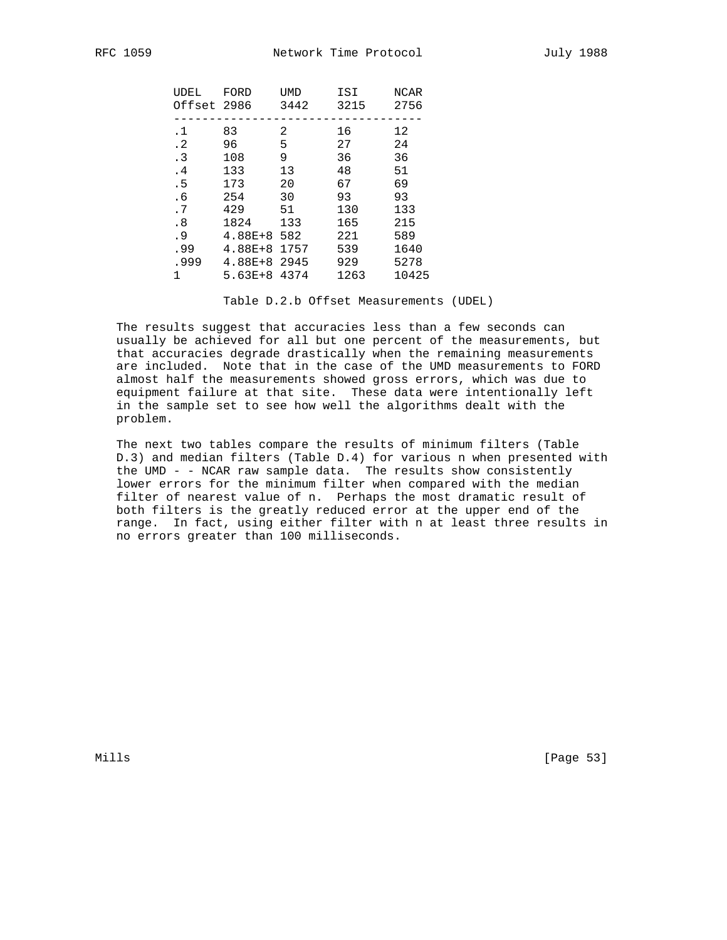| UDEL<br>Offset 2986 | FORD           | UMD<br>3442 | ISI<br>3215 | NCAR<br>2756 |
|---------------------|----------------|-------------|-------------|--------------|
|                     |                |             |             |              |
| .1                  | 83             | 2           | 16          | 12           |
| $\cdot$ 2           | 96             | 5           | 27          | 24           |
| $\cdot$ 3           | 108            | 9           | 36          | 36           |
| . 4                 | 133            | 13          | 48          | 51           |
| .5                  | 173            | 20          | 67          | 69           |
| . 6                 | 254            | 30          | 93          | 93           |
| .7                  | 429            | 51          | 130         | 133          |
| .8                  | 1824           | 133         | 165         | 215          |
| . 9                 | $4.88E + 8$    | 582         | 221         | 589          |
| .99                 | $4.88E + 8$    | 1757        | 539         | 1640         |
| .999                | 4.88E+8 2945   |             | 929         | 5278         |
| 1                   | $5.63E+8.4374$ |             | 1263        | 10425        |
|                     |                |             |             |              |

Table D.2.b Offset Measurements (UDEL)

 The results suggest that accuracies less than a few seconds can usually be achieved for all but one percent of the measurements, but that accuracies degrade drastically when the remaining measurements are included. Note that in the case of the UMD measurements to FORD almost half the measurements showed gross errors, which was due to equipment failure at that site. These data were intentionally left in the sample set to see how well the algorithms dealt with the problem.

 The next two tables compare the results of minimum filters (Table D.3) and median filters (Table D.4) for various n when presented with the UMD - - NCAR raw sample data. The results show consistently lower errors for the minimum filter when compared with the median filter of nearest value of n. Perhaps the most dramatic result of both filters is the greatly reduced error at the upper end of the range. In fact, using either filter with n at least three results in no errors greater than 100 milliseconds.

Mills [Page 53]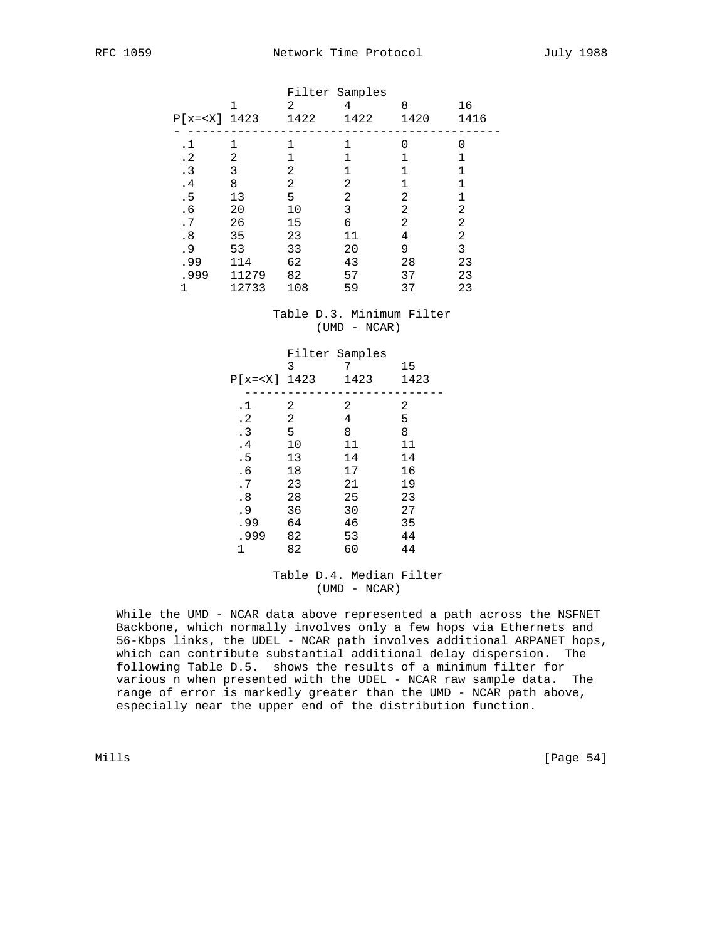| $P[x= 1423$ | 1     | Filter Samples<br>2<br>1422 | 4<br>1422 | 8<br>1420 | 16<br>1416 |
|-------------|-------|-----------------------------|-----------|-----------|------------|
| . 1         |       |                             |           | 0         | U          |
| $\cdot$ 2   | 2     |                             |           |           |            |
| $\cdot$ 3   | 3     | 2                           |           | 1         |            |
| $\cdot$ 4   | 8     | 2                           | 2         |           |            |
| .5          | 13    | 5                           | 2         | 2         |            |
| . 6         | 20    | 10                          | 3         | 2         | 2          |
| .7          | 26    | 15                          | 6         | 2         | 2          |
| .8          | 35    | 23                          | 11        | 4         | 2          |
| . 9         | 53    | 33                          | 20        | 9         | 3          |
| .99         | 114   | 62                          | 43        | 28        | 23         |
| .999        | 11279 | 82                          | 57        | 37        | 23         |
|             | 12733 | 108                         | 59        | 37        | 23         |

# Table D.3. Minimum Filter (UMD - NCAR)

| $P[x= 1423$ | Filter Samples<br>3 | 1423 | 15<br>1423 |
|-------------|---------------------|------|------------|
| .1          | 2                   | 2    | 2          |
| $\cdot$ 2   | 2                   | 4    | 5          |
| $\cdot$ 3   | 5                   | 8    | 8          |
| .4          | 10                  | 11   | 11         |
| .5          | 13                  | 14   | 14         |
| . 6         | 18                  | 17   | 16         |
| .7          | 23                  | 21   | 19         |
| .8          | 28                  | 25   | 23         |
| . 9         | 36                  | 30   | 27         |
| .99         | 64                  | 46   | 35         |
| .999        | 82                  | 53   | 44         |
| 1           | 82                  | 60   | 44         |

## Table D.4. Median Filter (UMD - NCAR)

 While the UMD - NCAR data above represented a path across the NSFNET Backbone, which normally involves only a few hops via Ethernets and 56-Kbps links, the UDEL - NCAR path involves additional ARPANET hops, which can contribute substantial additional delay dispersion. The following Table D.5. shows the results of a minimum filter for various n when presented with the UDEL - NCAR raw sample data. The range of error is markedly greater than the UMD - NCAR path above, especially near the upper end of the distribution function.

Mills [Page 54]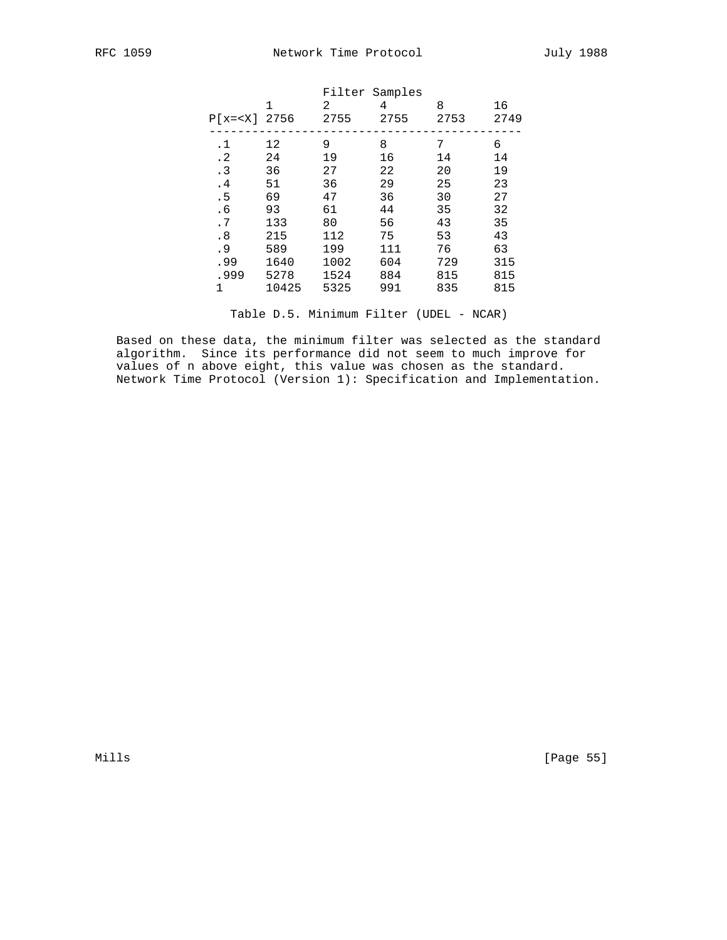|           |       | 2                | 4    | 8              | 16   |
|-----------|-------|------------------|------|----------------|------|
|           |       | 2755             | 2755 | 2753           | 2749 |
| . 1       | 12    | 9                | 8    | 7              | 6    |
| $\cdot$ 2 | 24    | 19               | 16   | 14             | 14   |
| $\cdot$ 3 | 36    | 27               | 22   | 20             | 19   |
| .4        | 51    | 36               | 29   | 25             | 23   |
| .5        | 69    | 47               | 36   | 30             | 27   |
| . 6       | 93    | 61               | 44   | 35             | 32   |
| .7        | 133   | 80               | 56   | 43             | 35   |
| .8        | 215   | 112              | 75   | 53             | 43   |
| .9        | 589   | 199              | 111  | 76             | 63   |
| .99       | 1640  | 1002             | 604  | 729            | 315  |
| .999      | 5278  | 1524             | 884  | 815            | 815  |
| 1         | 10425 | 5325             | 991  | 835            | 815  |
|           |       | 1<br>$P[x= 2756$ |      | Filter Samples |      |

Table D.5. Minimum Filter (UDEL - NCAR)

 Based on these data, the minimum filter was selected as the standard algorithm. Since its performance did not seem to much improve for values of n above eight, this value was chosen as the standard. Network Time Protocol (Version 1): Specification and Implementation.

Mills [Page 55]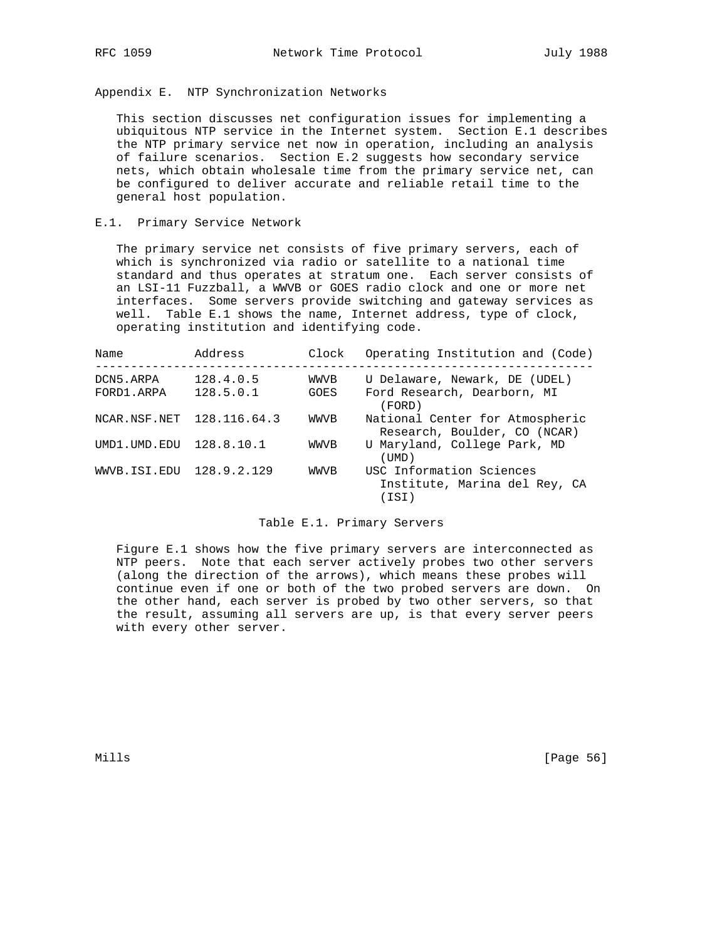Appendix E. NTP Synchronization Networks

 This section discusses net configuration issues for implementing a ubiquitous NTP service in the Internet system. Section E.1 describes the NTP primary service net now in operation, including an analysis of failure scenarios. Section E.2 suggests how secondary service nets, which obtain wholesale time from the primary service net, can be configured to deliver accurate and reliable retail time to the general host population.

## E.1. Primary Service Network

 The primary service net consists of five primary servers, each of which is synchronized via radio or satellite to a national time standard and thus operates at stratum one. Each server consists of an LSI-11 Fuzzball, a WWVB or GOES radio clock and one or more net interfaces. Some servers provide switching and gateway services as well. Table E.1 shows the name, Internet address, type of clock, operating institution and identifying code.

| Name                      | Address     | Clock | Operating Institution and (Code)                                   |
|---------------------------|-------------|-------|--------------------------------------------------------------------|
| DCN5.ARPA                 | 128.4.0.5   | WWVB  | U Delaware, Newark, DE (UDEL)                                      |
| FORD1.ARPA                | 128.5.0.1   | GOES  | Ford Research, Dearborn, MI<br>(FORD)                              |
| NCAR.NSF.NET 128.116.64.3 |             | WWVB  | National Center for Atmospheric<br>Research, Boulder, CO (NCAR)    |
| UMD1.UMD.EDU 128.8.10.1   |             | WWVB  | U Maryland, College Park, MD<br>(TJMD)                             |
| WWVB.ISI.EDU              | 128.9.2.129 | WWVB  | USC Information Sciences<br>Institute, Marina del Rey, CA<br>(ISI) |

#### Table E.1. Primary Servers

 Figure E.1 shows how the five primary servers are interconnected as NTP peers. Note that each server actively probes two other servers (along the direction of the arrows), which means these probes will continue even if one or both of the two probed servers are down. On the other hand, each server is probed by two other servers, so that the result, assuming all servers are up, is that every server peers with every other server.

Mills [Page 56]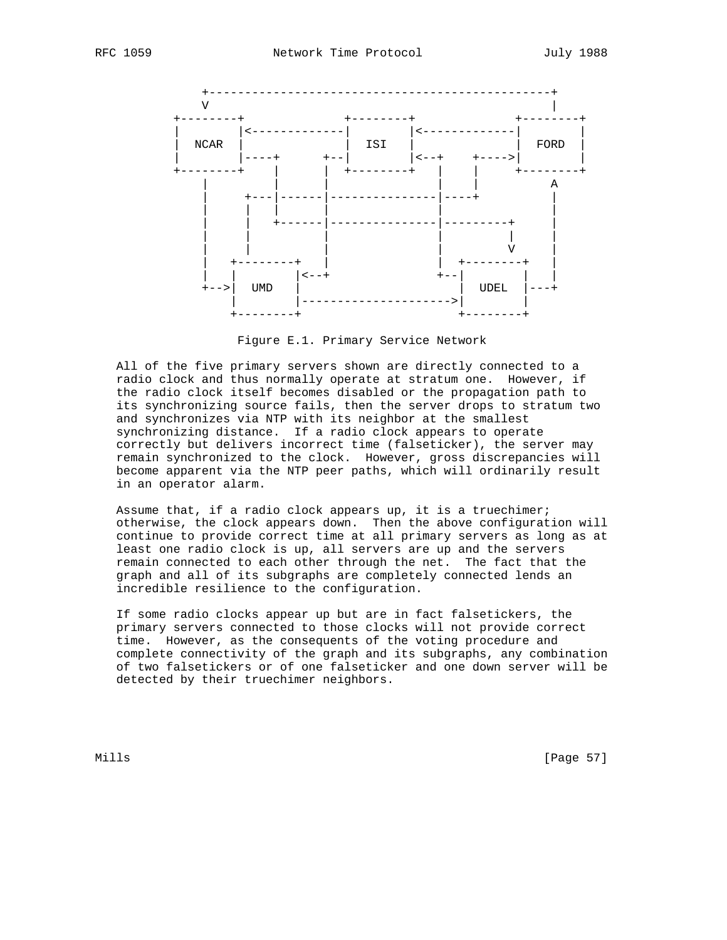

Figure E.1. Primary Service Network

 All of the five primary servers shown are directly connected to a radio clock and thus normally operate at stratum one. However, if the radio clock itself becomes disabled or the propagation path to its synchronizing source fails, then the server drops to stratum two and synchronizes via NTP with its neighbor at the smallest synchronizing distance. If a radio clock appears to operate correctly but delivers incorrect time (falseticker), the server may remain synchronized to the clock. However, gross discrepancies will become apparent via the NTP peer paths, which will ordinarily result in an operator alarm.

 Assume that, if a radio clock appears up, it is a truechimer; otherwise, the clock appears down. Then the above configuration will continue to provide correct time at all primary servers as long as at least one radio clock is up, all servers are up and the servers remain connected to each other through the net. The fact that the graph and all of its subgraphs are completely connected lends an incredible resilience to the configuration.

 If some radio clocks appear up but are in fact falsetickers, the primary servers connected to those clocks will not provide correct time. However, as the consequents of the voting procedure and complete connectivity of the graph and its subgraphs, any combination of two falsetickers or of one falseticker and one down server will be detected by their truechimer neighbors.

Mills [Page 57]